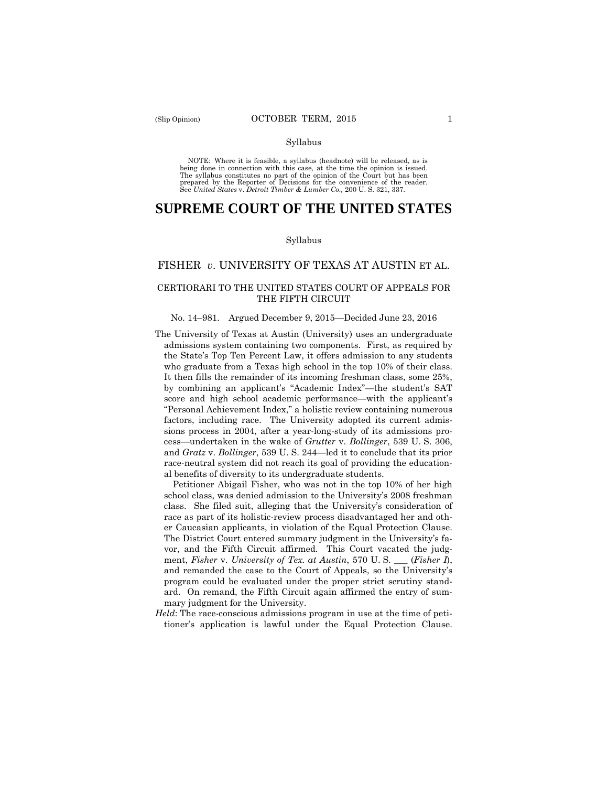#### Syllabus

 NOTE: Where it is feasible, a syllabus (headnote) will be released, as is being done in connection with this case, at the time the opinion is issued. The syllabus constitutes no part of the opinion of the Court but has been<br>prepared by the Reporter of Decisions for the convenience of the reader.<br>See United States v. Detroit Timber & Lumber Co., 200 U.S. 321, 337.

# **SUPREME COURT OF THE UNITED STATES**

#### Syllabus

# FISHER *v*. UNIVERSITY OF TEXAS AT AUSTIN ET AL.

### CERTIORARI TO THE UNITED STATES COURT OF APPEALS FOR THE FIFTH CIRCUIT

#### No. 14–981. Argued December 9, 2015—Decided June 23, 2016

The University of Texas at Austin (University) uses an undergraduate admissions system containing two components. First, as required by the State's Top Ten Percent Law, it offers admission to any students who graduate from a Texas high school in the top 10% of their class. It then fills the remainder of its incoming freshman class, some 25%, by combining an applicant's "Academic Index"—the student's SAT score and high school academic performance—with the applicant's "Personal Achievement Index," a holistic review containing numerous factors, including race. The University adopted its current admissions process in 2004, after a year-long-study of its admissions process—undertaken in the wake of *Grutter* v. *Bollinger*, 539 U. S. 306, and *Gratz* v. *Bollinger*, 539 U. S. 244—led it to conclude that its prior race-neutral system did not reach its goal of providing the educational benefits of diversity to its undergraduate students.

 class. She filed suit, alleging that the University's consideration of Petitioner Abigail Fisher, who was not in the top 10% of her high school class, was denied admission to the University's 2008 freshman race as part of its holistic-review process disadvantaged her and other Caucasian applicants, in violation of the Equal Protection Clause. The District Court entered summary judgment in the University's favor, and the Fifth Circuit affirmed. This Court vacated the judgment, *Fisher* v. *University of Tex. at Austin*, 570 U. S. \_\_\_ (*Fisher I*), and remanded the case to the Court of Appeals, so the University's program could be evaluated under the proper strict scrutiny standard. On remand, the Fifth Circuit again affirmed the entry of summary judgment for the University.

*Held*: The race-conscious admissions program in use at the time of petitioner's application is lawful under the Equal Protection Clause.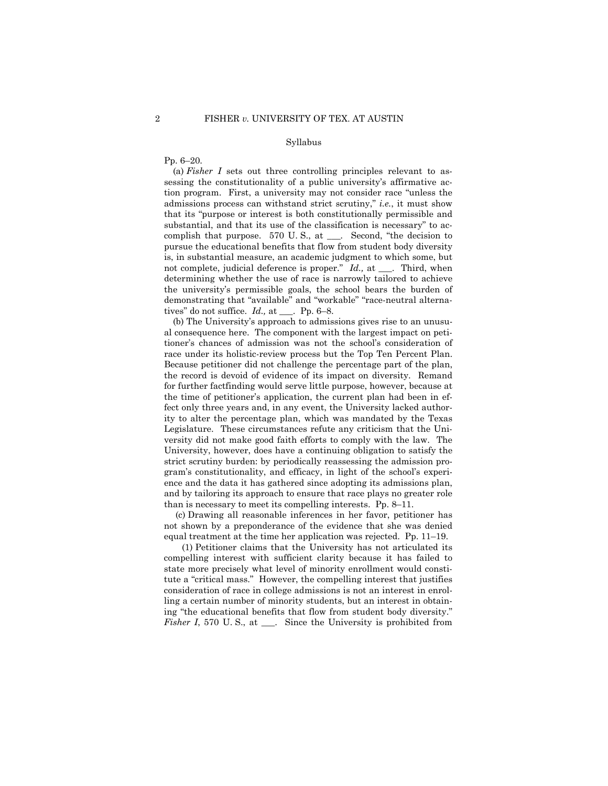#### Syllabus

# Pp. 6–20.

 admissions process can withstand strict scrutiny," *i.e.*, it must show not complete, judicial deference is proper." *Id.,* at \_\_\_. Third, when (a) *Fisher I* sets out three controlling principles relevant to assessing the constitutionality of a public university's affirmative action program. First, a university may not consider race "unless the that its "purpose or interest is both constitutionally permissible and substantial, and that its use of the classification is necessary" to accomplish that purpose. 570 U. S., at \_\_\_*.* Second, "the decision to pursue the educational benefits that flow from student body diversity is, in substantial measure, an academic judgment to which some, but determining whether the use of race is narrowly tailored to achieve the university's permissible goals, the school bears the burden of demonstrating that "available" and "workable" "race-neutral alternatives" do not suffice. *Id.,* at \_\_\_. Pp. 6–8.

(b) The University's approach to admissions gives rise to an unusual consequence here. The component with the largest impact on petitioner's chances of admission was not the school's consideration of race under its holistic-review process but the Top Ten Percent Plan. Because petitioner did not challenge the percentage part of the plan, the record is devoid of evidence of its impact on diversity. Remand for further factfinding would serve little purpose, however, because at the time of petitioner's application, the current plan had been in effect only three years and, in any event, the University lacked authority to alter the percentage plan, which was mandated by the Texas Legislature. These circumstances refute any criticism that the University did not make good faith efforts to comply with the law. The University, however, does have a continuing obligation to satisfy the strict scrutiny burden: by periodically reassessing the admission program's constitutionality, and efficacy, in light of the school's experience and the data it has gathered since adopting its admissions plan, and by tailoring its approach to ensure that race plays no greater role than is necessary to meet its compelling interests. Pp. 8–11.

(c) Drawing all reasonable inferences in her favor, petitioner has not shown by a preponderance of the evidence that she was denied equal treatment at the time her application was rejected. Pp. 11–19.

(1) Petitioner claims that the University has not articulated its compelling interest with sufficient clarity because it has failed to state more precisely what level of minority enrollment would constitute a "critical mass." However, the compelling interest that justifies consideration of race in college admissions is not an interest in enrolling a certain number of minority students, but an interest in obtaining "the educational benefits that flow from student body diversity." *Fisher I*, 570 U.S., at \_\_\_. Since the University is prohibited from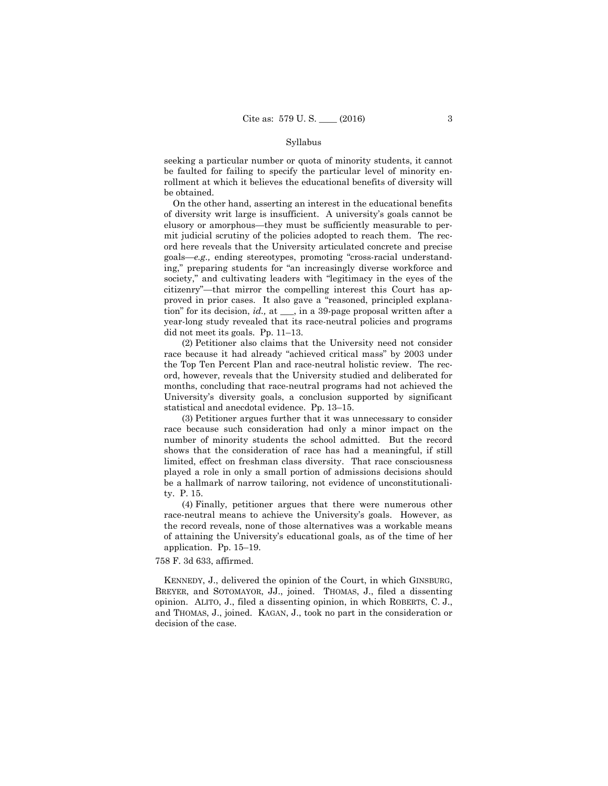#### Syllabus

seeking a particular number or quota of minority students, it cannot be faulted for failing to specify the particular level of minority enrollment at which it believes the educational benefits of diversity will be obtained.

On the other hand, asserting an interest in the educational benefits of diversity writ large is insufficient. A university's goals cannot be elusory or amorphous—they must be sufficiently measurable to permit judicial scrutiny of the policies adopted to reach them. The record here reveals that the University articulated concrete and precise goals—*e.g.,* ending stereotypes, promoting "cross-racial understanding," preparing students for "an increasingly diverse workforce and society," and cultivating leaders with "legitimacy in the eyes of the citizenry"—that mirror the compelling interest this Court has approved in prior cases. It also gave a "reasoned, principled explanation" for its decision, *id.,* at \_\_\_, in a 39-page proposal written after a year-long study revealed that its race-neutral policies and programs did not meet its goals. Pp. 11–13.

 (2) Petitioner also claims that the University need not consider race because it had already "achieved critical mass" by 2003 under the Top Ten Percent Plan and race-neutral holistic review. The record, however, reveals that the University studied and deliberated for months, concluding that race-neutral programs had not achieved the University's diversity goals, a conclusion supported by significant statistical and anecdotal evidence. Pp. 13–15.

(3) Petitioner argues further that it was unnecessary to consider race because such consideration had only a minor impact on the number of minority students the school admitted. But the record shows that the consideration of race has had a meaningful, if still limited, effect on freshman class diversity. That race consciousness played a role in only a small portion of admissions decisions should be a hallmark of narrow tailoring, not evidence of unconstitutionality. P. 15.

(4) Finally, petitioner argues that there were numerous other race-neutral means to achieve the University's goals. However, as the record reveals, none of those alternatives was a workable means of attaining the University's educational goals, as of the time of her application. Pp. 15–19.

#### 758 F. 3d 633, affirmed.

KENNEDY, J., delivered the opinion of the Court, in which GINSBURG, BREYER, and SOTOMAYOR, JJ., joined. THOMAS, J., filed a dissenting opinion. ALITO, J., filed a dissenting opinion, in which ROBERTS, C. J., and THOMAS, J., joined. KAGAN, J., took no part in the consideration or decision of the case.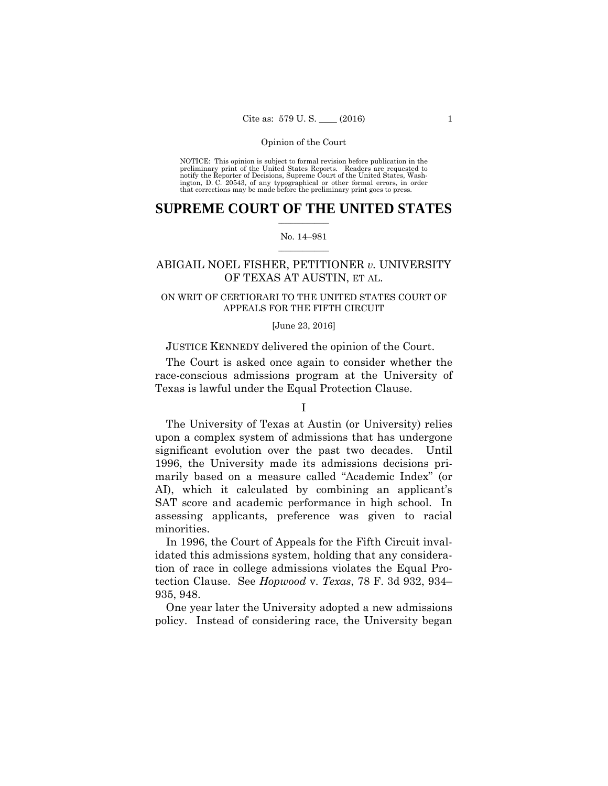preliminary print of the United States Reports. Readers are requested to notify the Reporter of Decisions, Supreme Court of the United States, Wash- ington, D. C. 20543, of any typographical or other formal errors, in order that corrections may be made before the preliminary print goes to press. NOTICE: This opinion is subject to formal revision before publication in the

# $\frac{1}{2}$  , where  $\frac{1}{2}$ **SUPREME COURT OF THE UNITED STATES**

#### $\frac{1}{2}$  ,  $\frac{1}{2}$  ,  $\frac{1}{2}$  ,  $\frac{1}{2}$  ,  $\frac{1}{2}$  ,  $\frac{1}{2}$ No. 14–981

# ABIGAIL NOEL FISHER, PETITIONER *v.* UNIVERSITY OF TEXAS AT AUSTIN, ET AL.

# ON WRIT OF CERTIORARI TO THE UNITED STATES COURT OF APPEALS FOR THE FIFTH CIRCUIT

### [June 23, 2016]

### JUSTICE KENNEDY delivered the opinion of the Court.

The Court is asked once again to consider whether the race-conscious admissions program at the University of Texas is lawful under the Equal Protection Clause.

# I

The University of Texas at Austin (or University) relies upon a complex system of admissions that has undergone significant evolution over the past two decades. Until 1996, the University made its admissions decisions primarily based on a measure called "Academic Index" (or AI), which it calculated by combining an applicant's SAT score and academic performance in high school. In assessing applicants, preference was given to racial minorities.

In 1996, the Court of Appeals for the Fifth Circuit invalidated this admissions system, holding that any consideration of race in college admissions violates the Equal Protection Clause. See *Hopwood* v. *Texas*, 78 F. 3d 932, 934– 935, 948.

One year later the University adopted a new admissions policy. Instead of considering race, the University began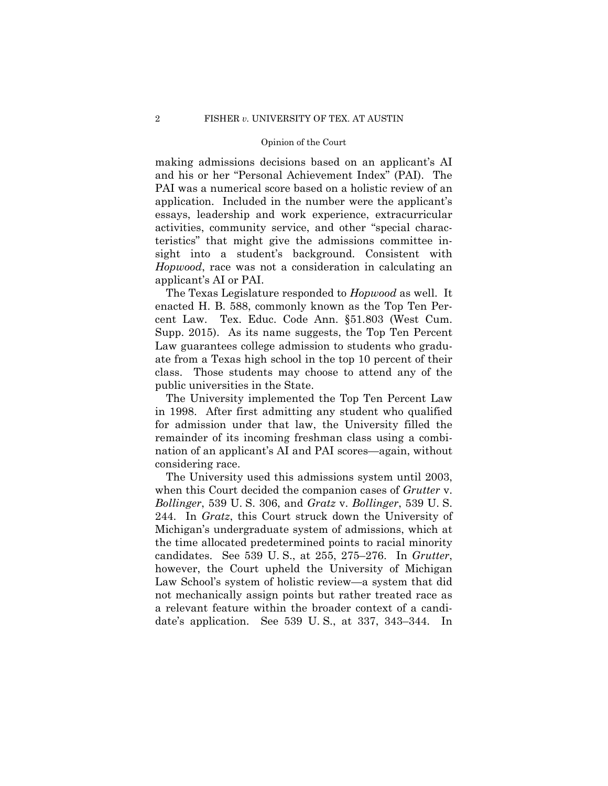making admissions decisions based on an applicant's AI and his or her "Personal Achievement Index" (PAI). The PAI was a numerical score based on a holistic review of an application. Included in the number were the applicant's essays, leadership and work experience, extracurricular activities, community service, and other "special characteristics" that might give the admissions committee insight into a student's background. Consistent with *Hopwood*, race was not a consideration in calculating an applicant's AI or PAI.

The Texas Legislature responded to *Hopwood* as well. It enacted H. B. 588, commonly known as the Top Ten Percent Law. Tex. Educ. Code Ann. §51.803 (West Cum. Supp. 2015). As its name suggests, the Top Ten Percent Law guarantees college admission to students who graduate from a Texas high school in the top 10 percent of their class. Those students may choose to attend any of the public universities in the State.

The University implemented the Top Ten Percent Law in 1998. After first admitting any student who qualified for admission under that law, the University filled the remainder of its incoming freshman class using a combination of an applicant's AI and PAI scores—again, without considering race.

The University used this admissions system until 2003, when this Court decided the companion cases of *Grutter* v. *Bollinger*, 539 U. S. 306, and *Gratz* v. *Bollinger*, 539 U. S. 244. In *Gratz*, this Court struck down the University of Michigan's undergraduate system of admissions, which at the time allocated predetermined points to racial minority candidates. See 539 U. S., at 255, 275–276. In *Grutter*, however, the Court upheld the University of Michigan Law School's system of holistic review—a system that did not mechanically assign points but rather treated race as a relevant feature within the broader context of a candidate's application. See 539 U. S., at 337, 343–344. In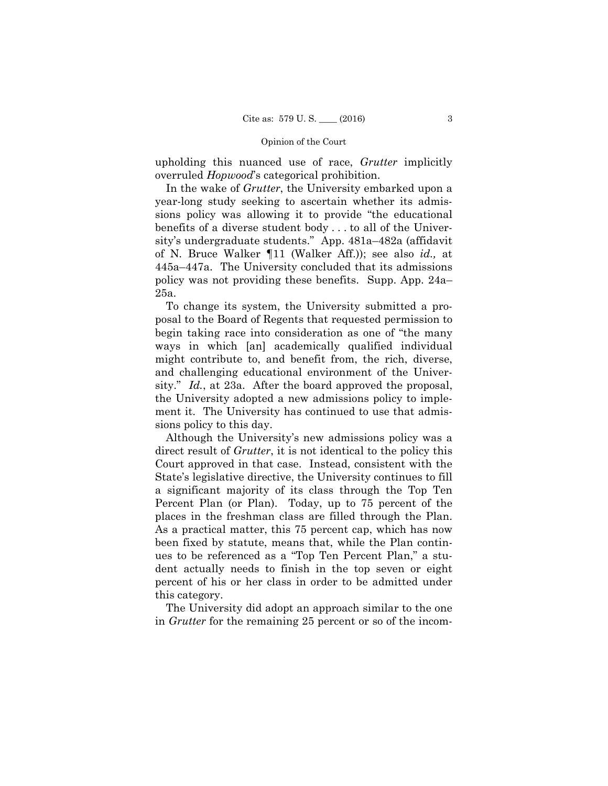upholding this nuanced use of race, *Grutter* implicitly overruled *Hopwood*'s categorical prohibition.

In the wake of *Grutter*, the University embarked upon a year-long study seeking to ascertain whether its admissions policy was allowing it to provide "the educational benefits of a diverse student body . . . to all of the University's undergraduate students." App. 481a–482a (affidavit of N. Bruce Walker ¶11 (Walker Aff.)); see also *id.,* at 445a–447a. The University concluded that its admissions policy was not providing these benefits. Supp. App. 24a– 25a.

To change its system, the University submitted a proposal to the Board of Regents that requested permission to begin taking race into consideration as one of "the many ways in which [an] academically qualified individual might contribute to, and benefit from, the rich, diverse, and challenging educational environment of the University." *Id.*, at 23a. After the board approved the proposal, the University adopted a new admissions policy to implement it. The University has continued to use that admissions policy to this day.

Although the University's new admissions policy was a direct result of *Grutter*, it is not identical to the policy this Court approved in that case. Instead, consistent with the State's legislative directive, the University continues to fill a significant majority of its class through the Top Ten Percent Plan (or Plan). Today, up to 75 percent of the places in the freshman class are filled through the Plan. As a practical matter, this 75 percent cap, which has now been fixed by statute, means that, while the Plan continues to be referenced as a "Top Ten Percent Plan," a student actually needs to finish in the top seven or eight percent of his or her class in order to be admitted under this category.

The University did adopt an approach similar to the one in *Grutter* for the remaining 25 percent or so of the incom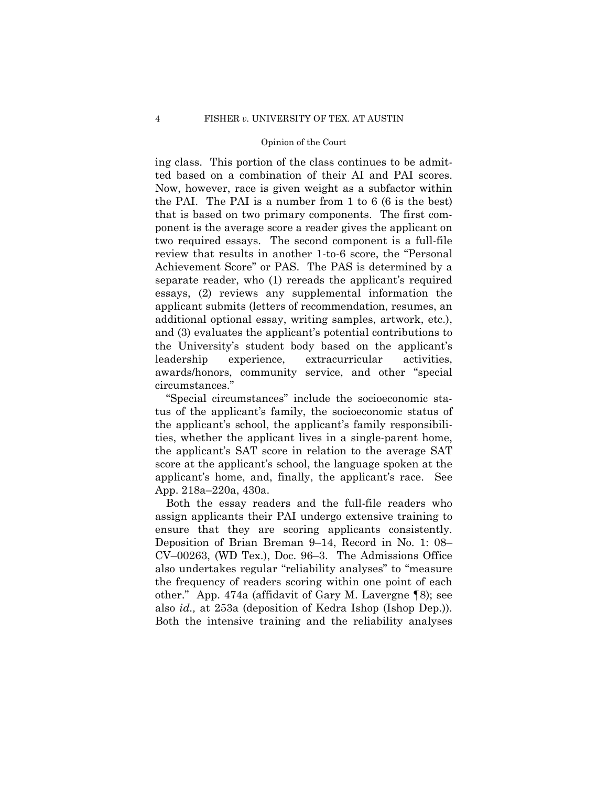ing class. This portion of the class continues to be admitted based on a combination of their AI and PAI scores. Now, however, race is given weight as a subfactor within the PAI. The PAI is a number from 1 to 6 (6 is the best) that is based on two primary components. The first component is the average score a reader gives the applicant on two required essays. The second component is a full-file review that results in another 1-to-6 score, the "Personal Achievement Score" or PAS. The PAS is determined by a separate reader, who (1) rereads the applicant's required essays, (2) reviews any supplemental information the applicant submits (letters of recommendation, resumes, an additional optional essay, writing samples, artwork, etc.), and (3) evaluates the applicant's potential contributions to the University's student body based on the applicant's leadership experience, extracurricular activities, awards/honors, community service, and other "special circumstances."

"Special circumstances" include the socioeconomic status of the applicant's family, the socioeconomic status of the applicant's school, the applicant's family responsibilities, whether the applicant lives in a single-parent home, the applicant's SAT score in relation to the average SAT score at the applicant's school, the language spoken at the applicant's home, and, finally, the applicant's race. See App. 218a–220a, 430a.

Both the essay readers and the full-file readers who assign applicants their PAI undergo extensive training to ensure that they are scoring applicants consistently. Deposition of Brian Breman 9–14, Record in No. 1: 08– CV–00263, (WD Tex.), Doc. 96–3. The Admissions Office also undertakes regular "reliability analyses" to "measure the frequency of readers scoring within one point of each other." App. 474a (affidavit of Gary M. Lavergne ¶8); see also *id.,* at 253a (deposition of Kedra Ishop (Ishop Dep.)). Both the intensive training and the reliability analyses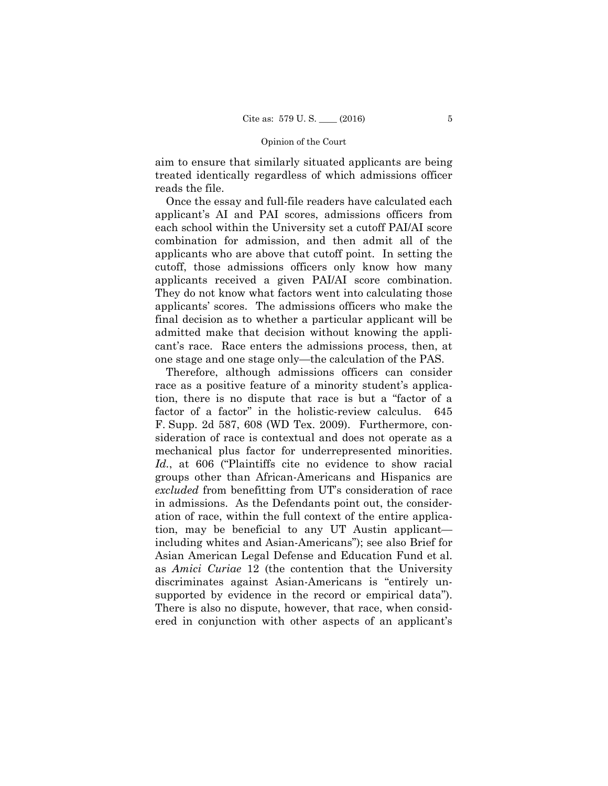aim to ensure that similarly situated applicants are being treated identically regardless of which admissions officer reads the file.

Once the essay and full-file readers have calculated each applicant's AI and PAI scores, admissions officers from each school within the University set a cutoff PAI/AI score combination for admission, and then admit all of the applicants who are above that cutoff point. In setting the cutoff, those admissions officers only know how many applicants received a given PAI/AI score combination. They do not know what factors went into calculating those applicants' scores. The admissions officers who make the final decision as to whether a particular applicant will be admitted make that decision without knowing the applicant's race. Race enters the admissions process, then, at one stage and one stage only—the calculation of the PAS.

Therefore, although admissions officers can consider race as a positive feature of a minority student's application, there is no dispute that race is but a "factor of a factor of a factor" in the holistic-review calculus. 645 F. Supp. 2d 587, 608 (WD Tex. 2009). Furthermore, consideration of race is contextual and does not operate as a mechanical plus factor for underrepresented minorities. *Id.*, at 606 ("Plaintiffs cite no evidence to show racial groups other than African-Americans and Hispanics are *excluded* from benefitting from UT's consideration of race in admissions. As the Defendants point out, the consideration of race, within the full context of the entire application, may be beneficial to any UT Austin applicant including whites and Asian-Americans"); see also Brief for Asian American Legal Defense and Education Fund et al. as *Amici Curiae* 12 (the contention that the University discriminates against Asian-Americans is "entirely unsupported by evidence in the record or empirical data"). There is also no dispute, however, that race, when considered in conjunction with other aspects of an applicant's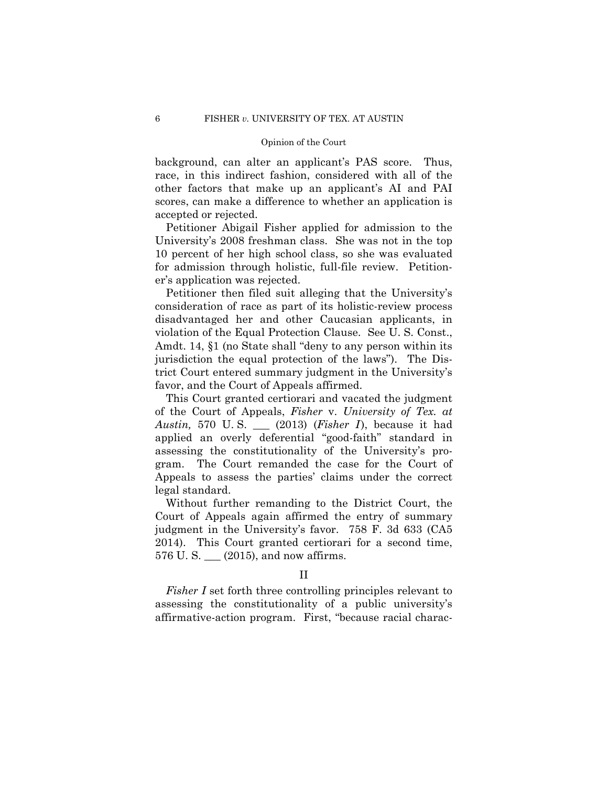background, can alter an applicant's PAS score. Thus, race, in this indirect fashion, considered with all of the other factors that make up an applicant's AI and PAI scores, can make a difference to whether an application is accepted or rejected.

Petitioner Abigail Fisher applied for admission to the University's 2008 freshman class. She was not in the top 10 percent of her high school class, so she was evaluated for admission through holistic, full-file review. Petitioner's application was rejected.

Petitioner then filed suit alleging that the University's consideration of race as part of its holistic-review process disadvantaged her and other Caucasian applicants, in violation of the Equal Protection Clause. See U. S. Const., Amdt. 14, §1 (no State shall "deny to any person within its jurisdiction the equal protection of the laws"). The District Court entered summary judgment in the University's favor, and the Court of Appeals affirmed.

This Court granted certiorari and vacated the judgment of the Court of Appeals, *Fisher* v. *University of Tex. at Austin,* 570 U.S. \_\_ (2013) (*Fisher I*), because it had applied an overly deferential "good-faith" standard in assessing the constitutionality of the University's program. The Court remanded the case for the Court of Appeals to assess the parties' claims under the correct legal standard.

Without further remanding to the District Court, the Court of Appeals again affirmed the entry of summary judgment in the University's favor. 758 F. 3d 633 (CA5 2014). This Court granted certiorari for a second time,  $576$  U. S.  $\_\_$  (2015), and now affirms.

# II

*Fisher I* set forth three controlling principles relevant to assessing the constitutionality of a public university's affirmative-action program. First, "because racial charac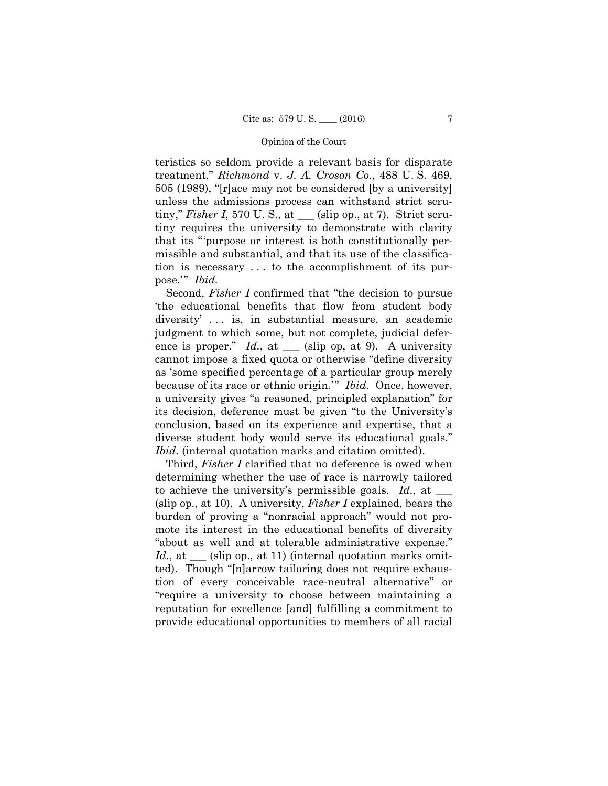teristics so seldom provide a relevant basis for disparate treatment," *Richmond* v. *J. A. Croson Co.,* 488 U. S. 469, 505 (1989), "[r]ace may not be considered [by a university] unless the admissions process can withstand strict scrutiny," *Fisher I*, 570 U. S., at \_\_\_ (slip op., at 7). Strict scrutiny requires the university to demonstrate with clarity that its "'purpose or interest is both constitutionally permissible and substantial, and that its use of the classification is necessary . . . to the accomplishment of its purpose.'" *Ibid.* 

Second, *Fisher I* confirmed that "the decision to pursue 'the educational benefits that flow from student body diversity' . . . is, in substantial measure, an academic judgment to which some, but not complete, judicial deference is proper."  $Id.$ , at  $\_\_\_\$  (slip op, at 9). A university cannot impose a fixed quota or otherwise "define diversity as 'some specified percentage of a particular group merely because of its race or ethnic origin.'" *Ibid.* Once, however, a university gives "a reasoned, principled explanation" for its decision, deference must be given "to the University's conclusion, based on its experience and expertise, that a diverse student body would serve its educational goals." *Ibid.* (internal quotation marks and citation omitted).

 to achieve the university's permissible goals. *Id.*, at \_\_\_ Third, *Fisher I* clarified that no deference is owed when determining whether the use of race is narrowly tailored (slip op., at 10). A university, *Fisher I* explained, bears the burden of proving a "nonracial approach" would not promote its interest in the educational benefits of diversity "about as well and at tolerable administrative expense." *Id.*, at <u>each</u> (slip op., at 11) (internal quotation marks omitted). Though "[n]arrow tailoring does not require exhaustion of every conceivable race-neutral alternative" or "require a university to choose between maintaining a reputation for excellence [and] fulfilling a commitment to provide educational opportunities to members of all racial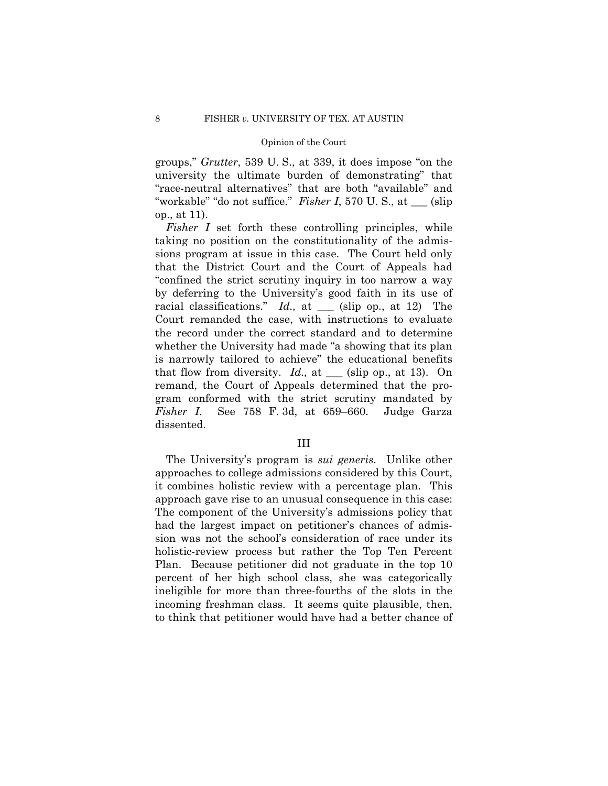groups," *Grutter*, 539 U. S., at 339, it does impose "on the university the ultimate burden of demonstrating" that "race-neutral alternatives" that are both "available" and "workable" "do not suffice." *Fisher I*, 570 U. S., at \_\_\_ (slip op., at 11).

*Fisher I* set forth these controlling principles, while taking no position on the constitutionality of the admissions program at issue in this case. The Court held only that the District Court and the Court of Appeals had "confined the strict scrutiny inquiry in too narrow a way by deferring to the University's good faith in its use of racial classifications." *Id.*, at <u>section</u> (slip op., at 12) The Court remanded the case, with instructions to evaluate the record under the correct standard and to determine whether the University had made "a showing that its plan is narrowly tailored to achieve" the educational benefits that flow from diversity.  $Id.$ , at  $\_\_\_\$  (slip op., at 13). On remand, the Court of Appeals determined that the program conformed with the strict scrutiny mandated by *Fisher I*. See 758 F. 3d, at 659–660. Judge Garza dissented.

# III

The University's program is *sui generis*. Unlike other approaches to college admissions considered by this Court, it combines holistic review with a percentage plan. This approach gave rise to an unusual consequence in this case: The component of the University's admissions policy that had the largest impact on petitioner's chances of admission was not the school's consideration of race under its holistic-review process but rather the Top Ten Percent Plan. Because petitioner did not graduate in the top 10 percent of her high school class, she was categorically ineligible for more than three-fourths of the slots in the incoming freshman class. It seems quite plausible, then, to think that petitioner would have had a better chance of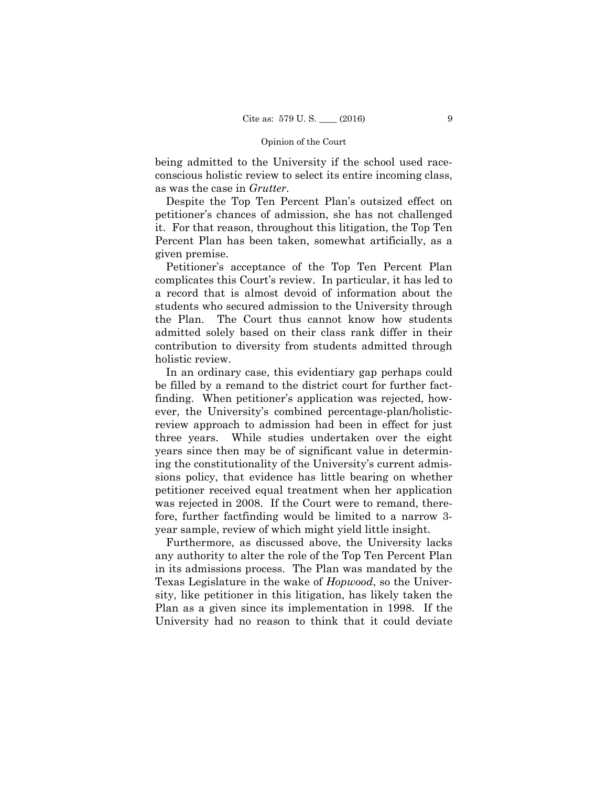being admitted to the University if the school used raceconscious holistic review to select its entire incoming class, as was the case in *Grutter*.

Despite the Top Ten Percent Plan's outsized effect on petitioner's chances of admission, she has not challenged it. For that reason, throughout this litigation, the Top Ten Percent Plan has been taken, somewhat artificially, as a given premise.

Petitioner's acceptance of the Top Ten Percent Plan complicates this Court's review. In particular, it has led to a record that is almost devoid of information about the students who secured admission to the University through the Plan. The Court thus cannot know how students admitted solely based on their class rank differ in their contribution to diversity from students admitted through holistic review.

In an ordinary case, this evidentiary gap perhaps could be filled by a remand to the district court for further factfinding. When petitioner's application was rejected, however, the University's combined percentage-plan/holisticreview approach to admission had been in effect for just three years. While studies undertaken over the eight years since then may be of significant value in determining the constitutionality of the University's current admissions policy, that evidence has little bearing on whether petitioner received equal treatment when her application was rejected in 2008. If the Court were to remand, therefore, further factfinding would be limited to a narrow 3 year sample, review of which might yield little insight.

Furthermore, as discussed above, the University lacks any authority to alter the role of the Top Ten Percent Plan in its admissions process. The Plan was mandated by the Texas Legislature in the wake of *Hopwood*, so the University, like petitioner in this litigation, has likely taken the Plan as a given since its implementation in 1998. If the University had no reason to think that it could deviate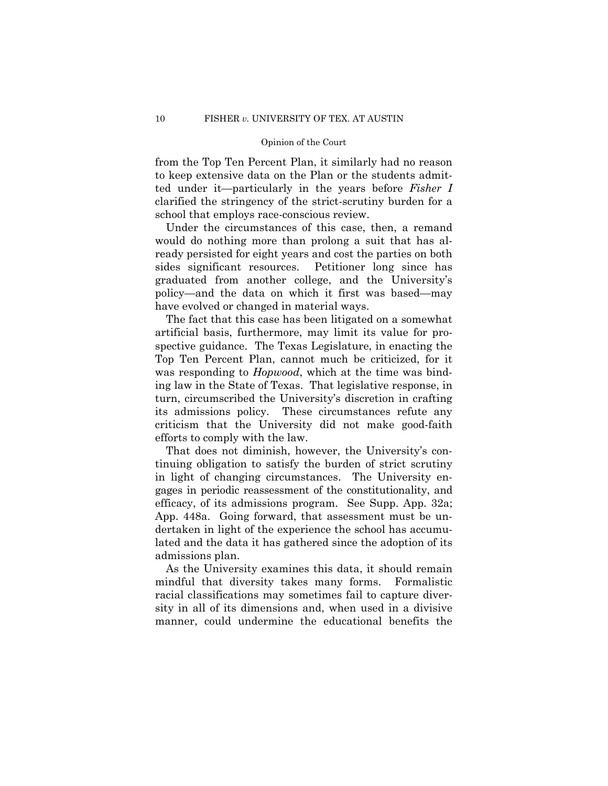from the Top Ten Percent Plan, it similarly had no reason to keep extensive data on the Plan or the students admitted under it—particularly in the years before *Fisher I*  clarified the stringency of the strict-scrutiny burden for a school that employs race-conscious review.

Under the circumstances of this case, then, a remand would do nothing more than prolong a suit that has already persisted for eight years and cost the parties on both sides significant resources. Petitioner long since has graduated from another college, and the University's policy—and the data on which it first was based—may have evolved or changed in material ways.

The fact that this case has been litigated on a somewhat artificial basis, furthermore, may limit its value for prospective guidance. The Texas Legislature, in enacting the Top Ten Percent Plan, cannot much be criticized, for it was responding to *Hopwood*, which at the time was binding law in the State of Texas. That legislative response, in turn, circumscribed the University's discretion in crafting its admissions policy. These circumstances refute any criticism that the University did not make good-faith efforts to comply with the law.

That does not diminish, however, the University's continuing obligation to satisfy the burden of strict scrutiny in light of changing circumstances. The University engages in periodic reassessment of the constitutionality, and efficacy, of its admissions program. See Supp. App. 32a; App. 448a. Going forward, that assessment must be undertaken in light of the experience the school has accumulated and the data it has gathered since the adoption of its admissions plan.

As the University examines this data, it should remain mindful that diversity takes many forms. Formalistic racial classifications may sometimes fail to capture diversity in all of its dimensions and, when used in a divisive manner, could undermine the educational benefits the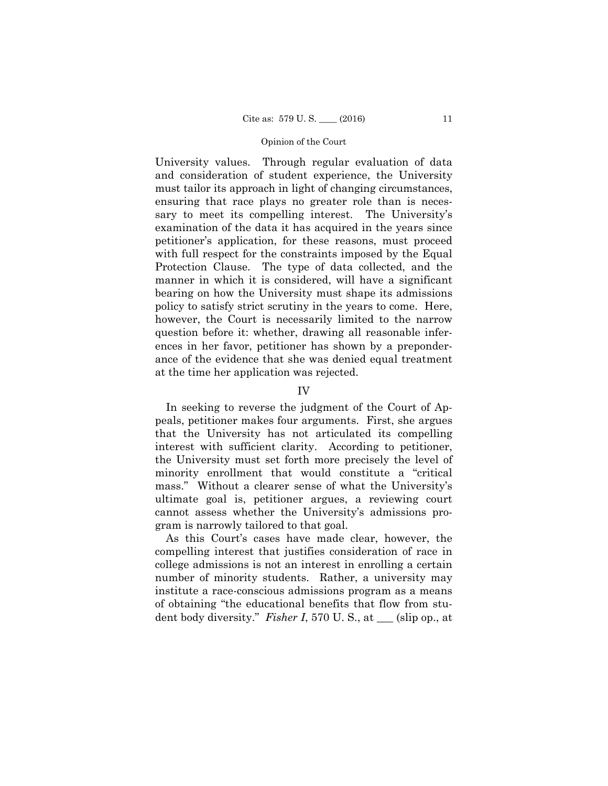University values. Through regular evaluation of data and consideration of student experience, the University must tailor its approach in light of changing circumstances, ensuring that race plays no greater role than is necessary to meet its compelling interest. The University's examination of the data it has acquired in the years since petitioner's application, for these reasons, must proceed with full respect for the constraints imposed by the Equal Protection Clause. The type of data collected, and the manner in which it is considered, will have a significant bearing on how the University must shape its admissions policy to satisfy strict scrutiny in the years to come. Here, however, the Court is necessarily limited to the narrow question before it: whether, drawing all reasonable inferences in her favor, petitioner has shown by a preponderance of the evidence that she was denied equal treatment at the time her application was rejected.

### IV

In seeking to reverse the judgment of the Court of Appeals, petitioner makes four arguments. First, she argues that the University has not articulated its compelling interest with sufficient clarity. According to petitioner, the University must set forth more precisely the level of minority enrollment that would constitute a "critical mass." Without a clearer sense of what the University's ultimate goal is, petitioner argues, a reviewing court cannot assess whether the University's admissions program is narrowly tailored to that goal.

As this Court's cases have made clear, however, the compelling interest that justifies consideration of race in college admissions is not an interest in enrolling a certain number of minority students. Rather, a university may institute a race-conscious admissions program as a means of obtaining "the educational benefits that flow from student body diversity." *Fisher I*, 570 U. S., at \_\_\_ (slip op., at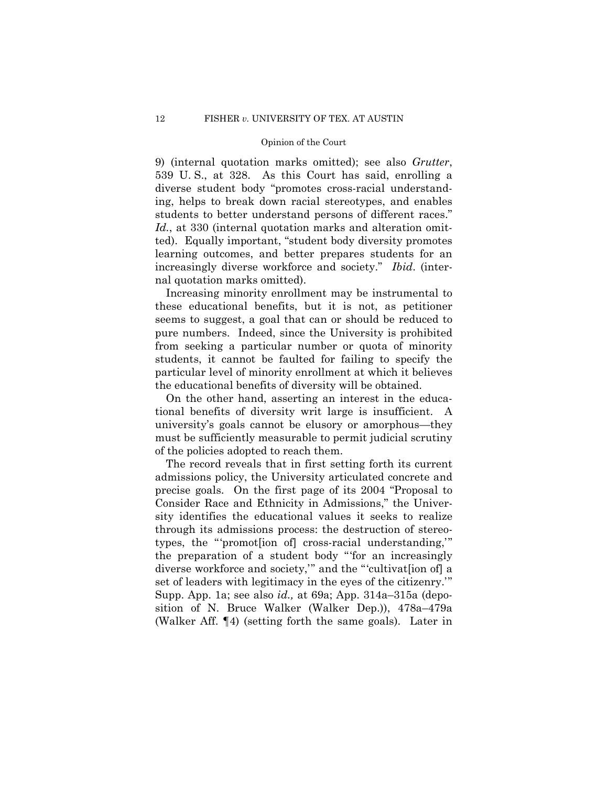9) (internal quotation marks omitted); see also *Grutter*, 539 U. S., at 328. As this Court has said, enrolling a diverse student body "promotes cross-racial understanding, helps to break down racial stereotypes, and enables students to better understand persons of different races." *Id.*, at 330 (internal quotation marks and alteration omitted). Equally important, "student body diversity promotes learning outcomes, and better prepares students for an increasingly diverse workforce and society." *Ibid*. (internal quotation marks omitted).

Increasing minority enrollment may be instrumental to these educational benefits, but it is not, as petitioner seems to suggest, a goal that can or should be reduced to pure numbers. Indeed, since the University is prohibited from seeking a particular number or quota of minority students, it cannot be faulted for failing to specify the particular level of minority enrollment at which it believes the educational benefits of diversity will be obtained.

On the other hand, asserting an interest in the educational benefits of diversity writ large is insufficient. A university's goals cannot be elusory or amorphous—they must be sufficiently measurable to permit judicial scrutiny of the policies adopted to reach them.

The record reveals that in first setting forth its current admissions policy, the University articulated concrete and precise goals. On the first page of its 2004 "Proposal to Consider Race and Ethnicity in Admissions," the University identifies the educational values it seeks to realize through its admissions process: the destruction of stereotypes, the "'promot[ion of] cross-racial understanding,'" the preparation of a student body "'for an increasingly diverse workforce and society,'" and the "'cultivat[ion of] a set of leaders with legitimacy in the eyes of the citizenry.'" Supp. App. 1a; see also *id.,* at 69a; App. 314a–315a (deposition of N. Bruce Walker (Walker Dep.)), 478a–479a (Walker Aff. ¶4) (setting forth the same goals). Later in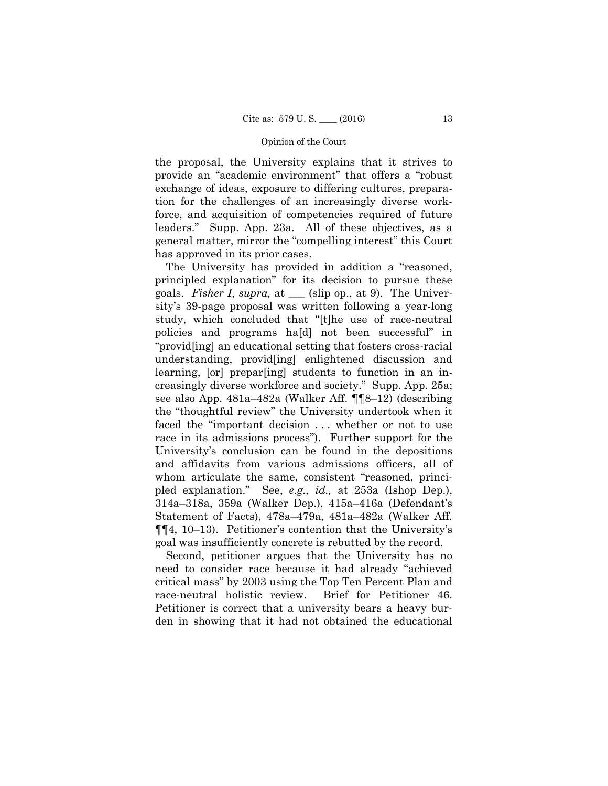the proposal, the University explains that it strives to provide an "academic environment" that offers a "robust exchange of ideas, exposure to differing cultures, preparation for the challenges of an increasingly diverse workforce, and acquisition of competencies required of future leaders." Supp. App. 23a. All of these objectives, as a general matter, mirror the "compelling interest" this Court has approved in its prior cases.

The University has provided in addition a "reasoned, principled explanation" for its decision to pursue these goals. *Fisher I*, *supra,* at \_\_\_ (slip op., at 9). The University's 39-page proposal was written following a year-long study, which concluded that "[t]he use of race-neutral policies and programs ha[d] not been successful" in "provid[ing] an educational setting that fosters cross-racial understanding, provid[ing] enlightened discussion and learning, [or] prepar[ing] students to function in an increasingly diverse workforce and society." Supp. App. 25a; see also App. 481a–482a (Walker Aff. ¶¶8–12) (describing the "thoughtful review" the University undertook when it faced the "important decision ... whether or not to use race in its admissions process"). Further support for the University's conclusion can be found in the depositions and affidavits from various admissions officers, all of whom articulate the same, consistent "reasoned, principled explanation." See, *e.g., id.,* at 253a (Ishop Dep.), 314a–318a, 359a (Walker Dep.), 415a–416a (Defendant's Statement of Facts), 478a–479a, 481a–482a (Walker Aff. ¶¶4, 10–13). Petitioner's contention that the University's goal was insufficiently concrete is rebutted by the record.

Second, petitioner argues that the University has no need to consider race because it had already "achieved critical mass" by 2003 using the Top Ten Percent Plan and race-neutral holistic review. Brief for Petitioner 46. Petitioner is correct that a university bears a heavy burden in showing that it had not obtained the educational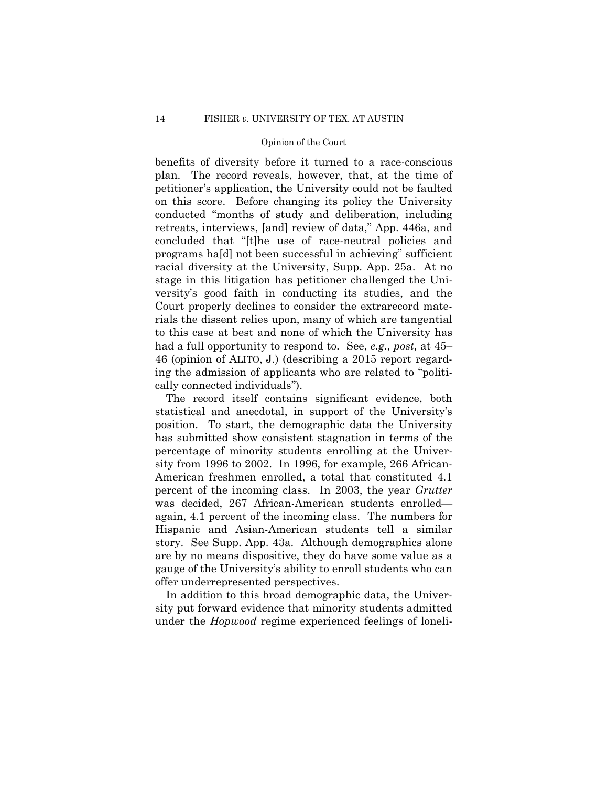benefits of diversity before it turned to a race-conscious plan. The record reveals, however, that, at the time of petitioner's application, the University could not be faulted on this score. Before changing its policy the University conducted "months of study and deliberation, including retreats, interviews, [and] review of data," App. 446a, and concluded that "[t]he use of race-neutral policies and programs ha[d] not been successful in achieving" sufficient racial diversity at the University, Supp. App. 25a. At no stage in this litigation has petitioner challenged the University's good faith in conducting its studies, and the Court properly declines to consider the extrarecord materials the dissent relies upon, many of which are tangential to this case at best and none of which the University has had a full opportunity to respond to. See, *e.g., post,* at 45– 46 (opinion of ALITO, J.) (describing a 2015 report regarding the admission of applicants who are related to ''politically connected individuals'').

The record itself contains significant evidence, both statistical and anecdotal, in support of the University's position. To start, the demographic data the University has submitted show consistent stagnation in terms of the percentage of minority students enrolling at the University from 1996 to 2002. In 1996, for example, 266 African-American freshmen enrolled, a total that constituted 4.1 percent of the incoming class. In 2003, the year *Grutter*  was decided, 267 African-American students enrolled again, 4.1 percent of the incoming class. The numbers for Hispanic and Asian-American students tell a similar story. See Supp. App. 43a. Although demographics alone are by no means dispositive, they do have some value as a gauge of the University's ability to enroll students who can offer underrepresented perspectives.

In addition to this broad demographic data, the University put forward evidence that minority students admitted under the *Hopwood* regime experienced feelings of loneli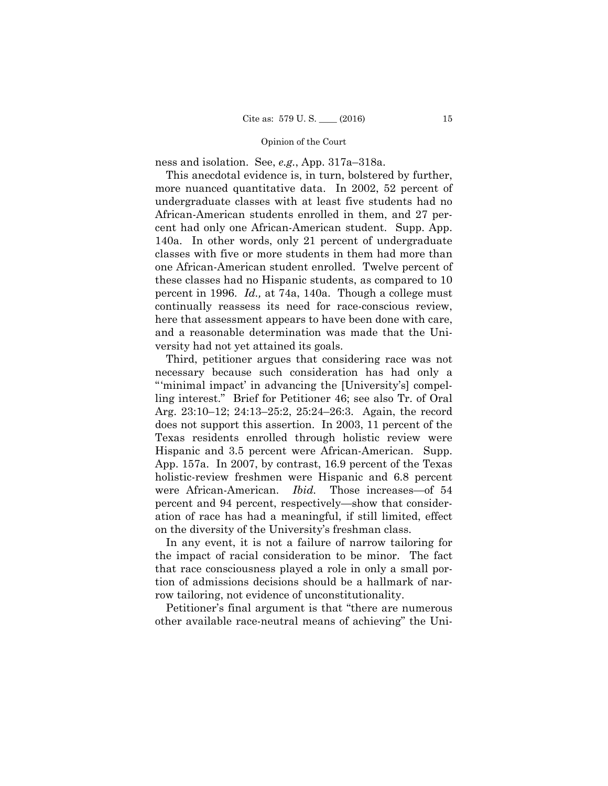ness and isolation. See, *e.g.*, App. 317a–318a.

This anecdotal evidence is, in turn, bolstered by further, more nuanced quantitative data. In 2002, 52 percent of undergraduate classes with at least five students had no African-American students enrolled in them, and 27 percent had only one African-American student. Supp. App. 140a. In other words, only 21 percent of undergraduate classes with five or more students in them had more than one African-American student enrolled. Twelve percent of these classes had no Hispanic students, as compared to 10 percent in 1996. *Id.,* at 74a, 140a. Though a college must continually reassess its need for race-conscious review, here that assessment appears to have been done with care, and a reasonable determination was made that the University had not yet attained its goals.

Third, petitioner argues that considering race was not necessary because such consideration has had only a "'minimal impact' in advancing the [University's] compelling interest." Brief for Petitioner 46; see also Tr. of Oral Arg. 23:10–12; 24:13–25:2, 25:24–26:3. Again, the record does not support this assertion. In 2003, 11 percent of the Texas residents enrolled through holistic review were Hispanic and 3.5 percent were African-American. Supp. App. 157a. In 2007, by contrast, 16.9 percent of the Texas holistic-review freshmen were Hispanic and 6.8 percent were African-American. *Ibid.* Those increases—of 54 percent and 94 percent, respectively—show that consideration of race has had a meaningful, if still limited, effect on the diversity of the University's freshman class.

In any event, it is not a failure of narrow tailoring for the impact of racial consideration to be minor. The fact that race consciousness played a role in only a small portion of admissions decisions should be a hallmark of narrow tailoring, not evidence of unconstitutionality.

Petitioner's final argument is that "there are numerous other available race-neutral means of achieving" the Uni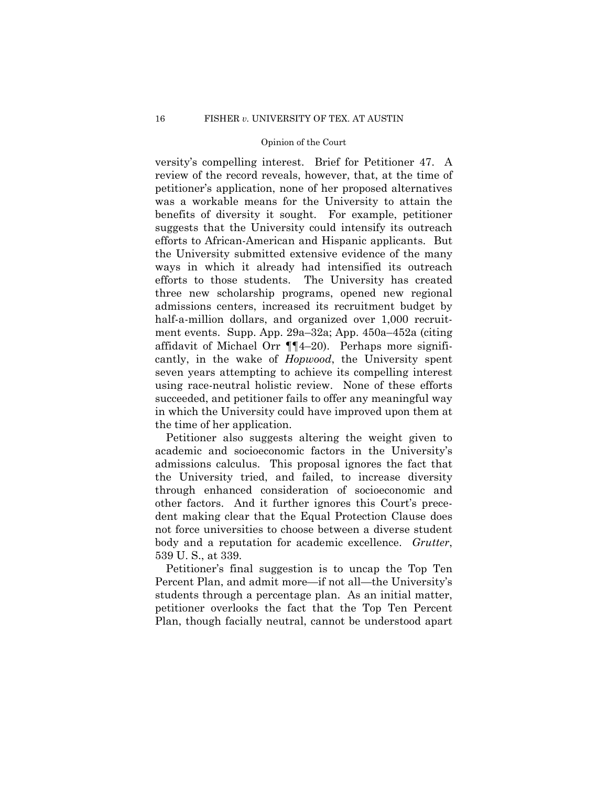versity's compelling interest. Brief for Petitioner 47. A review of the record reveals, however, that, at the time of petitioner's application, none of her proposed alternatives was a workable means for the University to attain the benefits of diversity it sought. For example, petitioner suggests that the University could intensify its outreach efforts to African-American and Hispanic applicants. But the University submitted extensive evidence of the many ways in which it already had intensified its outreach efforts to those students. The University has created three new scholarship programs, opened new regional admissions centers, increased its recruitment budget by half-a-million dollars, and organized over 1,000 recruitment events. Supp. App. 29a–32a; App. 450a–452a (citing affidavit of Michael Orr ¶¶4–20). Perhaps more significantly, in the wake of *Hopwood*, the University spent seven years attempting to achieve its compelling interest using race-neutral holistic review. None of these efforts succeeded, and petitioner fails to offer any meaningful way in which the University could have improved upon them at the time of her application.

Petitioner also suggests altering the weight given to academic and socioeconomic factors in the University's admissions calculus. This proposal ignores the fact that the University tried, and failed, to increase diversity through enhanced consideration of socioeconomic and other factors. And it further ignores this Court's precedent making clear that the Equal Protection Clause does not force universities to choose between a diverse student body and a reputation for academic excellence. *Grutter*, 539 U. S., at 339.

Petitioner's final suggestion is to uncap the Top Ten Percent Plan, and admit more—if not all—the University's students through a percentage plan. As an initial matter, petitioner overlooks the fact that the Top Ten Percent Plan, though facially neutral, cannot be understood apart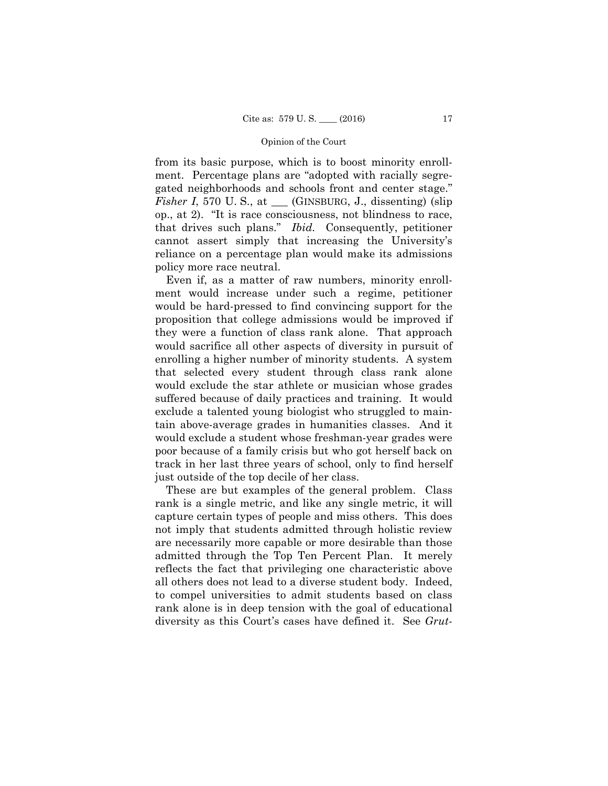that drives such plans." *Ibid.* Consequently, petitioner from its basic purpose, which is to boost minority enrollment. Percentage plans are "adopted with racially segregated neighborhoods and schools front and center stage." *Fisher I*, 570 U.S., at \_\_\_ (GINSBURG, J., dissenting) (slip op., at 2). "It is race consciousness, not blindness to race, cannot assert simply that increasing the University's reliance on a percentage plan would make its admissions policy more race neutral.

Even if, as a matter of raw numbers, minority enrollment would increase under such a regime, petitioner would be hard-pressed to find convincing support for the proposition that college admissions would be improved if they were a function of class rank alone. That approach would sacrifice all other aspects of diversity in pursuit of enrolling a higher number of minority students. A system that selected every student through class rank alone would exclude the star athlete or musician whose grades suffered because of daily practices and training. It would exclude a talented young biologist who struggled to maintain above-average grades in humanities classes. And it would exclude a student whose freshman-year grades were poor because of a family crisis but who got herself back on track in her last three years of school, only to find herself just outside of the top decile of her class.

These are but examples of the general problem. Class rank is a single metric, and like any single metric, it will capture certain types of people and miss others. This does not imply that students admitted through holistic review are necessarily more capable or more desirable than those admitted through the Top Ten Percent Plan. It merely reflects the fact that privileging one characteristic above all others does not lead to a diverse student body. Indeed, to compel universities to admit students based on class rank alone is in deep tension with the goal of educational diversity as this Court's cases have defined it. See *Grut-*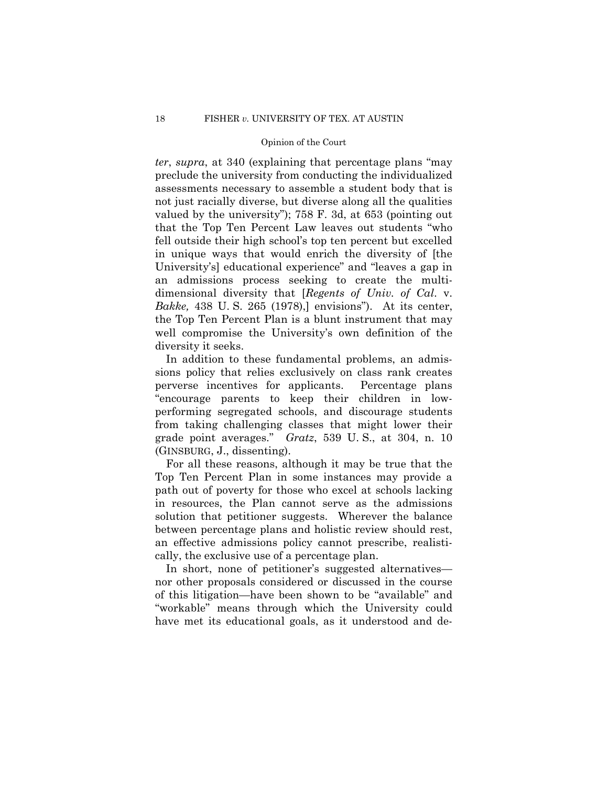*ter*, *supra*, at 340 (explaining that percentage plans "may preclude the university from conducting the individualized assessments necessary to assemble a student body that is not just racially diverse, but diverse along all the qualities valued by the university"); 758 F. 3d, at 653 (pointing out that the Top Ten Percent Law leaves out students "who fell outside their high school's top ten percent but excelled in unique ways that would enrich the diversity of [the University's] educational experience" and "leaves a gap in an admissions process seeking to create the multidimensional diversity that [*Regents of Univ. of Cal*. v. *Bakke,* 438 U. S. 265 (1978),] envisions"). At its center, the Top Ten Percent Plan is a blunt instrument that may well compromise the University's own definition of the diversity it seeks.

In addition to these fundamental problems, an admissions policy that relies exclusively on class rank creates perverse incentives for applicants. Percentage plans "encourage parents to keep their children in lowperforming segregated schools, and discourage students from taking challenging classes that might lower their grade point averages." *Gratz*, 539 U. S., at 304, n. 10 (GINSBURG, J., dissenting).

For all these reasons, although it may be true that the Top Ten Percent Plan in some instances may provide a path out of poverty for those who excel at schools lacking in resources, the Plan cannot serve as the admissions solution that petitioner suggests. Wherever the balance between percentage plans and holistic review should rest, an effective admissions policy cannot prescribe, realistically, the exclusive use of a percentage plan.

In short, none of petitioner's suggested alternatives nor other proposals considered or discussed in the course of this litigation—have been shown to be "available" and "workable" means through which the University could have met its educational goals, as it understood and de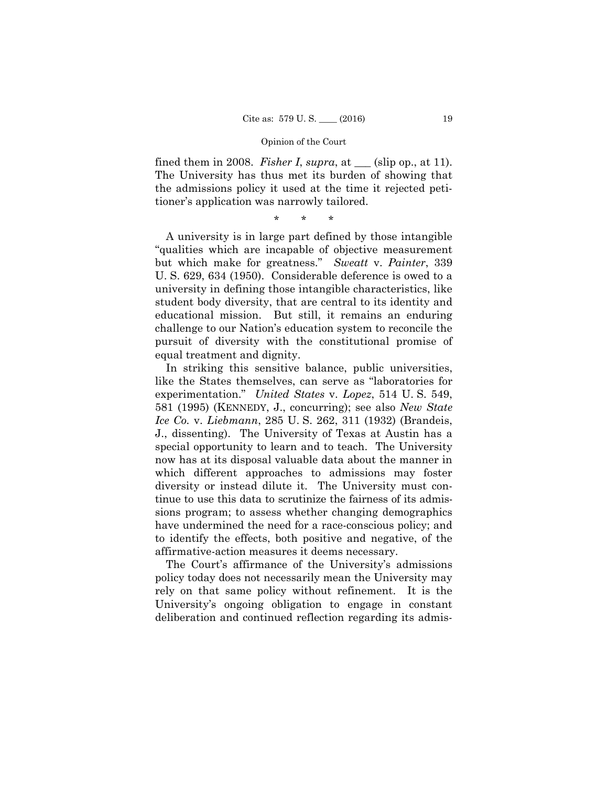fined them in 2008. *Fisher I*, *supra*, at  $\_\_\_\$  (slip op., at 11). The University has thus met its burden of showing that the admissions policy it used at the time it rejected petitioner's application was narrowly tailored.

\* \* \*

A university is in large part defined by those intangible "qualities which are incapable of objective measurement but which make for greatness." *Sweatt* v. *Painter*, 339 U. S. 629, 634 (1950). Considerable deference is owed to a university in defining those intangible characteristics, like student body diversity, that are central to its identity and educational mission. But still, it remains an enduring challenge to our Nation's education system to reconcile the pursuit of diversity with the constitutional promise of equal treatment and dignity.

In striking this sensitive balance, public universities, like the States themselves, can serve as "laboratories for experimentation." *United States* v. *Lopez*, 514 U. S. 549, 581 (1995) (KENNEDY, J., concurring); see also *New State Ice Co.* v. *Liebmann*, 285 U. S. 262, 311 (1932) (Brandeis, J., dissenting). The University of Texas at Austin has a special opportunity to learn and to teach. The University now has at its disposal valuable data about the manner in which different approaches to admissions may foster diversity or instead dilute it. The University must continue to use this data to scrutinize the fairness of its admissions program; to assess whether changing demographics have undermined the need for a race-conscious policy; and to identify the effects, both positive and negative, of the affirmative-action measures it deems necessary.

The Court's affirmance of the University's admissions policy today does not necessarily mean the University may rely on that same policy without refinement. It is the University's ongoing obligation to engage in constant deliberation and continued reflection regarding its admis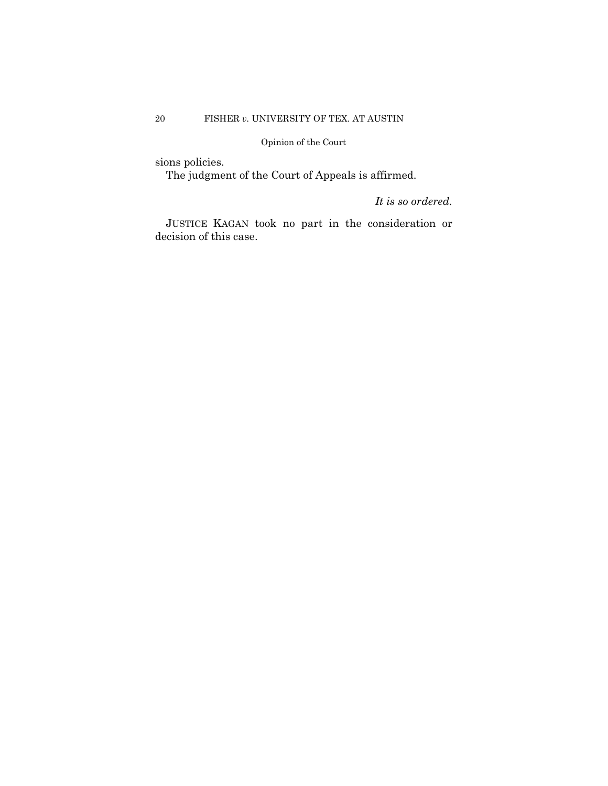sions policies.

The judgment of the Court of Appeals is affirmed.

*It is so ordered.*

 JUSTICE KAGAN took no part in the consideration or decision of this case.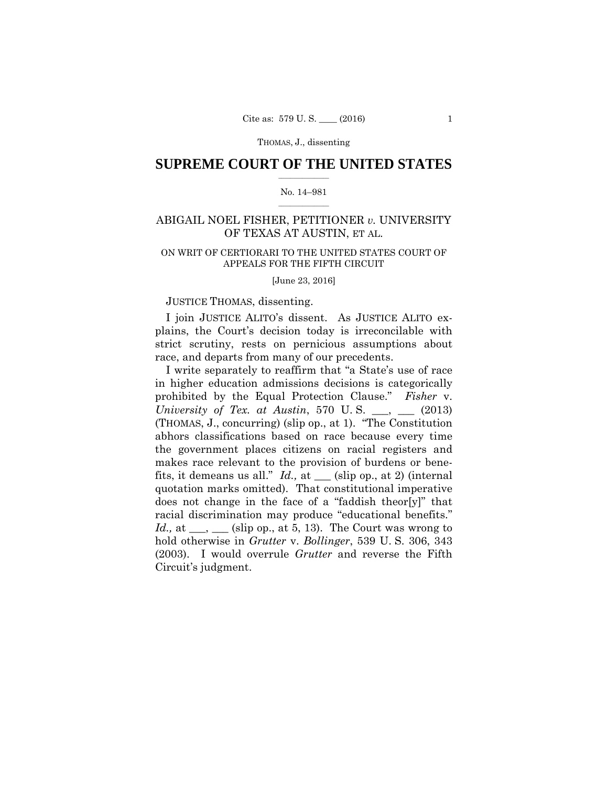THOMAS, J., dissenting

# $\frac{1}{2}$  , where  $\frac{1}{2}$ **SUPREME COURT OF THE UNITED STATES**

#### $\frac{1}{2}$  ,  $\frac{1}{2}$  ,  $\frac{1}{2}$  ,  $\frac{1}{2}$  ,  $\frac{1}{2}$  ,  $\frac{1}{2}$ No. 14–981

# ABIGAIL NOEL FISHER, PETITIONER *v.* UNIVERSITY OF TEXAS AT AUSTIN, ET AL.

# ON WRIT OF CERTIORARI TO THE UNITED STATES COURT OF APPEALS FOR THE FIFTH CIRCUIT

[June 23, 2016]

# JUSTICE THOMAS, dissenting.

I join JUSTICE ALITO's dissent. As JUSTICE ALITO explains, the Court's decision today is irreconcilable with strict scrutiny, rests on pernicious assumptions about race, and departs from many of our precedents.

I write separately to reaffirm that "a State's use of race in higher education admissions decisions is categorically prohibited by the Equal Protection Clause." *Fisher* v. *University of Tex. at Austin,* 570 U.S. \_\_, \_\_ (2013) (THOMAS, J., concurring) (slip op., at 1). "The Constitution abhors classifications based on race because every time the government places citizens on racial registers and makes race relevant to the provision of burdens or benefits, it demeans us all." *Id.,* at \_\_\_ (slip op., at 2) (internal quotation marks omitted). That constitutional imperative does not change in the face of a "faddish theor[y]" that racial discrimination may produce "educational benefits." *Id.*, at  $\_\_\_\_\_\_\_\_\$  (slip op., at 5, 13). The Court was wrong to hold otherwise in *Grutter* v. *Bollinger*, 539 U. S. 306, 343 (2003). I would overrule *Grutter* and reverse the Fifth Circuit's judgment.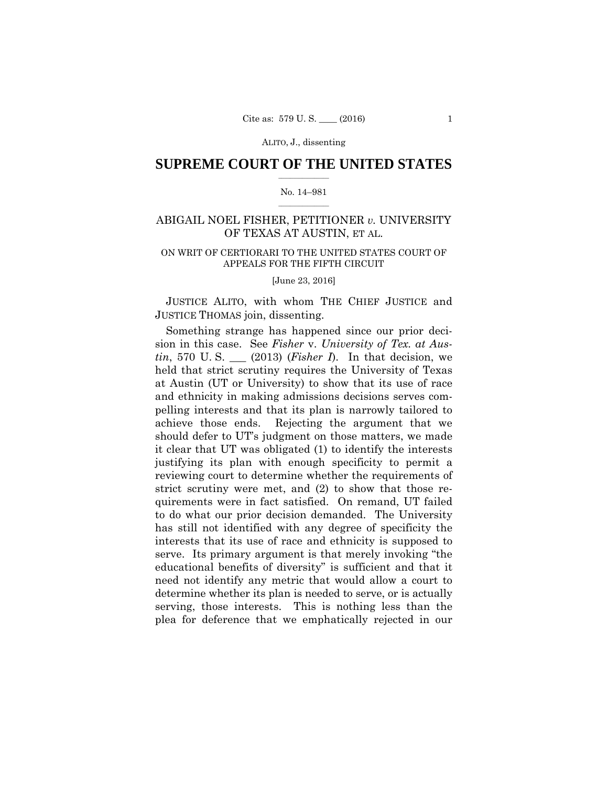# $\frac{1}{2}$  , where  $\frac{1}{2}$ **SUPREME COURT OF THE UNITED STATES**

#### $\frac{1}{2}$  ,  $\frac{1}{2}$  ,  $\frac{1}{2}$  ,  $\frac{1}{2}$  ,  $\frac{1}{2}$  ,  $\frac{1}{2}$ No. 14–981

# ABIGAIL NOEL FISHER, PETITIONER *v.* UNIVERSITY OF TEXAS AT AUSTIN, ET AL.

# ON WRIT OF CERTIORARI TO THE UNITED STATES COURT OF APPEALS FOR THE FIFTH CIRCUIT

[June 23, 2016]

JUSTICE ALITO, with whom THE CHIEF JUSTICE and JUSTICE THOMAS join, dissenting.

Something strange has happened since our prior decision in this case. See *Fisher* v. *University of Tex. at Austin*, 570 U. S. \_\_\_ (2013) (*Fisher I*). In that decision, we held that strict scrutiny requires the University of Texas at Austin (UT or University) to show that its use of race and ethnicity in making admissions decisions serves compelling interests and that its plan is narrowly tailored to achieve those ends. Rejecting the argument that we should defer to UT's judgment on those matters, we made it clear that UT was obligated (1) to identify the interests justifying its plan with enough specificity to permit a reviewing court to determine whether the requirements of strict scrutiny were met, and (2) to show that those requirements were in fact satisfied. On remand, UT failed to do what our prior decision demanded. The University has still not identified with any degree of specificity the interests that its use of race and ethnicity is supposed to serve. Its primary argument is that merely invoking "the educational benefits of diversity" is sufficient and that it need not identify any metric that would allow a court to determine whether its plan is needed to serve, or is actually serving, those interests. This is nothing less than the plea for deference that we emphatically rejected in our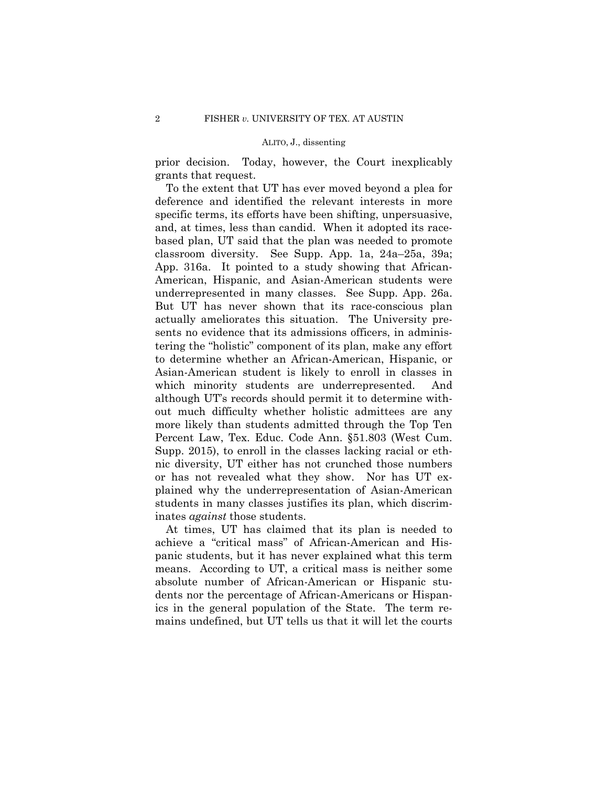prior decision. Today, however, the Court inexplicably grants that request.

To the extent that UT has ever moved beyond a plea for deference and identified the relevant interests in more specific terms, its efforts have been shifting, unpersuasive, and, at times, less than candid. When it adopted its racebased plan, UT said that the plan was needed to promote classroom diversity. See Supp. App. 1a, 24a–25a, 39a; App. 316a. It pointed to a study showing that African-American, Hispanic, and Asian-American students were underrepresented in many classes. See Supp. App. 26a. But UT has never shown that its race-conscious plan actually ameliorates this situation. The University presents no evidence that its admissions officers, in administering the "holistic" component of its plan, make any effort to determine whether an African-American, Hispanic, or Asian-American student is likely to enroll in classes in which minority students are underrepresented. And although UT's records should permit it to determine without much difficulty whether holistic admittees are any more likely than students admitted through the Top Ten Percent Law, Tex. Educ. Code Ann. §51.803 (West Cum. Supp. 2015), to enroll in the classes lacking racial or ethnic diversity, UT either has not crunched those numbers or has not revealed what they show. Nor has UT explained why the underrepresentation of Asian-American students in many classes justifies its plan, which discriminates *against* those students.

At times, UT has claimed that its plan is needed to achieve a "critical mass" of African-American and Hispanic students, but it has never explained what this term means. According to UT, a critical mass is neither some absolute number of African-American or Hispanic students nor the percentage of African-Americans or Hispanics in the general population of the State. The term remains undefined, but UT tells us that it will let the courts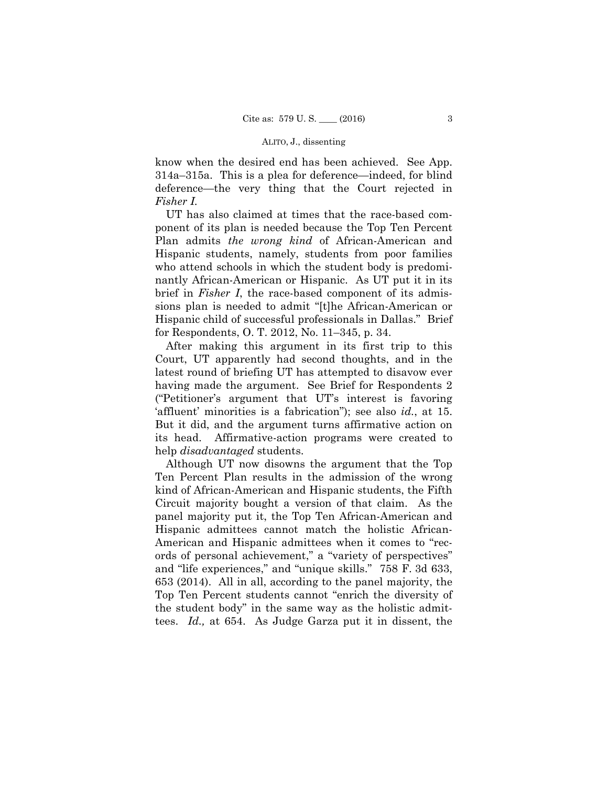know when the desired end has been achieved. See App. 314a–315a. This is a plea for deference—indeed, for blind deference—the very thing that the Court rejected in *Fisher I.* 

UT has also claimed at times that the race-based component of its plan is needed because the Top Ten Percent Plan admits *the wrong kind* of African-American and Hispanic students, namely, students from poor families who attend schools in which the student body is predominantly African-American or Hispanic. As UT put it in its brief in *Fisher I*, the race-based component of its admissions plan is needed to admit "[t]he African-American or Hispanic child of successful professionals in Dallas." Brief for Respondents, O. T. 2012, No. 11–345, p. 34.

After making this argument in its first trip to this Court, UT apparently had second thoughts, and in the latest round of briefing UT has attempted to disavow ever having made the argument. See Brief for Respondents 2 ("Petitioner's argument that UT's interest is favoring 'affluent' minorities is a fabrication"); see also *id.*, at 15. But it did, and the argument turns affirmative action on its head. Affirmative-action programs were created to help *disadvantaged* students.

Although UT now disowns the argument that the Top Ten Percent Plan results in the admission of the wrong kind of African-American and Hispanic students, the Fifth Circuit majority bought a version of that claim. As the panel majority put it, the Top Ten African-American and Hispanic admittees cannot match the holistic African-American and Hispanic admittees when it comes to "records of personal achievement," a "variety of perspectives" and "life experiences," and "unique skills." 758 F. 3d 633, 653 (2014). All in all, according to the panel majority, the Top Ten Percent students cannot "enrich the diversity of the student body" in the same way as the holistic admittees. *Id.,* at 654. As Judge Garza put it in dissent, the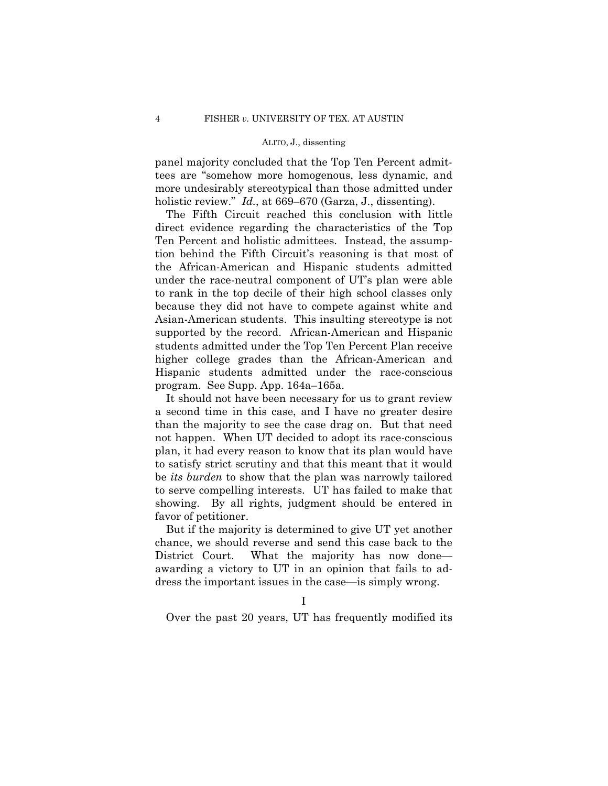panel majority concluded that the Top Ten Percent admittees are "somehow more homogenous, less dynamic, and more undesirably stereotypical than those admitted under holistic review." *Id.*, at 669–670 (Garza, J., dissenting).

The Fifth Circuit reached this conclusion with little direct evidence regarding the characteristics of the Top Ten Percent and holistic admittees. Instead, the assumption behind the Fifth Circuit's reasoning is that most of the African-American and Hispanic students admitted under the race-neutral component of UT's plan were able to rank in the top decile of their high school classes only because they did not have to compete against white and Asian-American students. This insulting stereotype is not supported by the record. African-American and Hispanic students admitted under the Top Ten Percent Plan receive higher college grades than the African-American and Hispanic students admitted under the race-conscious program. See Supp. App. 164a–165a.

It should not have been necessary for us to grant review a second time in this case, and I have no greater desire than the majority to see the case drag on. But that need not happen. When UT decided to adopt its race-conscious plan, it had every reason to know that its plan would have to satisfy strict scrutiny and that this meant that it would be *its burden* to show that the plan was narrowly tailored to serve compelling interests. UT has failed to make that showing. By all rights, judgment should be entered in favor of petitioner.

But if the majority is determined to give UT yet another chance, we should reverse and send this case back to the District Court. What the majority has now done awarding a victory to UT in an opinion that fails to address the important issues in the case—is simply wrong.

Over the past 20 years, UT has frequently modified its

I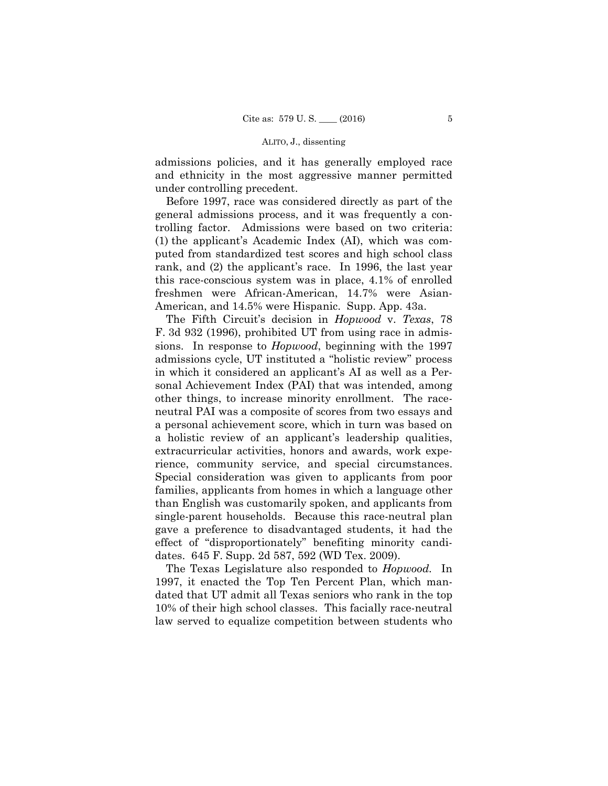admissions policies, and it has generally employed race and ethnicity in the most aggressive manner permitted under controlling precedent.

Before 1997, race was considered directly as part of the general admissions process, and it was frequently a controlling factor. Admissions were based on two criteria: (1) the applicant's Academic Index (AI), which was computed from standardized test scores and high school class rank, and (2) the applicant's race. In 1996, the last year this race-conscious system was in place, 4.1% of enrolled freshmen were African-American, 14.7% were Asian-American, and 14.5% were Hispanic. Supp. App. 43a.

The Fifth Circuit's decision in *Hopwood* v. *Texas*, 78 F. 3d 932 (1996), prohibited UT from using race in admissions. In response to *Hopwood*, beginning with the 1997 admissions cycle, UT instituted a "holistic review" process in which it considered an applicant's AI as well as a Personal Achievement Index (PAI) that was intended, among other things, to increase minority enrollment. The raceneutral PAI was a composite of scores from two essays and a personal achievement score, which in turn was based on a holistic review of an applicant's leadership qualities, extracurricular activities, honors and awards, work experience, community service, and special circumstances. Special consideration was given to applicants from poor families, applicants from homes in which a language other than English was customarily spoken, and applicants from single-parent households. Because this race-neutral plan gave a preference to disadvantaged students, it had the effect of "disproportionately" benefiting minority candidates. 645 F. Supp. 2d 587, 592 (WD Tex. 2009).

The Texas Legislature also responded to *Hopwood.* In 1997, it enacted the Top Ten Percent Plan, which mandated that UT admit all Texas seniors who rank in the top 10% of their high school classes. This facially race-neutral law served to equalize competition between students who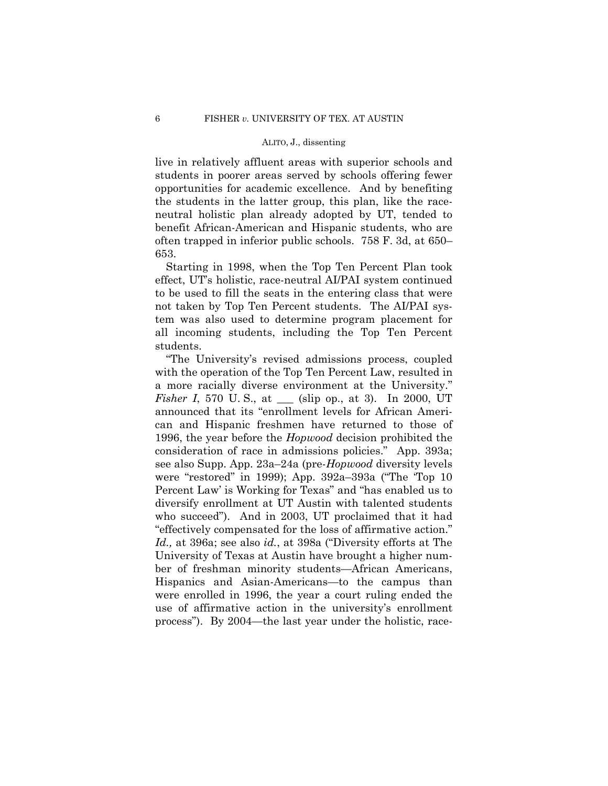live in relatively affluent areas with superior schools and students in poorer areas served by schools offering fewer opportunities for academic excellence. And by benefiting the students in the latter group, this plan, like the raceneutral holistic plan already adopted by UT, tended to benefit African-American and Hispanic students, who are often trapped in inferior public schools. 758 F. 3d, at 650– 653.

Starting in 1998, when the Top Ten Percent Plan took effect, UT's holistic, race-neutral AI/PAI system continued to be used to fill the seats in the entering class that were not taken by Top Ten Percent students. The AI/PAI system was also used to determine program placement for all incoming students, including the Top Ten Percent students.

"The University's revised admissions process, coupled with the operation of the Top Ten Percent Law, resulted in a more racially diverse environment at the University." *Fisher I*, 570 U.S., at <u>set (slip op., at 3</u>). In 2000, UT announced that its "enrollment levels for African American and Hispanic freshmen have returned to those of 1996, the year before the *Hopwood* decision prohibited the consideration of race in admissions policies." App. 393a; see also Supp. App. 23a–24a (pre-*Hopwood* diversity levels were "restored" in 1999); App. 392a–393a ("The 'Top 10 Percent Law' is Working for Texas" and "has enabled us to diversify enrollment at UT Austin with talented students who succeed"). And in 2003, UT proclaimed that it had "effectively compensated for the loss of affirmative action." *Id.,* at 396a; see also *id.*, at 398a ("Diversity efforts at The University of Texas at Austin have brought a higher number of freshman minority students—African Americans, Hispanics and Asian-Americans—to the campus than were enrolled in 1996, the year a court ruling ended the use of affirmative action in the university's enrollment process"). By 2004—the last year under the holistic, race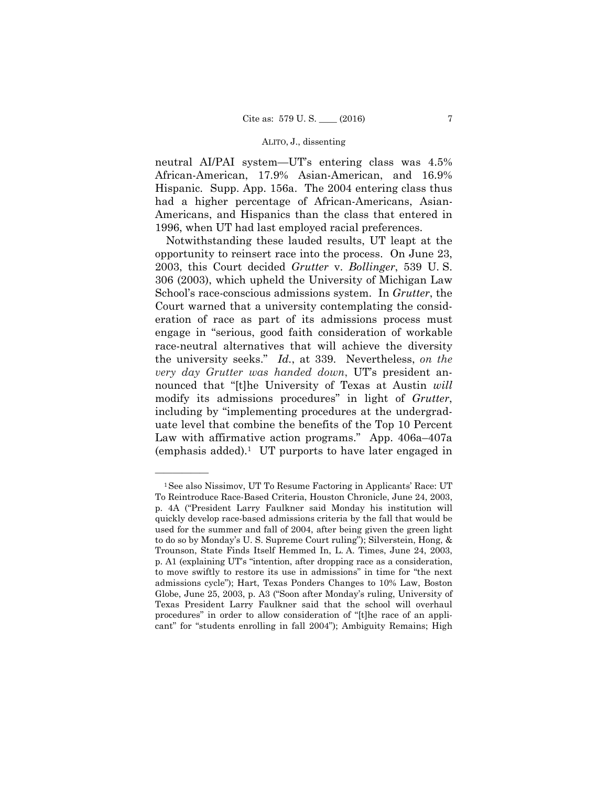neutral AI/PAI system—UT's entering class was 4.5% African-American, 17.9% Asian-American, and 16.9% Hispanic. Supp. App. 156a. The 2004 entering class thus had a higher percentage of African-Americans, Asian-Americans, and Hispanics than the class that entered in 1996, when UT had last employed racial preferences.

 (emphasis added).1 UT purports to have later engaged in Notwithstanding these lauded results, UT leapt at the opportunity to reinsert race into the process. On June 23, 2003, this Court decided *Grutter* v. *Bollinger*, 539 U. S. 306 (2003), which upheld the University of Michigan Law School's race-conscious admissions system. In *Grutter*, the Court warned that a university contemplating the consideration of race as part of its admissions process must engage in "serious, good faith consideration of workable race-neutral alternatives that will achieve the diversity the university seeks." *Id.*, at 339. Nevertheless, *on the very day Grutter was handed down*, UT's president announced that "[t]he University of Texas at Austin *will*  modify its admissions procedures" in light of *Grutter*, including by "implementing procedures at the undergraduate level that combine the benefits of the Top 10 Percent Law with affirmative action programs." App. 406a–407a

——————

 p. A1 (explaining UT's "intention, after dropping race as a consideration, Globe, June 25, 2003, p. A3 ("Soon after Monday's ruling, University of 1See also Nissimov, UT To Resume Factoring in Applicants' Race: UT To Reintroduce Race-Based Criteria, Houston Chronicle, June 24, 2003, p. 4A ("President Larry Faulkner said Monday his institution will quickly develop race-based admissions criteria by the fall that would be used for the summer and fall of 2004, after being given the green light to do so by Monday's U. S. Supreme Court ruling"); Silverstein, Hong, & Trounson, State Finds Itself Hemmed In, L. A. Times, June 24, 2003, to move swiftly to restore its use in admissions" in time for "the next admissions cycle"); Hart, Texas Ponders Changes to 10% Law, Boston Texas President Larry Faulkner said that the school will overhaul procedures" in order to allow consideration of "[t]he race of an applicant" for "students enrolling in fall 2004"); Ambiguity Remains; High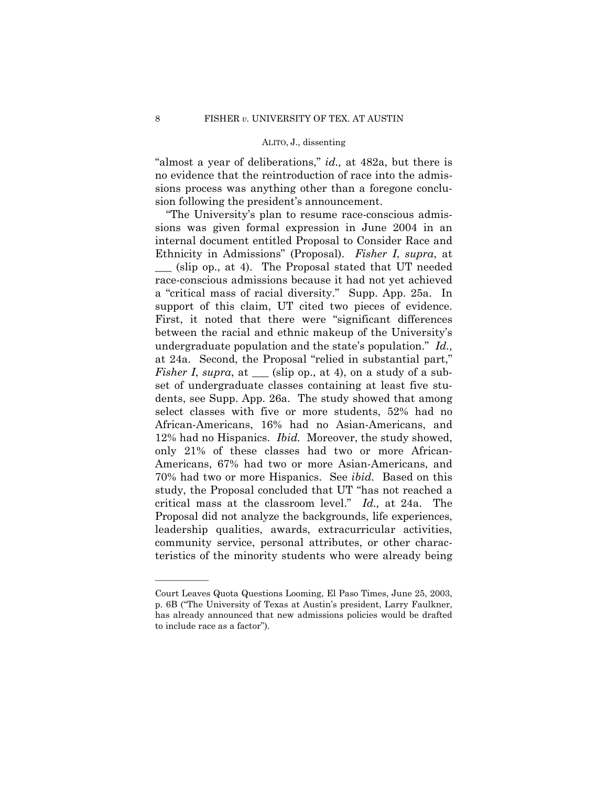"almost a year of deliberations," *id.,* at 482a, but there is no evidence that the reintroduction of race into the admissions process was anything other than a foregone conclusion following the president's announcement.

 a "critical mass of racial diversity." Supp. App. 25a. In "The University's plan to resume race-conscious admissions was given formal expression in June 2004 in an internal document entitled Proposal to Consider Race and Ethnicity in Admissions" (Proposal). *Fisher I*, *supra*, at \_\_\_ (slip op., at 4). The Proposal stated that UT needed race-conscious admissions because it had not yet achieved support of this claim, UT cited two pieces of evidence. First, it noted that there were "significant differences between the racial and ethnic makeup of the University's undergraduate population and the state's population." *Id.,*  at 24a. Second, the Proposal "relied in substantial part," *Fisher I, supra,* at  $\equiv$  (slip op., at 4), on a study of a subset of undergraduate classes containing at least five students, see Supp. App. 26a. The study showed that among select classes with five or more students, 52% had no African-Americans, 16% had no Asian-Americans, and 12% had no Hispanics. *Ibid.* Moreover, the study showed, only 21% of these classes had two or more African-Americans, 67% had two or more Asian-Americans, and 70% had two or more Hispanics. See *ibid.* Based on this study, the Proposal concluded that UT "has not reached a critical mass at the classroom level." *Id.,* at 24a. The Proposal did not analyze the backgrounds, life experiences, leadership qualities, awards, extracurricular activities, community service, personal attributes, or other characteristics of the minority students who were already being

——————

Court Leaves Quota Questions Looming, El Paso Times, June 25, 2003, p. 6B ("The University of Texas at Austin's president, Larry Faulkner, has already announced that new admissions policies would be drafted to include race as a factor").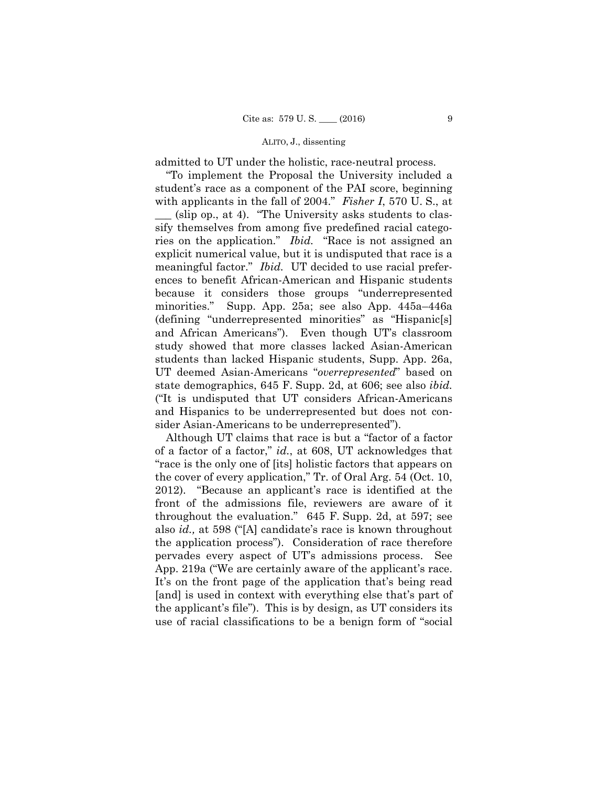admitted to UT under the holistic, race-neutral process.

"To implement the Proposal the University included a student's race as a component of the PAI score, beginning with applicants in the fall of 2004." *Fisher I*, 570 U. S., at (slip op., at 4). "The University asks students to classify themselves from among five predefined racial categories on the application." *Ibid.* "Race is not assigned an explicit numerical value, but it is undisputed that race is a meaningful factor." *Ibid.* UT decided to use racial preferences to benefit African-American and Hispanic students because it considers those groups "underrepresented minorities." Supp. App. 25a; see also App. 445a–446a (defining "underrepresented minorities" as "Hispanic[s] and African Americans"). Even though UT's classroom study showed that more classes lacked Asian-American students than lacked Hispanic students, Supp. App. 26a, UT deemed Asian-Americans "*overrepresented*" based on state demographics, 645 F. Supp. 2d, at 606; see also *ibid.*  ("It is undisputed that UT considers African-Americans and Hispanics to be underrepresented but does not consider Asian-Americans to be underrepresented").

Although UT claims that race is but a "factor of a factor of a factor of a factor," *id.*, at 608, UT acknowledges that "race is the only one of [its] holistic factors that appears on the cover of every application," Tr. of Oral Arg. 54 (Oct. 10, 2012). "Because an applicant's race is identified at the front of the admissions file, reviewers are aware of it throughout the evaluation." 645 F. Supp. 2d, at 597; see also *id.,* at 598 ("[A] candidate's race is known throughout the application process"). Consideration of race therefore pervades every aspect of UT's admissions process. See App. 219a ("We are certainly aware of the applicant's race. It's on the front page of the application that's being read [and] is used in context with everything else that's part of the applicant's file"). This is by design, as UT considers its use of racial classifications to be a benign form of "social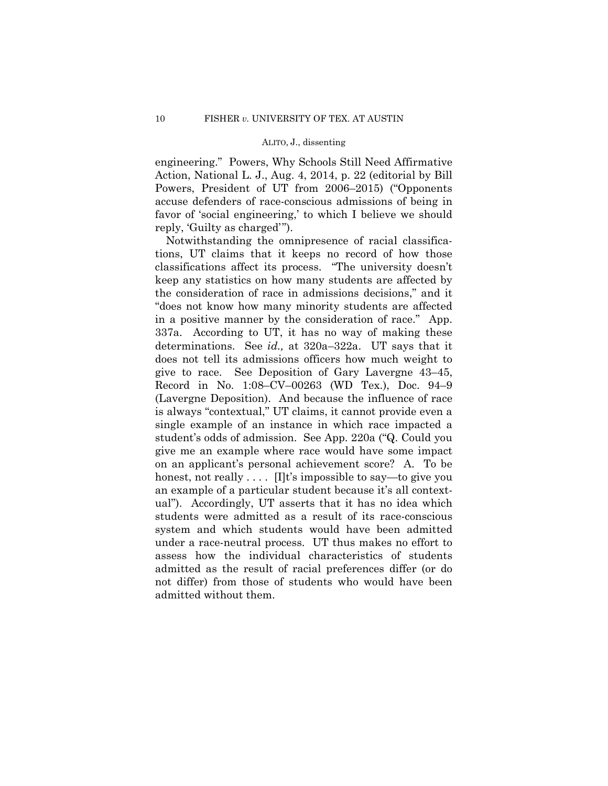engineering." Powers, Why Schools Still Need Affirmative Action, National L. J., Aug. 4, 2014, p. 22 (editorial by Bill Powers, President of UT from 2006–2015) ("Opponents accuse defenders of race-conscious admissions of being in favor of 'social engineering,' to which I believe we should reply, 'Guilty as charged'").

Notwithstanding the omnipresence of racial classifications, UT claims that it keeps no record of how those classifications affect its process. "The university doesn't keep any statistics on how many students are affected by the consideration of race in admissions decisions," and it "does not know how many minority students are affected in a positive manner by the consideration of race." App. 337a. According to UT, it has no way of making these determinations. See *id.,* at 320a–322a. UT says that it does not tell its admissions officers how much weight to give to race. See Deposition of Gary Lavergne 43–45, Record in No. 1:08–CV–00263 (WD Tex.), Doc. 94–9 (Lavergne Deposition). And because the influence of race is always "contextual," UT claims, it cannot provide even a single example of an instance in which race impacted a student's odds of admission. See App. 220a ("Q. Could you give me an example where race would have some impact on an applicant's personal achievement score? A. To be honest, not really  $\dots$  [I]t's impossible to say—to give you an example of a particular student because it's all contextual"). Accordingly, UT asserts that it has no idea which students were admitted as a result of its race-conscious system and which students would have been admitted under a race-neutral process. UT thus makes no effort to assess how the individual characteristics of students admitted as the result of racial preferences differ (or do not differ) from those of students who would have been admitted without them.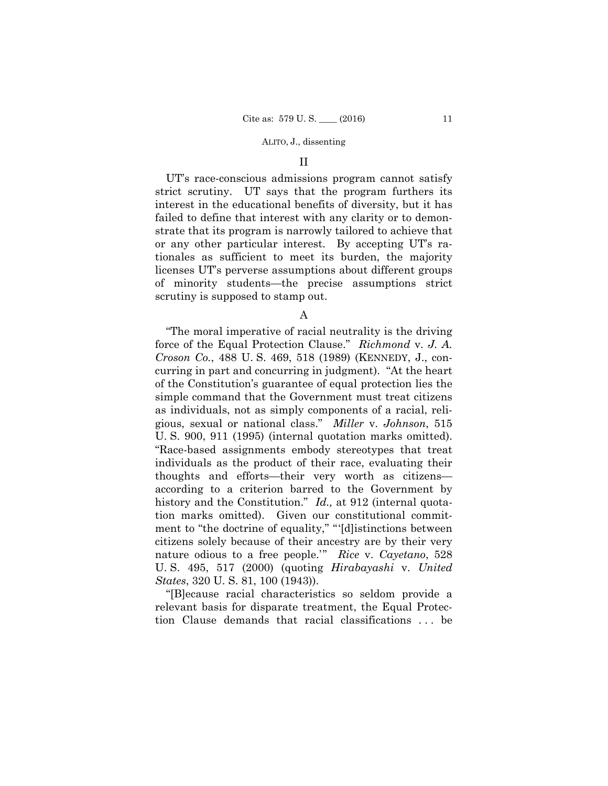### II

UT's race-conscious admissions program cannot satisfy strict scrutiny. UT says that the program furthers its interest in the educational benefits of diversity, but it has failed to define that interest with any clarity or to demonstrate that its program is narrowly tailored to achieve that or any other particular interest. By accepting UT's rationales as sufficient to meet its burden, the majority licenses UT's perverse assumptions about different groups of minority students—the precise assumptions strict scrutiny is supposed to stamp out.

### A

"The moral imperative of racial neutrality is the driving force of the Equal Protection Clause." *Richmond* v. *J. A. Croson Co.*, 488 U. S. 469, 518 (1989) (KENNEDY, J., concurring in part and concurring in judgment). "At the heart of the Constitution's guarantee of equal protection lies the simple command that the Government must treat citizens as individuals, not as simply components of a racial, religious, sexual or national class." *Miller* v. *Johnson*, 515 U. S. 900, 911 (1995) (internal quotation marks omitted). "Race-based assignments embody stereotypes that treat individuals as the product of their race, evaluating their thoughts and efforts—their very worth as citizens according to a criterion barred to the Government by history and the Constitution." *Id.,* at 912 (internal quotation marks omitted). Given our constitutional commitment to "the doctrine of equality," "'[d]istinctions between citizens solely because of their ancestry are by their very nature odious to a free people.'" *Rice* v. *Cayetano*, 528 U. S. 495, 517 (2000) (quoting *Hirabayashi* v. *United States*, 320 U. S. 81, 100 (1943)).

"[B]ecause racial characteristics so seldom provide a relevant basis for disparate treatment, the Equal Protection Clause demands that racial classifications . . . be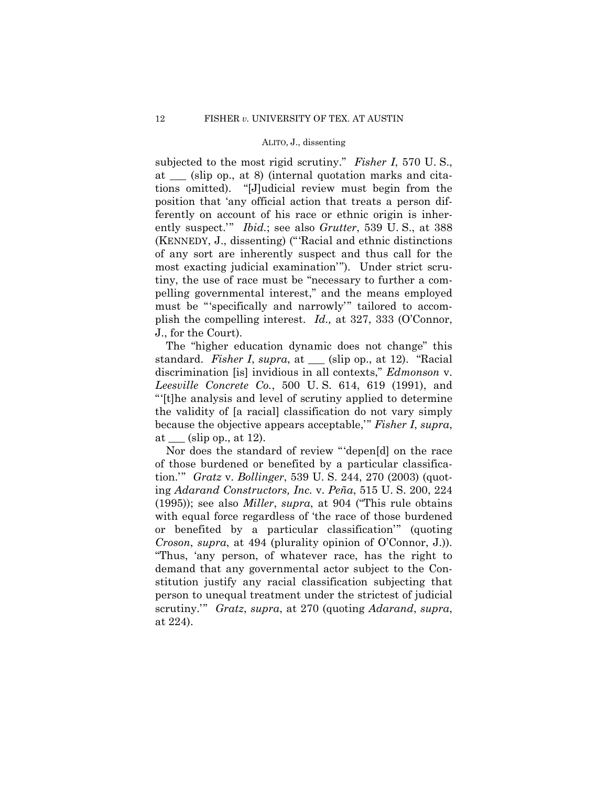subjected to the most rigid scrutiny." *Fisher I*, 570 U. S., at \_\_\_ (slip op., at 8) (internal quotation marks and citations omitted). "[J]udicial review must begin from the position that 'any official action that treats a person differently on account of his race or ethnic origin is inherently suspect.'" *Ibid.*; see also *Grutter*, 539 U. S., at 388 (KENNEDY, J., dissenting) ("'Racial and ethnic distinctions of any sort are inherently suspect and thus call for the most exacting judicial examination'"). Under strict scrutiny, the use of race must be "necessary to further a compelling governmental interest," and the means employed must be "'specifically and narrowly'" tailored to accomplish the compelling interest. *Id.,* at 327, 333 (O'Connor, J., for the Court).

The "higher education dynamic does not change" this standard. *Fisher I*, *supra*, at \_\_\_ (slip op., at 12). "Racial discrimination [is] invidious in all contexts," *Edmonson* v. *Leesville Concrete Co.*, 500 U. S. 614, 619 (1991), and "'[t]he analysis and level of scrutiny applied to determine the validity of [a racial] classification do not vary simply because the objective appears acceptable,'" *Fisher I*, *supra*, at  $\_\_\$  (slip op., at 12).

 *Croson*, *supra*, at 494 (plurality opinion of O'Connor, J.)). Nor does the standard of review "'depen[d] on the race of those burdened or benefited by a particular classification.'" *Gratz* v. *Bollinger*, 539 U. S. 244, 270 (2003) (quoting *Adarand Constructors, Inc.* v. *Peña*, 515 U. S. 200, 224 (1995)); see also *Miller*, *supra*, at 904 ("This rule obtains with equal force regardless of 'the race of those burdened or benefited by a particular classification'" (quoting "Thus, 'any person, of whatever race, has the right to demand that any governmental actor subject to the Constitution justify any racial classification subjecting that person to unequal treatment under the strictest of judicial scrutiny.'" *Gratz*, *supra*, at 270 (quoting *Adarand*, *supra*, at 224).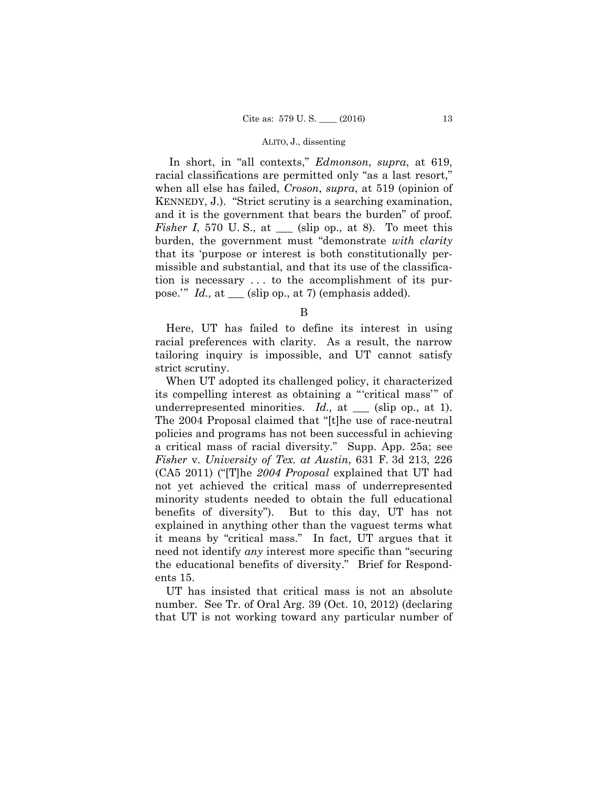In short, in "all contexts," *Edmonson*, *supra*, at 619, racial classifications are permitted only "as a last resort," when all else has failed, *Croson*, *supra*, at 519 (opinion of KENNEDY, J.). "Strict scrutiny is a searching examination, and it is the government that bears the burden" of proof. *Fisher I*, 570 U.S., at <u>section</u> (slip op., at 8). To meet this burden, the government must "demonstrate *with clarity* that its 'purpose or interest is both constitutionally permissible and substantial, and that its use of the classification is necessary . . . to the accomplishment of its purpose.'" *Id.,* at \_\_\_ (slip op., at 7) (emphasis added).

B

 racial preferences with clarity. As a result, the narrow Here, UT has failed to define its interest in using tailoring inquiry is impossible, and UT cannot satisfy strict scrutiny.

 benefits of diversity"). But to this day, UT has not When UT adopted its challenged policy, it characterized its compelling interest as obtaining a "'critical mass'" of underrepresented minorities. *Id.*, at \_\_\_ (slip op., at 1). The 2004 Proposal claimed that "[t]he use of race-neutral policies and programs has not been successful in achieving a critical mass of racial diversity." Supp. App. 25a; see *Fisher* v. *University of Tex. at Austin*, 631 F. 3d 213, 226 (CA5 2011) ("[T]he *2004 Proposal* explained that UT had not yet achieved the critical mass of underrepresented minority students needed to obtain the full educational explained in anything other than the vaguest terms what it means by "critical mass." In fact, UT argues that it need not identify *any* interest more specific than "securing the educational benefits of diversity." Brief for Respondents 15.

UT has insisted that critical mass is not an absolute number. See Tr. of Oral Arg. 39 (Oct. 10, 2012) (declaring that UT is not working toward any particular number of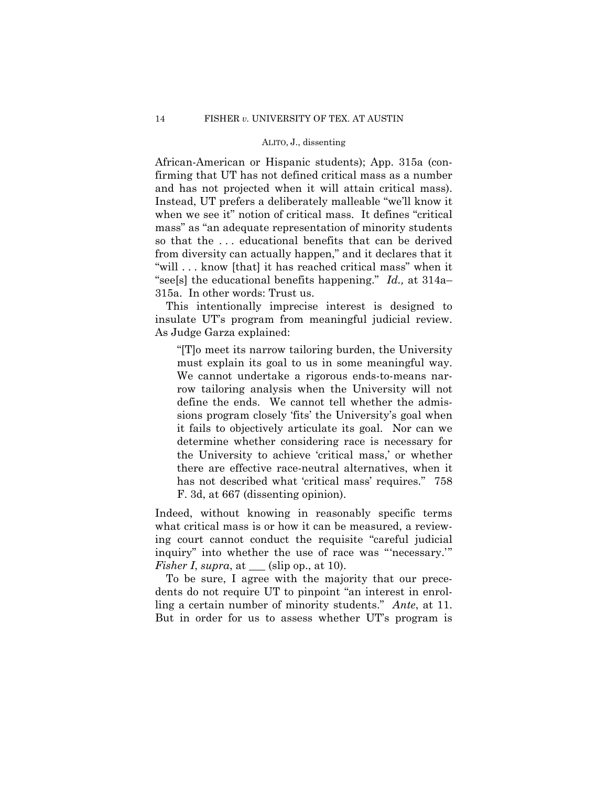African-American or Hispanic students); App. 315a (confirming that UT has not defined critical mass as a number and has not projected when it will attain critical mass). Instead, UT prefers a deliberately malleable "we'll know it when we see it" notion of critical mass. It defines "critical" mass" as "an adequate representation of minority students so that the . . . educational benefits that can be derived from diversity can actually happen," and it declares that it "will . . . know [that] it has reached critical mass" when it "see[s] the educational benefits happening." *Id.,* at 314a– 315a. In other words: Trust us.

This intentionally imprecise interest is designed to insulate UT's program from meaningful judicial review. As Judge Garza explained:

 must explain its goal to us in some meaningful way. "[T]o meet its narrow tailoring burden, the University We cannot undertake a rigorous ends-to-means narrow tailoring analysis when the University will not define the ends. We cannot tell whether the admissions program closely 'fits' the University's goal when it fails to objectively articulate its goal. Nor can we determine whether considering race is necessary for the University to achieve 'critical mass,' or whether there are effective race-neutral alternatives, when it has not described what 'critical mass' requires." 758 F. 3d, at 667 (dissenting opinion).

Indeed, without knowing in reasonably specific terms what critical mass is or how it can be measured, a reviewing court cannot conduct the requisite "careful judicial inquiry" into whether the use of race was "'necessary.'" *Fisher I*, *supra*, at \_\_\_ (slip op., at 10).

To be sure, I agree with the majority that our precedents do not require UT to pinpoint "an interest in enrolling a certain number of minority students." *Ante*, at 11. But in order for us to assess whether UT's program is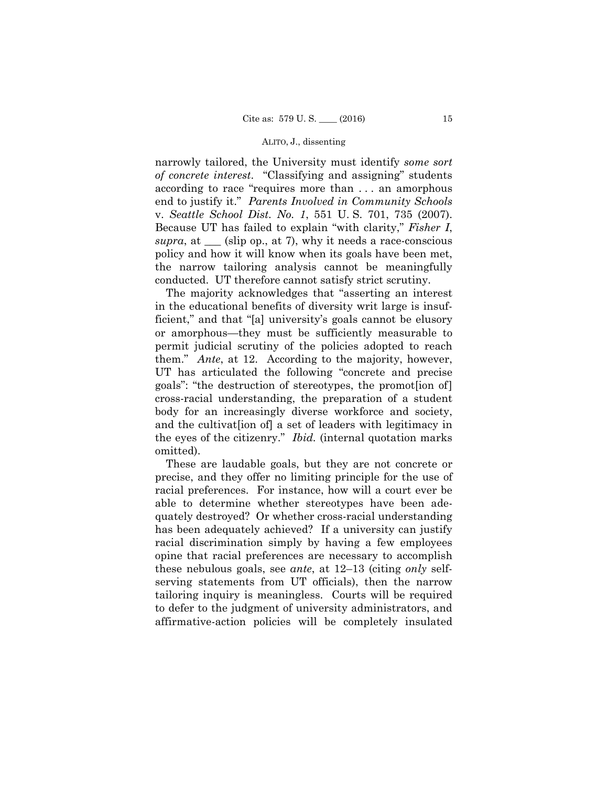narrowly tailored, the University must identify *some sort of concrete interest*. "Classifying and assigning" students according to race "requires more than . . . an amorphous end to justify it." *Parents Involved in Community Schools*  v. *Seattle School Dist. No. 1*, 551 U. S. 701, 735 (2007). Because UT has failed to explain "with clarity," *Fisher I*, *supra*, at \_\_\_ (slip op., at 7), why it needs a race-conscious policy and how it will know when its goals have been met, the narrow tailoring analysis cannot be meaningfully conducted. UT therefore cannot satisfy strict scrutiny.

The majority acknowledges that "asserting an interest in the educational benefits of diversity writ large is insufficient," and that "[a] university's goals cannot be elusory or amorphous—they must be sufficiently measurable to permit judicial scrutiny of the policies adopted to reach them." *Ante*, at 12. According to the majority, however, UT has articulated the following "concrete and precise goals": "the destruction of stereotypes, the promot[ion of] cross-racial understanding, the preparation of a student body for an increasingly diverse workforce and society, and the cultivat[ion of] a set of leaders with legitimacy in the eyes of the citizenry." *Ibid.* (internal quotation marks omitted).

These are laudable goals, but they are not concrete or precise, and they offer no limiting principle for the use of racial preferences. For instance, how will a court ever be able to determine whether stereotypes have been adequately destroyed? Or whether cross-racial understanding has been adequately achieved? If a university can justify racial discrimination simply by having a few employees opine that racial preferences are necessary to accomplish these nebulous goals, see *ante*, at 12–13 (citing *only* selfserving statements from UT officials), then the narrow tailoring inquiry is meaningless. Courts will be required to defer to the judgment of university administrators, and affirmative-action policies will be completely insulated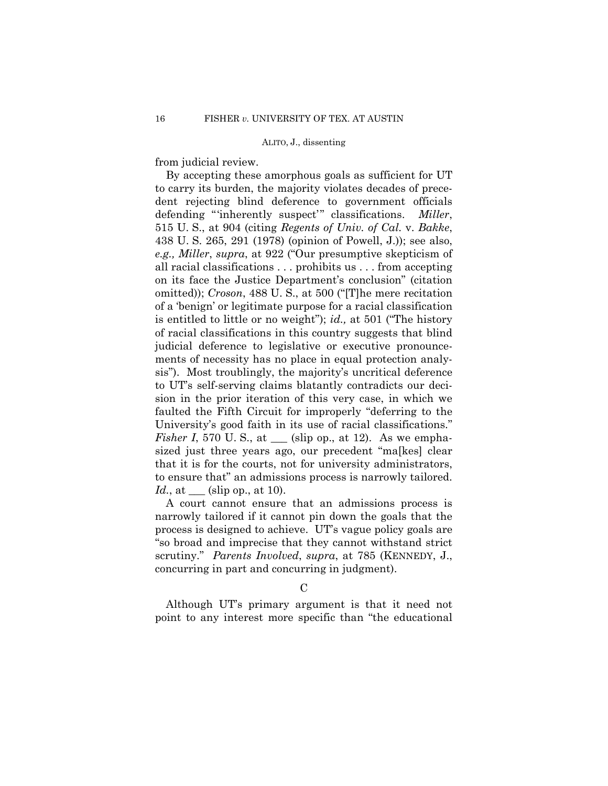from judicial review.

By accepting these amorphous goals as sufficient for UT to carry its burden, the majority violates decades of precedent rejecting blind deference to government officials defending "'inherently suspect'" classifications. *Miller*, 515 U. S., at 904 (citing *Regents of Univ. of Cal.* v. *Bakke*, 438 U. S. 265, 291 (1978) (opinion of Powell, J.)); see also, *e.g., Miller*, *supra*, at 922 ("Our presumptive skepticism of all racial classifications . . . prohibits us . . . from accepting on its face the Justice Department's conclusion" (citation omitted)); *Croson*, 488 U. S., at 500 ("[T]he mere recitation of a 'benign' or legitimate purpose for a racial classification is entitled to little or no weight"); *id.,* at 501 ("The history of racial classifications in this country suggests that blind judicial deference to legislative or executive pronouncements of necessity has no place in equal protection analysis"). Most troublingly, the majority's uncritical deference to UT's self-serving claims blatantly contradicts our decision in the prior iteration of this very case, in which we faulted the Fifth Circuit for improperly "deferring to the University's good faith in its use of racial classifications." *Fisher I*, 570 U.S., at <u>set (slip op., at 12</u>). As we emphasized just three years ago, our precedent "ma[kes] clear that it is for the courts, not for university administrators, to ensure that" an admissions process is narrowly tailored. *Id.*, at <u>\_\_\_</u> (slip op., at 10).

A court cannot ensure that an admissions process is narrowly tailored if it cannot pin down the goals that the process is designed to achieve. UT's vague policy goals are "so broad and imprecise that they cannot withstand strict scrutiny." *Parents Involved*, *supra*, at 785 (KENNEDY, J., concurring in part and concurring in judgment).

 $\mathcal{C}$ 

Although UT's primary argument is that it need not point to any interest more specific than "the educational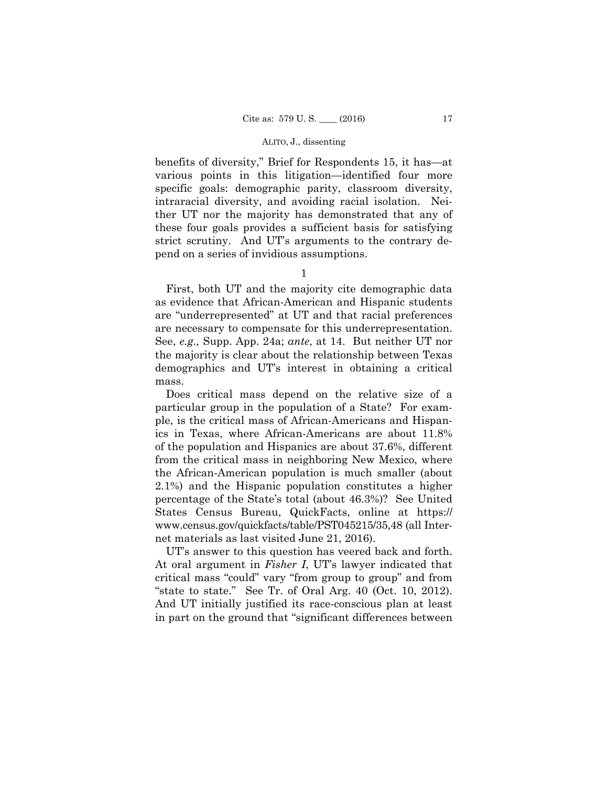benefits of diversity," Brief for Respondents 15, it has—at various points in this litigation—identified four more specific goals: demographic parity, classroom diversity, intraracial diversity, and avoiding racial isolation. Neither UT nor the majority has demonstrated that any of these four goals provides a sufficient basis for satisfying strict scrutiny. And UT's arguments to the contrary depend on a series of invidious assumptions.

1

 See, *e.g.,* Supp. App. 24a; *ante*, at 14. But neither UT nor First, both UT and the majority cite demographic data as evidence that African-American and Hispanic students are "underrepresented" at UT and that racial preferences are necessary to compensate for this underrepresentation. the majority is clear about the relationship between Texas demographics and UT's interest in obtaining a critical mass.

Does critical mass depend on the relative size of a particular group in the population of a State? For example, is the critical mass of African-Americans and Hispanics in Texas, where African-Americans are about 11.8% of the population and Hispanics are about 37.6%, different from the critical mass in neighboring New Mexico, where the African-American population is much smaller (about 2.1%) and the Hispanic population constitutes a higher percentage of the State's total (about 46.3%)? See United States Census Bureau, QuickFacts, online at https:// www.census.gov/quickfacts/table/PST045215/35,48 (all Internet materials as last visited June 21, 2016).

UT's answer to this question has veered back and forth. At oral argument in *Fisher I*, UT's lawyer indicated that critical mass "could" vary "from group to group" and from "state to state." See Tr. of Oral Arg. 40 (Oct. 10, 2012). And UT initially justified its race-conscious plan at least in part on the ground that "significant differences between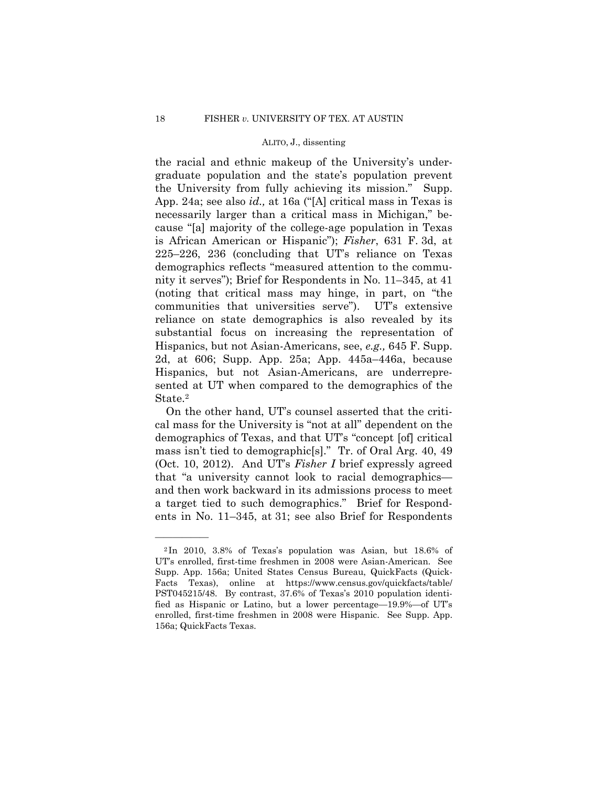the racial and ethnic makeup of the University's undergraduate population and the state's population prevent the University from fully achieving its mission." Supp. App. 24a; see also *id.,* at 16a ("[A] critical mass in Texas is necessarily larger than a critical mass in Michigan," because "[a] majority of the college-age population in Texas is African American or Hispanic"); *Fisher*, 631 F. 3d, at 225–226, 236 (concluding that UT's reliance on Texas demographics reflects "measured attention to the community it serves"); Brief for Respondents in No. 11–345, at 41 (noting that critical mass may hinge, in part, on "the communities that universities serve"). UT's extensive reliance on state demographics is also revealed by its substantial focus on increasing the representation of Hispanics, but not Asian-Americans, see, *e.g.,* 645 F. Supp. 2d, at 606; Supp. App. 25a; App. 445a–446a, because Hispanics, but not Asian-Americans, are underrepresented at UT when compared to the demographics of the State.2

On the other hand, UT's counsel asserted that the critical mass for the University is "not at all" dependent on the demographics of Texas, and that UT's "concept [of] critical mass isn't tied to demographic[s]." Tr. of Oral Arg. 40, 49 (Oct. 10, 2012). And UT's *Fisher I* brief expressly agreed that "a university cannot look to racial demographics and then work backward in its admissions process to meet a target tied to such demographics." Brief for Respondents in No. 11–345, at 31; see also Brief for Respondents

<sup>&</sup>lt;sup>2</sup>In 2010, 3.8% of Texas's population was Asian, but 18.6% of UT's enrolled, first-time freshmen in 2008 were Asian-American. See Supp. App. 156a; United States Census Bureau, QuickFacts (Quick-Facts Texas), online at https://www.census.gov/quickfacts/table/ PST045215/48. By contrast, 37.6% of Texas's 2010 population identified as Hispanic or Latino, but a lower percentage—19.9%—of UT's enrolled, first-time freshmen in 2008 were Hispanic. See Supp. App. 156a; QuickFacts Texas.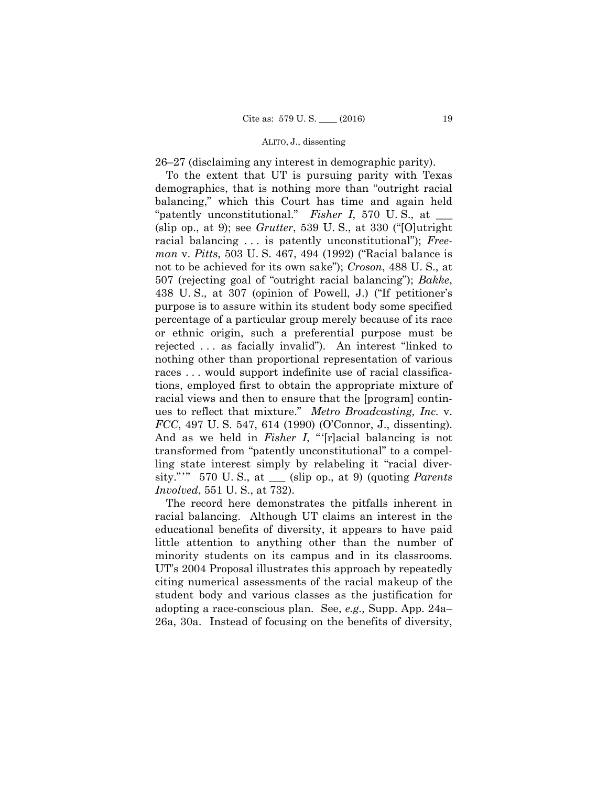26–27 (disclaiming any interest in demographic parity).

 sity."'" 570 U. S., at \_\_\_ (slip op., at 9) (quoting *Parents*  To the extent that UT is pursuing parity with Texas demographics, that is nothing more than "outright racial balancing," which this Court has time and again held "patently unconstitutional." *Fisher I*, 570 U. S., at \_\_\_ (slip op., at 9); see *Grutter*, 539 U. S., at 330 ("[O]utright racial balancing . . . is patently unconstitutional"); *Freeman* v. *Pitts*, 503 U. S. 467, 494 (1992) ("Racial balance is not to be achieved for its own sake"); *Croson*, 488 U. S., at 507 (rejecting goal of "outright racial balancing"); *Bakke*, 438 U. S., at 307 (opinion of Powell, J.) ("If petitioner's purpose is to assure within its student body some specified percentage of a particular group merely because of its race or ethnic origin, such a preferential purpose must be rejected . . . as facially invalid"). An interest "linked to nothing other than proportional representation of various races . . . would support indefinite use of racial classifications, employed first to obtain the appropriate mixture of racial views and then to ensure that the [program] continues to reflect that mixture." *Metro Broadcasting, Inc.* v. *FCC*, 497 U. S. 547, 614 (1990) (O'Connor, J., dissenting). And as we held in *Fisher I*, "'[r]acial balancing is not transformed from "patently unconstitutional" to a compelling state interest simply by relabeling it "racial diver-*Involved*, 551 U. S., at 732).

The record here demonstrates the pitfalls inherent in racial balancing. Although UT claims an interest in the educational benefits of diversity, it appears to have paid little attention to anything other than the number of minority students on its campus and in its classrooms. UT's 2004 Proposal illustrates this approach by repeatedly citing numerical assessments of the racial makeup of the student body and various classes as the justification for adopting a race-conscious plan. See, *e.g.,* Supp. App. 24a– 26a, 30a. Instead of focusing on the benefits of diversity,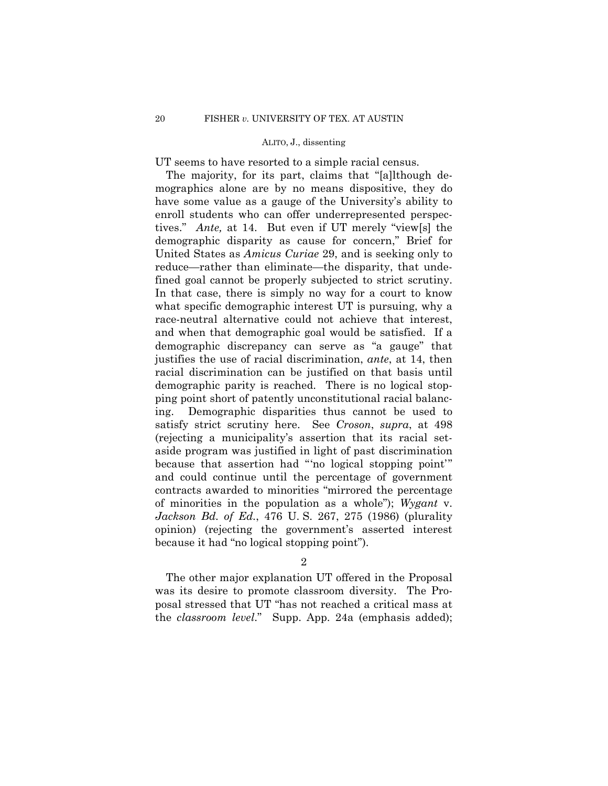UT seems to have resorted to a simple racial census.

The majority, for its part, claims that "[a]lthough demographics alone are by no means dispositive, they do have some value as a gauge of the University's ability to enroll students who can offer underrepresented perspectives." *Ante,* at 14. But even if UT merely "view[s] the demographic disparity as cause for concern," Brief for United States as *Amicus Curiae* 29, and is seeking only to reduce—rather than eliminate—the disparity, that undefined goal cannot be properly subjected to strict scrutiny. In that case, there is simply no way for a court to know what specific demographic interest UT is pursuing, why a race-neutral alternative could not achieve that interest, and when that demographic goal would be satisfied. If a demographic discrepancy can serve as "a gauge" that justifies the use of racial discrimination, *ante*, at 14, then racial discrimination can be justified on that basis until demographic parity is reached. There is no logical stopping point short of patently unconstitutional racial balancing. Demographic disparities thus cannot be used to satisfy strict scrutiny here. See *Croson*, *supra*, at 498 (rejecting a municipality's assertion that its racial setaside program was justified in light of past discrimination because that assertion had "'no logical stopping point'" and could continue until the percentage of government contracts awarded to minorities "mirrored the percentage of minorities in the population as a whole"); *Wygant* v. *Jackson Bd. of Ed.*, 476 U. S. 267, 275 (1986) (plurality opinion) (rejecting the government's asserted interest because it had "no logical stopping point").

2

The other major explanation UT offered in the Proposal was its desire to promote classroom diversity. The Proposal stressed that UT "has not reached a critical mass at the *classroom level*." Supp. App. 24a (emphasis added);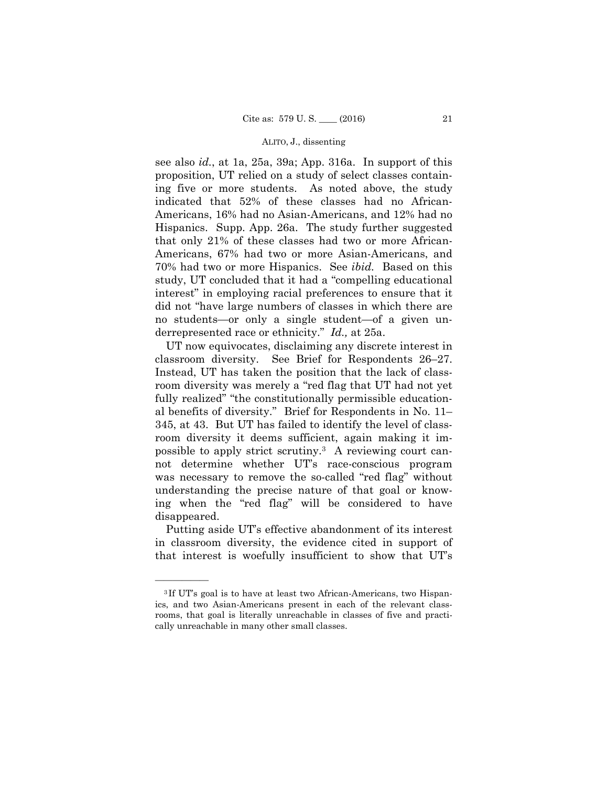see also *id.*, at 1a, 25a, 39a; App. 316a. In support of this proposition, UT relied on a study of select classes containing five or more students. As noted above, the study indicated that 52% of these classes had no African-Americans, 16% had no Asian-Americans, and 12% had no Hispanics. Supp. App. 26a. The study further suggested that only 21% of these classes had two or more African-Americans, 67% had two or more Asian-Americans, and 70% had two or more Hispanics. See *ibid.* Based on this study, UT concluded that it had a "compelling educational interest" in employing racial preferences to ensure that it did not "have large numbers of classes in which there are no students—or only a single student—of a given underrepresented race or ethnicity." *Id.,* at 25a.

 possible to apply strict scrutiny.3 A reviewing court can-UT now equivocates, disclaiming any discrete interest in classroom diversity. See Brief for Respondents 26–27. Instead, UT has taken the position that the lack of classroom diversity was merely a "red flag that UT had not yet fully realized" "the constitutionally permissible educational benefits of diversity." Brief for Respondents in No. 11– 345, at 43. But UT has failed to identify the level of classroom diversity it deems sufficient, again making it imnot determine whether UT's race-conscious program was necessary to remove the so-called "red flag" without understanding the precise nature of that goal or knowing when the "red flag" will be considered to have disappeared.

Putting aside UT's effective abandonment of its interest in classroom diversity, the evidence cited in support of that interest is woefully insufficient to show that UT's

<sup>3</sup> If UT's goal is to have at least two African-Americans, two Hispanics, and two Asian-Americans present in each of the relevant classrooms, that goal is literally unreachable in classes of five and practically unreachable in many other small classes.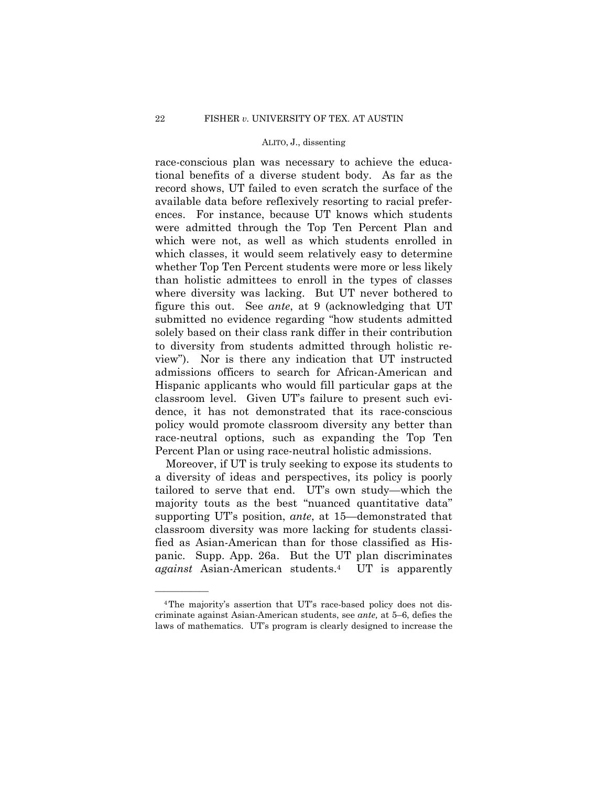race-conscious plan was necessary to achieve the educational benefits of a diverse student body. As far as the record shows, UT failed to even scratch the surface of the available data before reflexively resorting to racial preferences. For instance, because UT knows which students were admitted through the Top Ten Percent Plan and which were not, as well as which students enrolled in which classes, it would seem relatively easy to determine whether Top Ten Percent students were more or less likely than holistic admittees to enroll in the types of classes where diversity was lacking. But UT never bothered to figure this out. See *ante*, at 9 (acknowledging that UT submitted no evidence regarding "how students admitted solely based on their class rank differ in their contribution to diversity from students admitted through holistic review"). Nor is there any indication that UT instructed admissions officers to search for African-American and Hispanic applicants who would fill particular gaps at the classroom level. Given UT's failure to present such evidence, it has not demonstrated that its race-conscious policy would promote classroom diversity any better than race-neutral options, such as expanding the Top Ten Percent Plan or using race-neutral holistic admissions.

Moreover, if UT is truly seeking to expose its students to a diversity of ideas and perspectives, its policy is poorly tailored to serve that end. UT's own study—which the majority touts as the best "nuanced quantitative data" supporting UT's position, *ante*, at 15—demonstrated that classroom diversity was more lacking for students classified as Asian-American than for those classified as Hispanic. Supp. App. 26a. But the UT plan discriminates *against* Asian-American students.4 UT is apparently

<sup>4</sup>The majority's assertion that UT's race-based policy does not discriminate against Asian-American students, see *ante,* at 5–6, defies the laws of mathematics. UT's program is clearly designed to increase the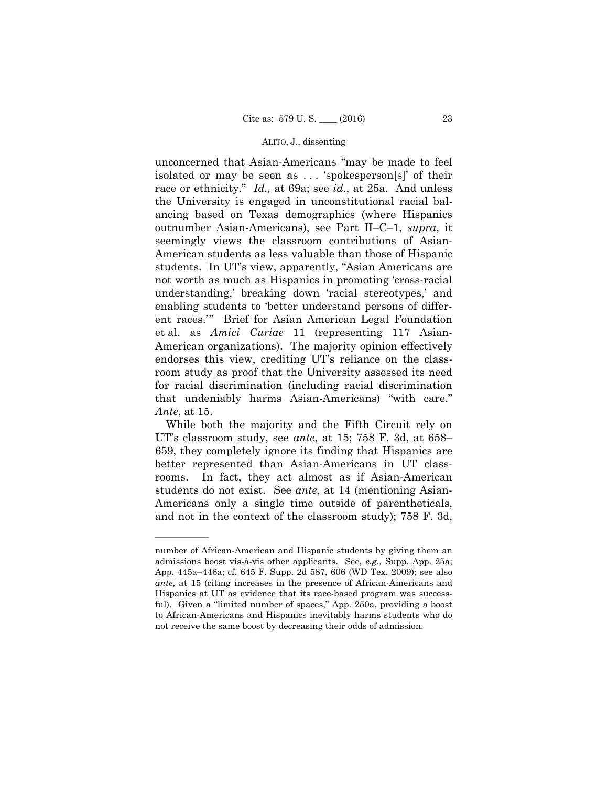unconcerned that Asian-Americans "may be made to feel isolated or may be seen as . . . 'spokesperson[s]' of their race or ethnicity." *Id.,* at 69a; see *id.*, at 25a. And unless the University is engaged in unconstitutional racial balancing based on Texas demographics (where Hispanics outnumber Asian-Americans), see Part II–C–1, *supra*, it seemingly views the classroom contributions of Asian-American students as less valuable than those of Hispanic students. In UT's view, apparently, "Asian Americans are not worth as much as Hispanics in promoting 'cross-racial understanding,' breaking down 'racial stereotypes,' and enabling students to 'better understand persons of different races.'" Brief for Asian American Legal Foundation et al. as *Amici Curiae* 11 (representing 117 Asian-American organizations). The majority opinion effectively endorses this view, crediting UT's reliance on the classroom study as proof that the University assessed its need for racial discrimination (including racial discrimination that undeniably harms Asian-Americans) "with care." *Ante*, at 15.

While both the majority and the Fifth Circuit rely on UT's classroom study, see *ante*, at 15; 758 F. 3d, at 658– 659, they completely ignore its finding that Hispanics are better represented than Asian-Americans in UT classrooms. In fact, they act almost as if Asian-American students do not exist. See *ante*, at 14 (mentioning Asian-Americans only a single time outside of parentheticals, and not in the context of the classroom study); 758 F. 3d,

number of African-American and Hispanic students by giving them an admissions boost vis-à-vis other applicants. See, *e.g.,* Supp. App. 25a; App. 445a–446a; cf. 645 F. Supp. 2d 587, 606 (WD Tex. 2009); see also *ante,* at 15 (citing increases in the presence of African-Americans and Hispanics at UT as evidence that its race-based program was successful). Given a "limited number of spaces," App. 250a, providing a boost to African-Americans and Hispanics inevitably harms students who do not receive the same boost by decreasing their odds of admission.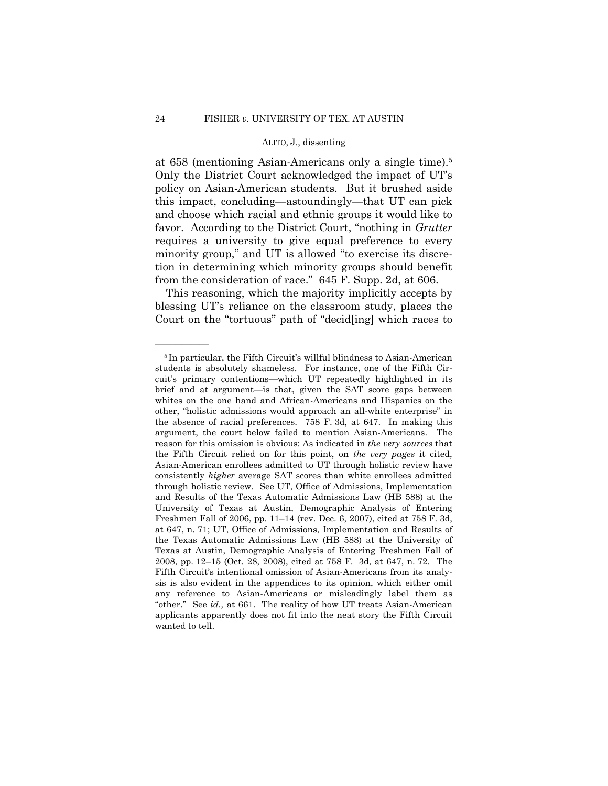at 658 (mentioning Asian-Americans only a single time).5 Only the District Court acknowledged the impact of UT's policy on Asian-American students. But it brushed aside this impact, concluding—astoundingly—that UT can pick and choose which racial and ethnic groups it would like to favor. According to the District Court, "nothing in *Grutter*  requires a university to give equal preference to every minority group," and UT is allowed "to exercise its discretion in determining which minority groups should benefit from the consideration of race." 645 F. Supp. 2d, at 606.

This reasoning, which the majority implicitly accepts by blessing UT's reliance on the classroom study, places the Court on the "tortuous" path of "decid[ing] which races to

<sup>5</sup> In particular, the Fifth Circuit's willful blindness to Asian-American students is absolutely shameless. For instance, one of the Fifth Circuit's primary contentions—which UT repeatedly highlighted in its brief and at argument—is that, given the SAT score gaps between whites on the one hand and African-Americans and Hispanics on the other, "holistic admissions would approach an all-white enterprise" in the absence of racial preferences. 758 F. 3d, at 647. In making this argument, the court below failed to mention Asian-Americans. The reason for this omission is obvious: As indicated in *the very sources* that the Fifth Circuit relied on for this point, on *the very pages* it cited, Asian-American enrollees admitted to UT through holistic review have consistently *higher* average SAT scores than white enrollees admitted through holistic review. See UT, Office of Admissions, Implementation and Results of the Texas Automatic Admissions Law (HB 588) at the University of Texas at Austin, Demographic Analysis of Entering Freshmen Fall of 2006, pp. 11–14 (rev. Dec. 6, 2007), cited at 758 F. 3d, at 647, n. 71; UT, Office of Admissions, Implementation and Results of the Texas Automatic Admissions Law (HB 588) at the University of Texas at Austin, Demographic Analysis of Entering Freshmen Fall of 2008, pp. 12–15 (Oct. 28, 2008), cited at 758 F. 3d, at 647, n. 72. The Fifth Circuit's intentional omission of Asian-Americans from its analysis is also evident in the appendices to its opinion, which either omit any reference to Asian-Americans or misleadingly label them as "other." See *id.,* at 661. The reality of how UT treats Asian-American applicants apparently does not fit into the neat story the Fifth Circuit wanted to tell.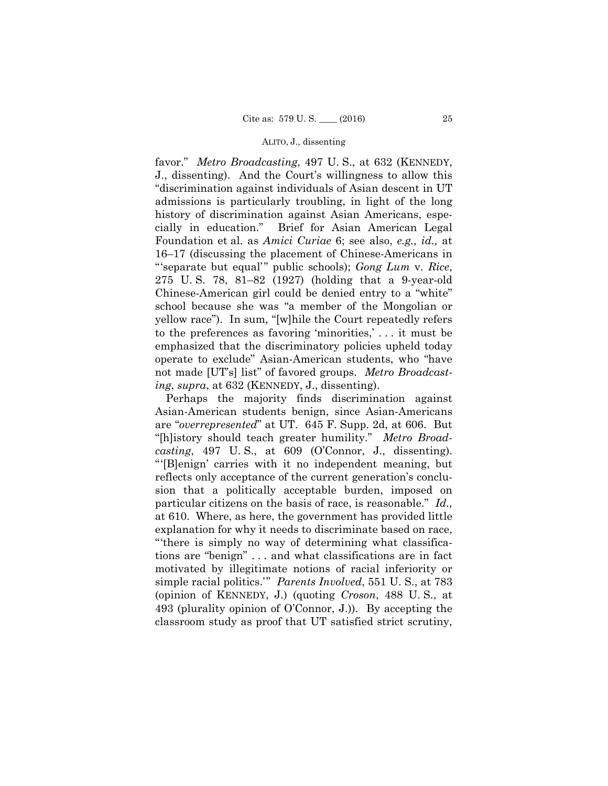favor." *Metro Broadcasting*, 497 U. S., at 632 (KENNEDY, J., dissenting). And the Court's willingness to allow this "discrimination against individuals of Asian descent in UT admissions is particularly troubling, in light of the long history of discrimination against Asian Americans, especially in education." Brief for Asian American Legal Foundation et al. as *Amici Curiae* 6; see also, *e.g., id.,* at 16–17 (discussing the placement of Chinese-Americans in "'separate but equal'" public schools); *Gong Lum* v. *Rice*, 275 U. S. 78, 81–82 (1927) (holding that a 9-year-old Chinese-American girl could be denied entry to a "white" school because she was "a member of the Mongolian or yellow race"). In sum, "[w]hile the Court repeatedly refers to the preferences as favoring 'minorities,' . . . it must be emphasized that the discriminatory policies upheld today operate to exclude" Asian-American students, who "have not made [UT's] list" of favored groups. *Metro Broadcasting*, *supra*, at 632 (KENNEDY, J., dissenting).

Perhaps the majority finds discrimination against Asian-American students benign, since Asian-Americans are "*overrepresented*" at UT. 645 F. Supp. 2d, at 606. But "[h]istory should teach greater humility." *Metro Broadcasting*, 497 U. S., at 609 (O'Connor, J., dissenting). "'[B]enign' carries with it no independent meaning, but reflects only acceptance of the current generation's conclusion that a politically acceptable burden, imposed on particular citizens on the basis of race, is reasonable." *Id.,*  at 610. Where, as here, the government has provided little explanation for why it needs to discriminate based on race, "'there is simply no way of determining what classifications are "benign" . . . and what classifications are in fact motivated by illegitimate notions of racial inferiority or simple racial politics.'" *Parents Involved*, 551 U. S., at 783 (opinion of KENNEDY, J.) (quoting *Croson*, 488 U. S., at 493 (plurality opinion of O'Connor, J.)). By accepting the classroom study as proof that UT satisfied strict scrutiny,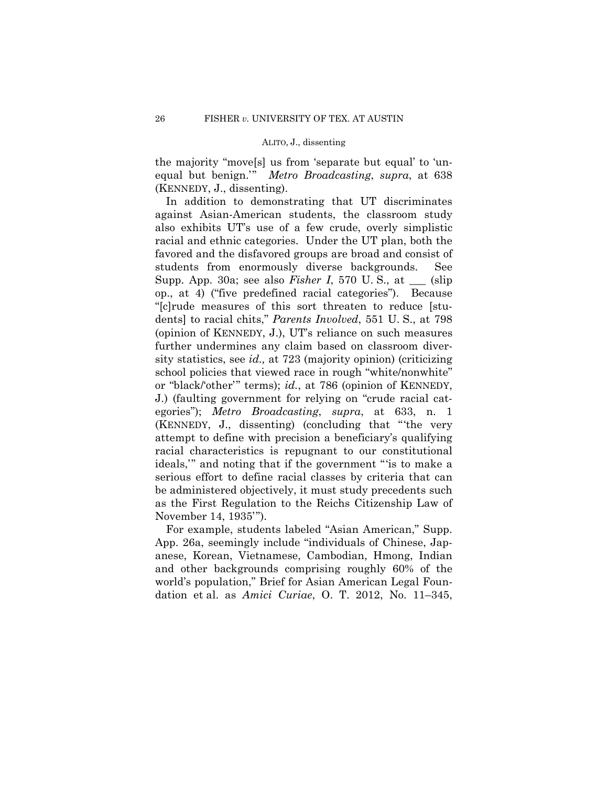the majority "move[s] us from 'separate but equal' to 'unequal but benign.'" *Metro Broadcasting*, *supra*, at 638 (KENNEDY, J., dissenting).

In addition to demonstrating that UT discriminates against Asian-American students, the classroom study also exhibits UT's use of a few crude, overly simplistic racial and ethnic categories. Under the UT plan, both the favored and the disfavored groups are broad and consist of students from enormously diverse backgrounds. See Supp. App. 30a; see also *Fisher I*, 570 U. S., at \_\_\_ (slip op., at 4) ("five predefined racial categories"). Because "[c]rude measures of this sort threaten to reduce [students] to racial chits," *Parents Involved*, 551 U. S., at 798 (opinion of KENNEDY, J.), UT's reliance on such measures further undermines any claim based on classroom diversity statistics, see *id.,* at 723 (majority opinion) (criticizing school policies that viewed race in rough "white/nonwhite" or "black/'other'" terms); *id.*, at 786 (opinion of KENNEDY, J.) (faulting government for relying on "crude racial categories"); *Metro Broadcasting*, *supra*, at 633, n. 1 (KENNEDY, J., dissenting) (concluding that "'the very attempt to define with precision a beneficiary's qualifying racial characteristics is repugnant to our constitutional ideals,'" and noting that if the government "'is to make a serious effort to define racial classes by criteria that can be administered objectively, it must study precedents such as the First Regulation to the Reichs Citizenship Law of November 14, 1935'").

For example, students labeled "Asian American," Supp. App. 26a, seemingly include "individuals of Chinese, Japanese, Korean, Vietnamese, Cambodian, Hmong, Indian and other backgrounds comprising roughly 60% of the world's population," Brief for Asian American Legal Foundation et al. as *Amici Curiae*, O. T. 2012, No. 11–345,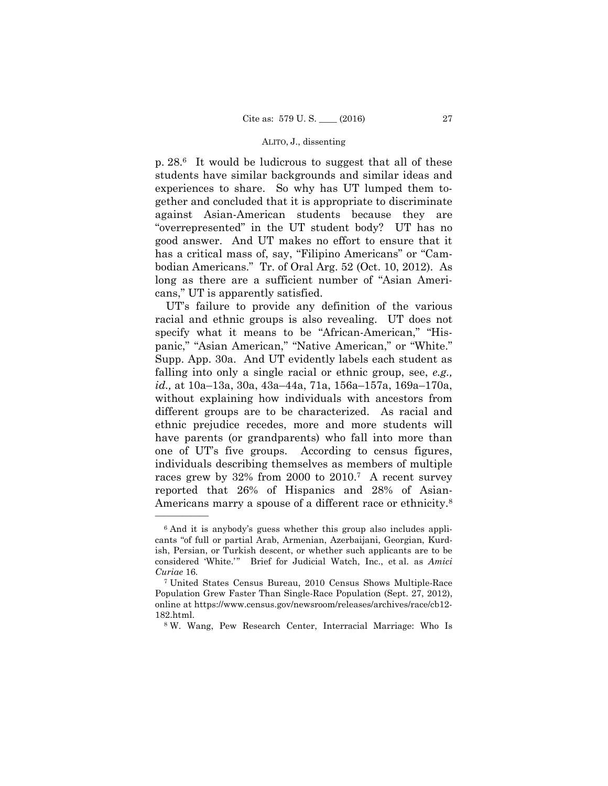p. 28.6 It would be ludicrous to suggest that all of these students have similar backgrounds and similar ideas and experiences to share. So why has UT lumped them together and concluded that it is appropriate to discriminate against Asian-American students because they are "overrepresented" in the UT student body? UT has no good answer. And UT makes no effort to ensure that it has a critical mass of, say, "Filipino Americans" or "Cambodian Americans." Tr. of Oral Arg. 52 (Oct. 10, 2012). As long as there are a sufficient number of "Asian Americans," UT is apparently satisfied.

Americans marry a spouse of a different race or ethnicity.<sup>8</sup> UT's failure to provide any definition of the various racial and ethnic groups is also revealing. UT does not specify what it means to be "African-American," "Hispanic," "Asian American," "Native American," or "White." Supp. App. 30a. And UT evidently labels each student as falling into only a single racial or ethnic group, see, *e.g., id.,* at 10a–13a, 30a, 43a–44a, 71a, 156a–157a, 169a–170a, without explaining how individuals with ancestors from different groups are to be characterized. As racial and ethnic prejudice recedes, more and more students will have parents (or grandparents) who fall into more than one of UT's five groups. According to census figures, individuals describing themselves as members of multiple races grew by 32% from 2000 to 2010.7 A recent survey reported that 26% of Hispanics and 28% of Asian-

<sup>6</sup> And it is anybody's guess whether this group also includes applicants "of full or partial Arab, Armenian, Azerbaijani, Georgian, Kurdish, Persian, or Turkish descent, or whether such applicants are to be considered 'White.'" Brief for Judicial Watch, Inc., et al. as *Amici Curiae* 16. 7 United States Census Bureau, 2010 Census Shows Multiple-Race

Population Grew Faster Than Single-Race Population (Sept. 27, 2012), online at https://www.census.gov/newsroom/releases/archives/race/cb12 182.html.<br><sup>8</sup> W. Wang, Pew Research Center, Interracial Marriage: Who Is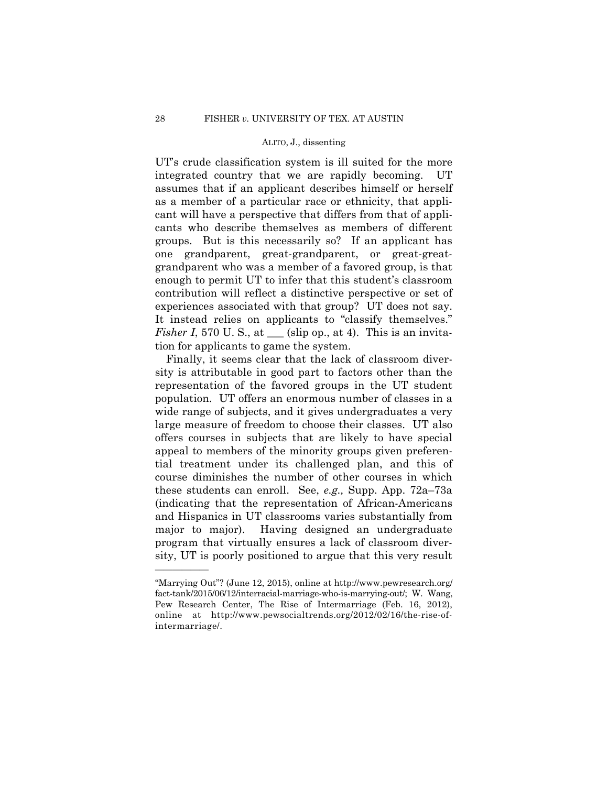UT's crude classification system is ill suited for the more integrated country that we are rapidly becoming. UT assumes that if an applicant describes himself or herself as a member of a particular race or ethnicity, that applicant will have a perspective that differs from that of applicants who describe themselves as members of different groups. But is this necessarily so? If an applicant has one grandparent, great-grandparent, or great-greatgrandparent who was a member of a favored group, is that enough to permit UT to infer that this student's classroom contribution will reflect a distinctive perspective or set of experiences associated with that group? UT does not say. It instead relies on applicants to "classify themselves." *Fisher I*, 570 U. S., at  $\_\_$  (slip op., at 4). This is an invitation for applicants to game the system.

Finally, it seems clear that the lack of classroom diversity is attributable in good part to factors other than the representation of the favored groups in the UT student population. UT offers an enormous number of classes in a wide range of subjects, and it gives undergraduates a very large measure of freedom to choose their classes. UT also offers courses in subjects that are likely to have special appeal to members of the minority groups given preferential treatment under its challenged plan, and this of course diminishes the number of other courses in which these students can enroll. See, *e.g.,* Supp. App. 72a–73a (indicating that the representation of African-Americans and Hispanics in UT classrooms varies substantially from major to major). Having designed an undergraduate program that virtually ensures a lack of classroom diversity, UT is poorly positioned to argue that this very result

 Pew Research Center, The Rise of Intermarriage (Feb. 16, 2012), "Marrying Out"? (June 12, 2015), online at http://www.pewresearch.org/ fact-tank/2015/06/12/interracial-marriage-who-is-marrying-out/; W. Wang, online at http://www.pewsocialtrends.org/2012/02/16/the-rise-ofintermarriage/.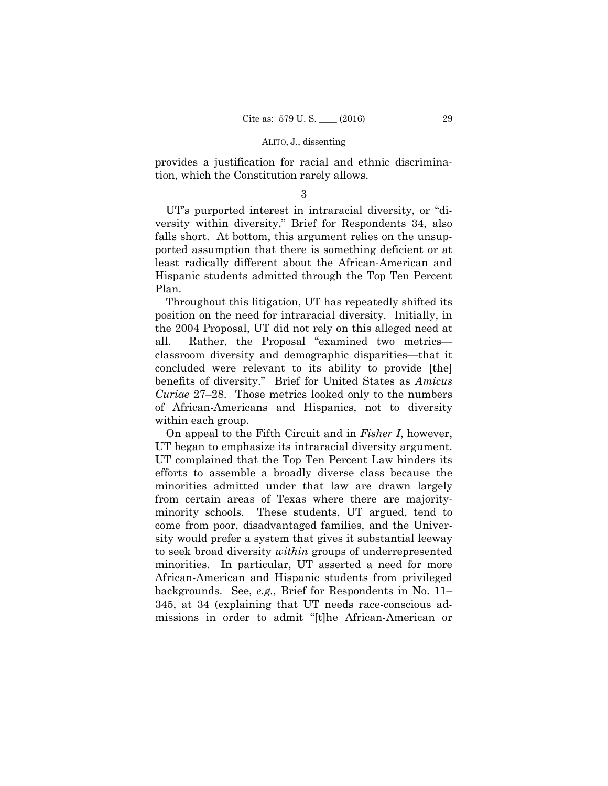provides a justification for racial and ethnic discrimination, which the Constitution rarely allows.

3

UT's purported interest in intraracial diversity, or "diversity within diversity," Brief for Respondents 34, also falls short. At bottom, this argument relies on the unsupported assumption that there is something deficient or at least radically different about the African-American and Hispanic students admitted through the Top Ten Percent Plan.

Throughout this litigation, UT has repeatedly shifted its position on the need for intraracial diversity. Initially, in the 2004 Proposal, UT did not rely on this alleged need at all. Rather, the Proposal "examined two metrics classroom diversity and demographic disparities—that it concluded were relevant to its ability to provide [the] benefits of diversity." Brief for United States as *Amicus Curiae* 27–28. Those metrics looked only to the numbers of African-Americans and Hispanics, not to diversity within each group.

On appeal to the Fifth Circuit and in *Fisher I*, however, UT began to emphasize its intraracial diversity argument. UT complained that the Top Ten Percent Law hinders its efforts to assemble a broadly diverse class because the minorities admitted under that law are drawn largely from certain areas of Texas where there are majorityminority schools. These students, UT argued, tend to come from poor, disadvantaged families, and the University would prefer a system that gives it substantial leeway to seek broad diversity *within* groups of underrepresented minorities. In particular, UT asserted a need for more African-American and Hispanic students from privileged backgrounds. See, *e.g.,* Brief for Respondents in No. 11– 345, at 34 (explaining that UT needs race-conscious admissions in order to admit "[t]he African-American or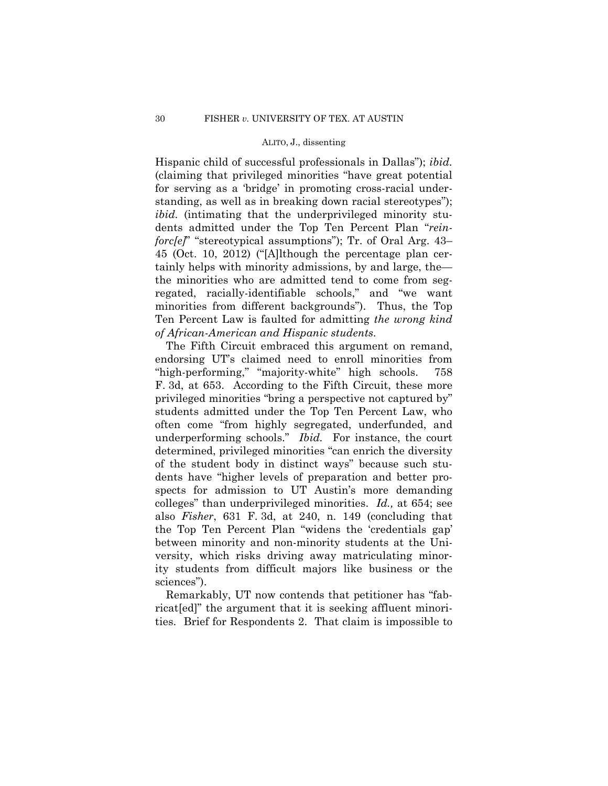Hispanic child of successful professionals in Dallas"); *ibid.*  (claiming that privileged minorities "have great potential for serving as a 'bridge' in promoting cross-racial understanding, as well as in breaking down racial stereotypes"); *ibid.* (intimating that the underprivileged minority students admitted under the Top Ten Percent Plan "*reinforc[e]*" "stereotypical assumptions"); Tr. of Oral Arg. 43– 45 (Oct. 10, 2012) ("[A]lthough the percentage plan certainly helps with minority admissions, by and large, the the minorities who are admitted tend to come from segregated, racially-identifiable schools," and "we want minorities from different backgrounds"). Thus, the Top Ten Percent Law is faulted for admitting *the wrong kind of African-American and Hispanic students*.

The Fifth Circuit embraced this argument on remand, endorsing UT's claimed need to enroll minorities from "high-performing," "majority-white" high schools. 758 F. 3d, at 653. According to the Fifth Circuit, these more privileged minorities "bring a perspective not captured by" students admitted under the Top Ten Percent Law, who often come "from highly segregated, underfunded, and underperforming schools." *Ibid.* For instance, the court determined, privileged minorities "can enrich the diversity of the student body in distinct ways" because such students have "higher levels of preparation and better prospects for admission to UT Austin's more demanding colleges" than underprivileged minorities. *Id.,* at 654; see also *Fisher*, 631 F. 3d, at 240, n. 149 (concluding that the Top Ten Percent Plan "widens the 'credentials gap' between minority and non-minority students at the University, which risks driving away matriculating minority students from difficult majors like business or the sciences").

Remarkably, UT now contends that petitioner has "fabricat[ed]" the argument that it is seeking affluent minorities. Brief for Respondents 2. That claim is impossible to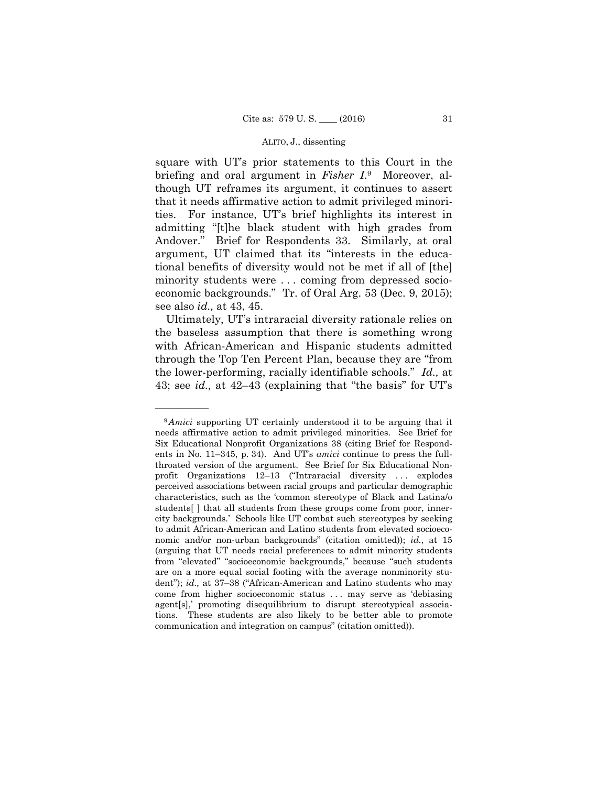square with UT's prior statements to this Court in the briefing and oral argument in *Fisher I*.9 Moreover, although UT reframes its argument, it continues to assert that it needs affirmative action to admit privileged minorities. For instance, UT's brief highlights its interest in admitting "[t]he black student with high grades from Andover." Brief for Respondents 33. Similarly, at oral argument, UT claimed that its "interests in the educational benefits of diversity would not be met if all of [the] minority students were . . . coming from depressed socioeconomic backgrounds." Tr. of Oral Arg. 53 (Dec. 9, 2015); see also *id.,* at 43, 45.

Ultimately, UT's intraracial diversity rationale relies on the baseless assumption that there is something wrong with African-American and Hispanic students admitted through the Top Ten Percent Plan, because they are "from the lower-performing, racially identifiable schools." *Id.,* at 43; see *id.,* at 42–43 (explaining that "the basis" for UT's

 ents in No. 11–345, p. 34). And UT's *amici* continue to press the full-<sup>9</sup>*Amici* supporting UT certainly understood it to be arguing that it needs affirmative action to admit privileged minorities. See Brief for Six Educational Nonprofit Organizations 38 (citing Brief for Respondthroated version of the argument. See Brief for Six Educational Nonprofit Organizations 12–13 ("Intraracial diversity . . . explodes perceived associations between racial groups and particular demographic characteristics, such as the 'common stereotype of Black and Latina/o students[ ] that all students from these groups come from poor, innercity backgrounds.' Schools like UT combat such stereotypes by seeking to admit African-American and Latino students from elevated socioeconomic and/or non-urban backgrounds" (citation omitted)); *id.*, at 15 (arguing that UT needs racial preferences to admit minority students from "elevated" "socioeconomic backgrounds," because "such students are on a more equal social footing with the average nonminority student"); *id.,* at 37–38 ("African-American and Latino students who may come from higher socioeconomic status . . . may serve as 'debiasing agent[s],' promoting disequilibrium to disrupt stereotypical associations. These students are also likely to be better able to promote communication and integration on campus" (citation omitted)).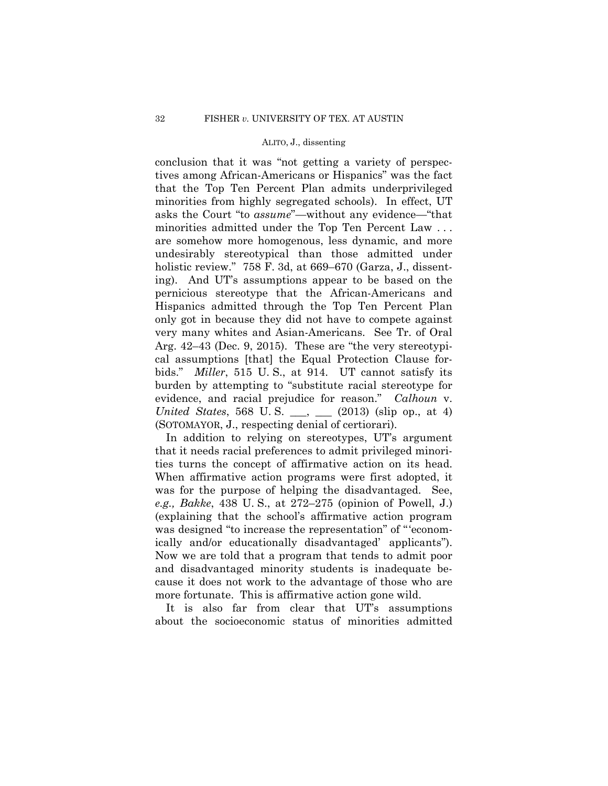conclusion that it was "not getting a variety of perspectives among African-Americans or Hispanics" was the fact that the Top Ten Percent Plan admits underprivileged minorities from highly segregated schools). In effect, UT asks the Court "to *assume*"—without any evidence—"that minorities admitted under the Top Ten Percent Law . . . are somehow more homogenous, less dynamic, and more undesirably stereotypical than those admitted under holistic review." 758 F. 3d, at 669–670 (Garza, J., dissenting). And UT's assumptions appear to be based on the pernicious stereotype that the African-Americans and Hispanics admitted through the Top Ten Percent Plan only got in because they did not have to compete against very many whites and Asian-Americans. See Tr. of Oral Arg. 42–43 (Dec. 9, 2015). These are "the very stereotypical assumptions [that] the Equal Protection Clause forbids." *Miller*, 515 U. S., at 914. UT cannot satisfy its burden by attempting to "substitute racial stereotype for evidence, and racial prejudice for reason." *Calhoun* v. *United States*, 568 U.S. \_\_, \_\_ (2013) (slip op., at 4) (SOTOMAYOR, J., respecting denial of certiorari).

In addition to relying on stereotypes, UT's argument that it needs racial preferences to admit privileged minorities turns the concept of affirmative action on its head. When affirmative action programs were first adopted, it was for the purpose of helping the disadvantaged. See, *e.g., Bakke*, 438 U. S., at 272–275 (opinion of Powell, J.) (explaining that the school's affirmative action program was designed "to increase the representation" of "'economically and/or educationally disadvantaged' applicants"). Now we are told that a program that tends to admit poor and disadvantaged minority students is inadequate because it does not work to the advantage of those who are more fortunate. This is affirmative action gone wild.

 It is also far from clear that UT's assumptions about the socioeconomic status of minorities admitted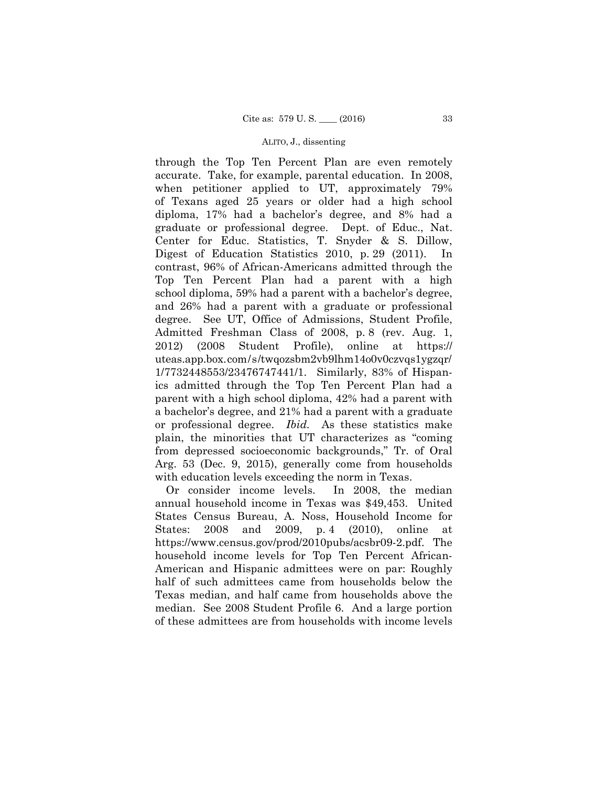$\ln$  uteas.app.box.com/s/twqozsbm2vb9lhm14o0v0czvqs1ygzqr/ through the Top Ten Percent Plan are even remotely accurate. Take, for example, parental education. In 2008, when petitioner applied to UT, approximately 79% of Texans aged 25 years or older had a high school diploma, 17% had a bachelor's degree, and 8% had a graduate or professional degree. Dept. of Educ., Nat. Center for Educ. Statistics, T. Snyder & S. Dillow, Digest of Education Statistics 2010, p. 29 (2011). In contrast, 96% of African-Americans admitted through the Top Ten Percent Plan had a parent with a high school diploma, 59% had a parent with a bachelor's degree, and 26% had a parent with a graduate or professional degree. See UT, Office of Admissions, Student Profile, Admitted Freshman Class of 2008, p. 8 (rev. Aug. 1, 2012) (2008 Student Profile), online at https:// 1/7732448553/23476747441/1. Similarly, 83% of Hispanics admitted through the Top Ten Percent Plan had a parent with a high school diploma, 42% had a parent with a bachelor's degree, and 21% had a parent with a graduate or professional degree. *Ibid.* As these statistics make plain, the minorities that UT characterizes as "coming from depressed socioeconomic backgrounds," Tr. of Oral Arg. 53 (Dec. 9, 2015), generally come from households with education levels exceeding the norm in Texas.

Or consider income levels. In 2008, the median annual household income in Texas was \$49,453. United States Census Bureau, A. Noss, Household Income for States: 2008 and 2009, p. 4 (2010), online at https://www.census.gov/prod/2010pubs/acsbr09-2.pdf. The household income levels for Top Ten Percent African-American and Hispanic admittees were on par: Roughly half of such admittees came from households below the Texas median, and half came from households above the median. See 2008 Student Profile 6. And a large portion of these admittees are from households with income levels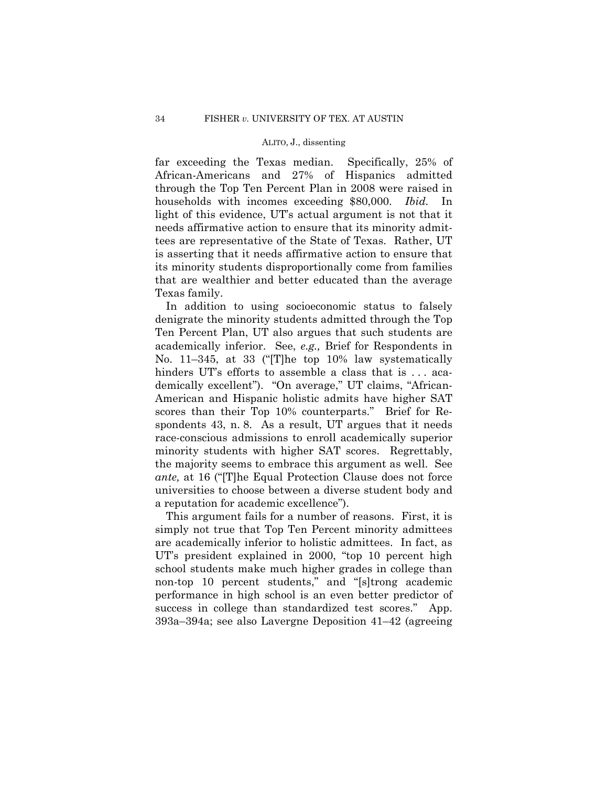households with incomes exceeding \$80,000. *Ibid.* In far exceeding the Texas median. Specifically, 25% of African-Americans and 27% of Hispanics admitted through the Top Ten Percent Plan in 2008 were raised in light of this evidence, UT's actual argument is not that it needs affirmative action to ensure that its minority admittees are representative of the State of Texas. Rather, UT is asserting that it needs affirmative action to ensure that its minority students disproportionally come from families that are wealthier and better educated than the average Texas family.

In addition to using socioeconomic status to falsely denigrate the minority students admitted through the Top Ten Percent Plan, UT also argues that such students are academically inferior. See, *e.g.,* Brief for Respondents in No. 11–345, at 33 ("[T]he top 10% law systematically hinders UT's efforts to assemble a class that is ... academically excellent"). "On average," UT claims, "African-American and Hispanic holistic admits have higher SAT scores than their Top 10% counterparts." Brief for Respondents 43, n. 8. As a result, UT argues that it needs race-conscious admissions to enroll academically superior minority students with higher SAT scores. Regrettably, the majority seems to embrace this argument as well. See *ante,* at 16 ("[T]he Equal Protection Clause does not force universities to choose between a diverse student body and a reputation for academic excellence").

This argument fails for a number of reasons. First, it is simply not true that Top Ten Percent minority admittees are academically inferior to holistic admittees. In fact, as UT's president explained in 2000, "top 10 percent high school students make much higher grades in college than non-top 10 percent students," and "[s]trong academic performance in high school is an even better predictor of success in college than standardized test scores." App. 393a–394a; see also Lavergne Deposition 41–42 (agreeing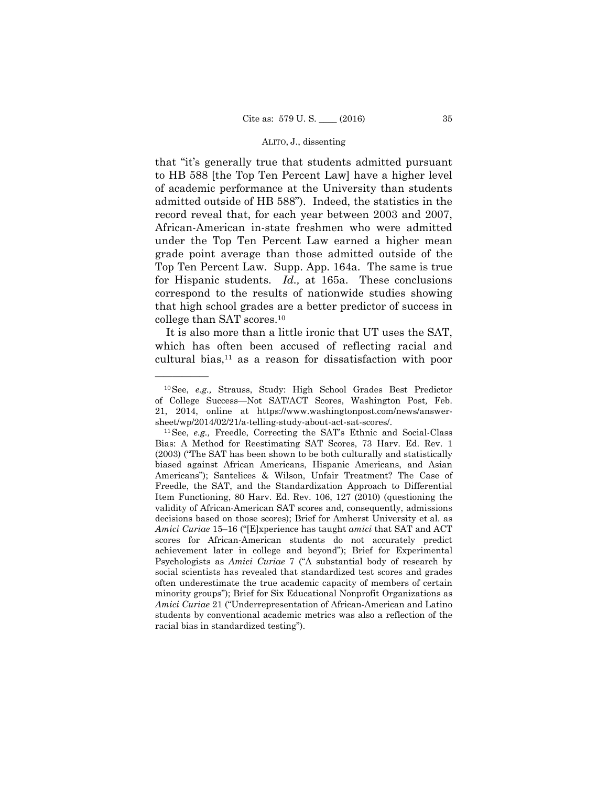for Hispanic students. *Id.,* at 165a. These conclusions that "it's generally true that students admitted pursuant to HB 588 [the Top Ten Percent Law] have a higher level of academic performance at the University than students admitted outside of HB 588"). Indeed, the statistics in the record reveal that, for each year between 2003 and 2007, African-American in-state freshmen who were admitted under the Top Ten Percent Law earned a higher mean grade point average than those admitted outside of the Top Ten Percent Law. Supp. App. 164a. The same is true correspond to the results of nationwide studies showing that high school grades are a better predictor of success in college than SAT scores.10

It is also more than a little ironic that UT uses the SAT, which has often been accused of reflecting racial and cultural bias,11 as a reason for dissatisfaction with poor

<sup>10</sup>See, *e.g.,* Strauss, Study: High School Grades Best Predictor of College Success—Not SAT/ACT Scores, Washington Post*,* Feb. 21, 2014, online at https://www.washingtonpost.com/news/answersheet/wp/2014/02/21/a-telling-study-about-act-sat-scores/. 11See, *e.g.,* Freedle, Correcting the SAT's Ethnic and Social-Class

Bias: A Method for Reestimating SAT Scores, 73 Harv. Ed. Rev. 1 (2003) ("The SAT has been shown to be both culturally and statistically biased against African Americans, Hispanic Americans, and Asian Americans"); Santelices & Wilson, Unfair Treatment? The Case of Freedle, the SAT, and the Standardization Approach to Differential Item Functioning, 80 Harv. Ed. Rev. 106, 127 (2010) (questioning the validity of African-American SAT scores and, consequently, admissions decisions based on those scores); Brief for Amherst University et al. as *Amici Curiae* 15–16 ("[E]xperience has taught *amici* that SAT and ACT scores for African-American students do not accurately predict achievement later in college and beyond"); Brief for Experimental Psychologists as *Amici Curiae* 7 ("A substantial body of research by social scientists has revealed that standardized test scores and grades often underestimate the true academic capacity of members of certain minority groups"); Brief for Six Educational Nonprofit Organizations as *Amici Curiae* 21 ("Underrepresentation of African-American and Latino students by conventional academic metrics was also a reflection of the racial bias in standardized testing").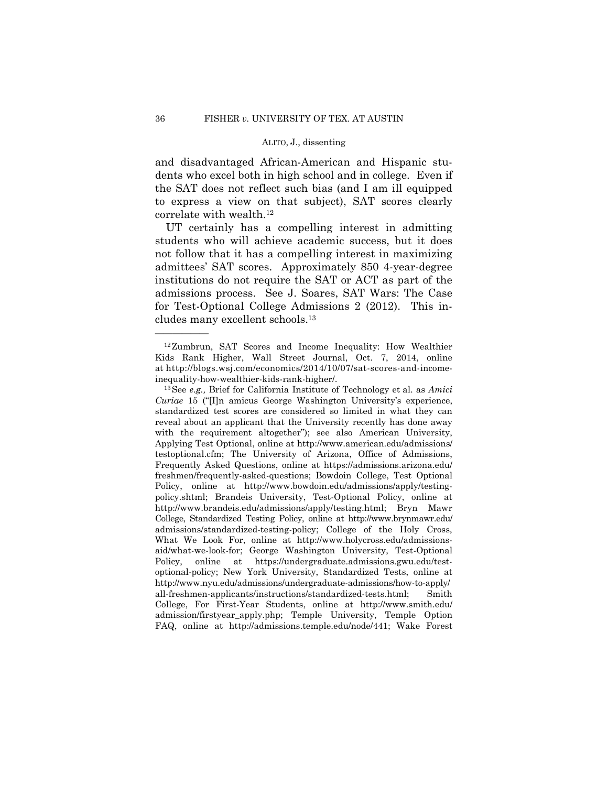and disadvantaged African-American and Hispanic students who excel both in high school and in college. Even if the SAT does not reflect such bias (and I am ill equipped to express a view on that subject), SAT scores clearly correlate with wealth.12

UT certainly has a compelling interest in admitting students who will achieve academic success, but it does not follow that it has a compelling interest in maximizing admittees' SAT scores. Approximately 850 4-year-degree institutions do not require the SAT or ACT as part of the admissions process. See J. Soares, SAT Wars: The Case for Test-Optional College Admissions 2 (2012). This includes many excellent schools.13

 Kids Rank Higher, Wall Street Journal, Oct. 7, 2014, online at http://blogs.wsj.com/economics/2014/10/07/sat-scores-and-income-12Zumbrun, SAT Scores and Income Inequality: How Wealthier

inequality-how-wealthier-kids-rank-higher/. 13See *e.g.,* Brief for California Institute of Technology et al. as *Amici Curiae* 15 ("[I]n amicus George Washington University's experience, standardized test scores are considered so limited in what they can reveal about an applicant that the University recently has done away with the requirement altogether"); see also American University, Applying Test Optional, online at http://www.american.edu/admissions/ testoptional.cfm; The University of Arizona, Office of Admissions, Frequently Asked Questions, online at https://admissions.arizona.edu/ freshmen/frequently-asked-questions; Bowdoin College, Test Optional Policy, online at http://www.bowdoin.edu/admissions/apply/testingpolicy.shtml; Brandeis University, Test-Optional Policy, online at http://www.brandeis.edu/admissions/apply/testing.html; Bryn Mawr College, Standardized Testing Policy, online at http://www.brynmawr.edu/ admissions/standardized-testing-policy; College of the Holy Cross, What We Look For, online at http://www.holycross.edu/admissionsaid/what-we-look-for; George Washington University, Test-Optional Policy, online at https://undergraduate.admissions.gwu.edu/testoptional-policy; New York University, Standardized Tests, online at http://www.nyu.edu/admissions/undergraduate-admissions/how-to-apply/ all-freshmen-applicants/instructions/standardized-tests.html; Smith College, For First-Year Students, online at http://www.smith.edu/ admission/firstyear\_apply.php; Temple University, Temple Option FAQ, online at http://admissions.temple.edu/node/441; Wake Forest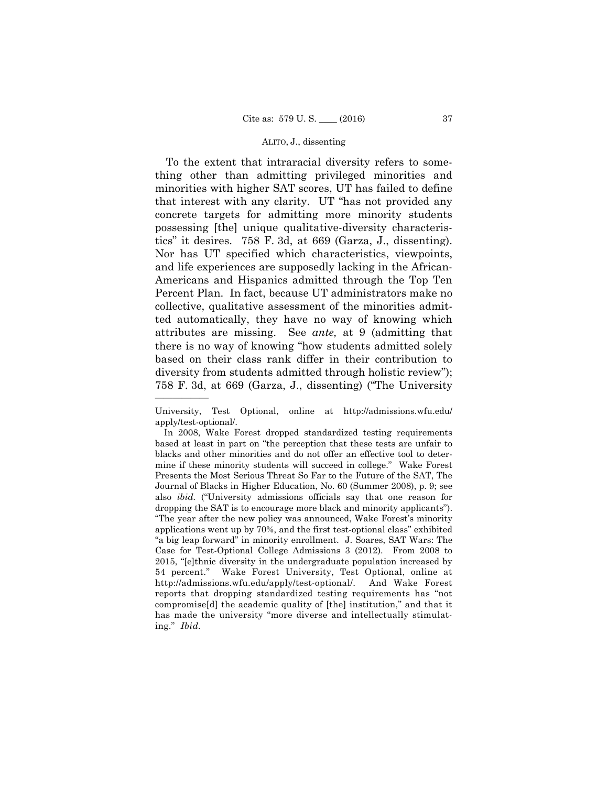tics" it desires. 758 F. 3d, at 669 (Garza, J., dissenting). To the extent that intraracial diversity refers to something other than admitting privileged minorities and minorities with higher SAT scores, UT has failed to define that interest with any clarity. UT "has not provided any concrete targets for admitting more minority students possessing [the] unique qualitative-diversity characteris-Nor has UT specified which characteristics, viewpoints, and life experiences are supposedly lacking in the African-Americans and Hispanics admitted through the Top Ten Percent Plan. In fact, because UT administrators make no collective, qualitative assessment of the minorities admitted automatically, they have no way of knowing which attributes are missing. See *ante,* at 9 (admitting that there is no way of knowing "how students admitted solely based on their class rank differ in their contribution to diversity from students admitted through holistic review"); 758 F. 3d, at 669 (Garza, J., dissenting) ("The University

University, Test Optional, online at http://admissions.wfu.edu/ apply/test-optional/.

In 2008, Wake Forest dropped standardized testing requirements based at least in part on "the perception that these tests are unfair to blacks and other minorities and do not offer an effective tool to determine if these minority students will succeed in college." Wake Forest Presents the Most Serious Threat So Far to the Future of the SAT, The Journal of Blacks in Higher Education, No. 60 (Summer 2008), p. 9; see also *ibid.* ("University admissions officials say that one reason for dropping the SAT is to encourage more black and minority applicants"). "The year after the new policy was announced, Wake Forest's minority applications went up by 70%, and the first test-optional class" exhibited "a big leap forward" in minority enrollment. J. Soares, SAT Wars: The Case for Test-Optional College Admissions 3 (2012). From 2008 to 2015, "[e]thnic diversity in the undergraduate population increased by 54 percent." Wake Forest University, Test Optional, online at http://admissions.wfu.edu/apply/test-optional/. And Wake Forest reports that dropping standardized testing requirements has "not compromise[d] the academic quality of [the] institution," and that it has made the university "more diverse and intellectually stimulating." *Ibid.*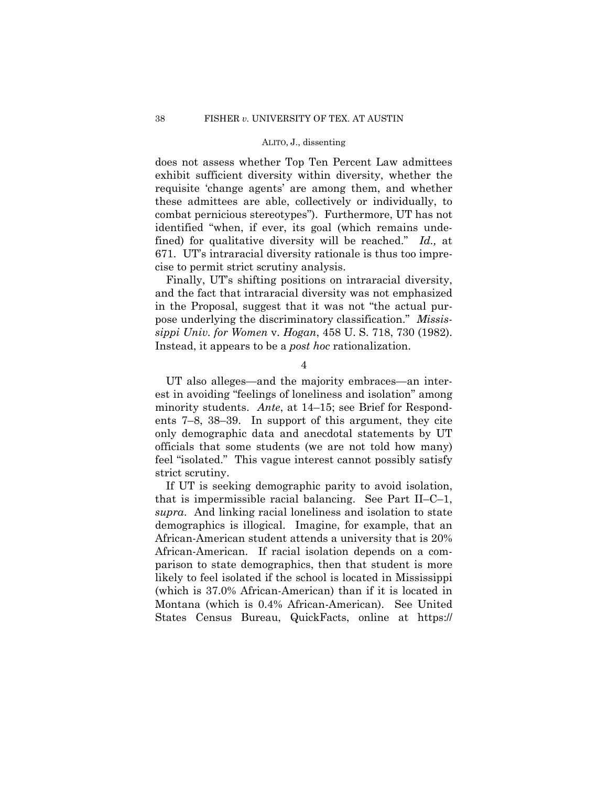671. UT's intraracial diversity rationale is thus too impre does not assess whether Top Ten Percent Law admittees exhibit sufficient diversity within diversity, whether the requisite 'change agents' are among them, and whether these admittees are able, collectively or individually, to combat pernicious stereotypes"). Furthermore, UT has not identified "when, if ever, its goal (which remains undefined) for qualitative diversity will be reached." *Id.,* at cise to permit strict scrutiny analysis.

Finally, UT's shifting positions on intraracial diversity, and the fact that intraracial diversity was not emphasized in the Proposal, suggest that it was not "the actual purpose underlying the discriminatory classification." *Mississippi Univ. for Women* v. *Hogan*, 458 U. S. 718, 730 (1982). Instead, it appears to be a *post hoc* rationalization.

4

UT also alleges—and the majority embraces—an interest in avoiding "feelings of loneliness and isolation" among minority students. *Ante*, at 14–15; see Brief for Respondents 7–8, 38–39. In support of this argument, they cite only demographic data and anecdotal statements by UT officials that some students (we are not told how many) feel "isolated." This vague interest cannot possibly satisfy strict scrutiny.

If UT is seeking demographic parity to avoid isolation, that is impermissible racial balancing. See Part II–C–1, *supra*. And linking racial loneliness and isolation to state demographics is illogical. Imagine, for example, that an African-American student attends a university that is 20% African-American. If racial isolation depends on a comparison to state demographics, then that student is more likely to feel isolated if the school is located in Mississippi (which is 37.0% African-American) than if it is located in Montana (which is 0.4% African-American). See United States Census Bureau, QuickFacts, online at https://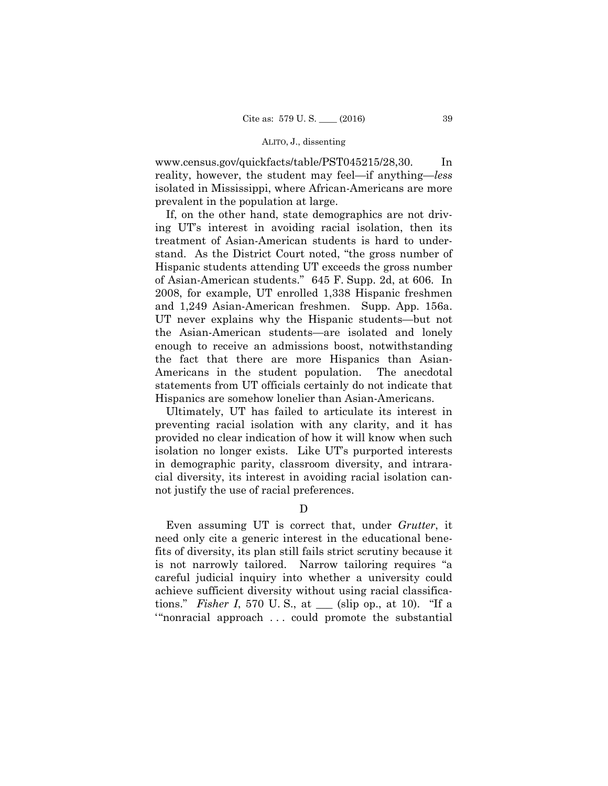www.census.gov/quickfacts/table/PST045215/28,30. In reality, however, the student may feel—if anything—*less*  isolated in Mississippi, where African-Americans are more prevalent in the population at large.

If, on the other hand, state demographics are not driving UT's interest in avoiding racial isolation, then its treatment of Asian-American students is hard to understand. As the District Court noted, "the gross number of Hispanic students attending UT exceeds the gross number of Asian-American students." 645 F. Supp. 2d, at 606. In 2008, for example, UT enrolled 1,338 Hispanic freshmen and 1,249 Asian-American freshmen. Supp. App. 156a. UT never explains why the Hispanic students—but not the Asian-American students—are isolated and lonely enough to receive an admissions boost, notwithstanding the fact that there are more Hispanics than Asian-Americans in the student population. The anecdotal statements from UT officials certainly do not indicate that Hispanics are somehow lonelier than Asian-Americans.

Ultimately, UT has failed to articulate its interest in preventing racial isolation with any clarity, and it has provided no clear indication of how it will know when such isolation no longer exists. Like UT's purported interests in demographic parity, classroom diversity, and intraracial diversity, its interest in avoiding racial isolation cannot justify the use of racial preferences.

# D

Even assuming UT is correct that, under *Grutter*, it need only cite a generic interest in the educational benefits of diversity, its plan still fails strict scrutiny because it is not narrowly tailored. Narrow tailoring requires "a careful judicial inquiry into whether a university could achieve sufficient diversity without using racial classifications." *Fisher I*, 570 U. S., at \_\_\_ (slip op., at 10). "If a '"nonracial approach . . . could promote the substantial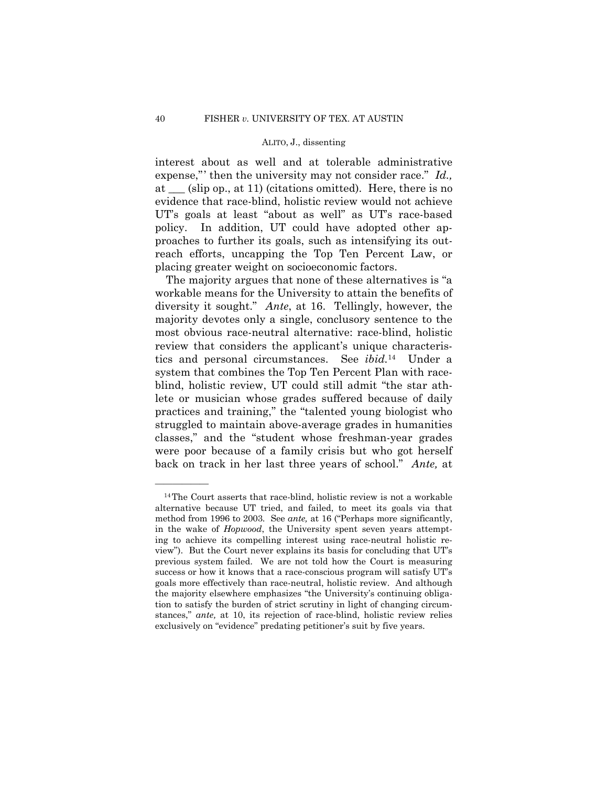interest about as well and at tolerable administrative expense,"' then the university may not consider race." *Id.,*  at \_\_\_ (slip op., at 11) (citations omitted). Here, there is no evidence that race-blind, holistic review would not achieve UT's goals at least "about as well" as UT's race-based policy. In addition, UT could have adopted other approaches to further its goals, such as intensifying its outreach efforts, uncapping the Top Ten Percent Law, or placing greater weight on socioeconomic factors.

The majority argues that none of these alternatives is "a workable means for the University to attain the benefits of diversity it sought." *Ante*, at 16. Tellingly, however, the majority devotes only a single, conclusory sentence to the most obvious race-neutral alternative: race-blind, holistic review that considers the applicant's unique characteristics and personal circumstances. See *ibid.*14 Under a system that combines the Top Ten Percent Plan with raceblind, holistic review, UT could still admit "the star athlete or musician whose grades suffered because of daily practices and training," the "talented young biologist who struggled to maintain above-average grades in humanities classes," and the "student whose freshman-year grades were poor because of a family crisis but who got herself back on track in her last three years of school." *Ante,* at

<sup>&</sup>lt;sup>14</sup>The Court asserts that race-blind, holistic review is not a workable alternative because UT tried, and failed, to meet its goals via that method from 1996 to 2003. See *ante,* at 16 ("Perhaps more significantly, in the wake of *Hopwood*, the University spent seven years attempting to achieve its compelling interest using race-neutral holistic review"). But the Court never explains its basis for concluding that UT's previous system failed. We are not told how the Court is measuring success or how it knows that a race-conscious program will satisfy UT's goals more effectively than race-neutral, holistic review. And although the majority elsewhere emphasizes "the University's continuing obligation to satisfy the burden of strict scrutiny in light of changing circumstances," *ante,* at 10, its rejection of race-blind, holistic review relies exclusively on "evidence" predating petitioner's suit by five years.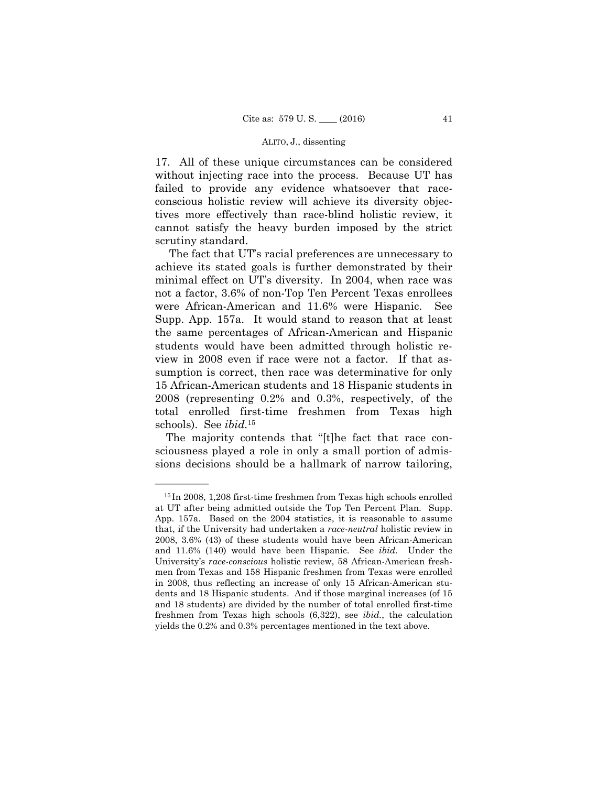17. All of these unique circumstances can be considered without injecting race into the process. Because UT has failed to provide any evidence whatsoever that raceconscious holistic review will achieve its diversity objectives more effectively than race-blind holistic review, it cannot satisfy the heavy burden imposed by the strict scrutiny standard.

Supp. App. 157a. It would stand to reason that at least The fact that UT's racial preferences are unnecessary to achieve its stated goals is further demonstrated by their minimal effect on UT's diversity. In 2004, when race was not a factor, 3.6% of non-Top Ten Percent Texas enrollees were African-American and 11.6% were Hispanic. See the same percentages of African-American and Hispanic students would have been admitted through holistic review in 2008 even if race were not a factor. If that assumption is correct, then race was determinative for only 15 African-American students and 18 Hispanic students in 2008 (representing 0.2% and 0.3%, respectively, of the total enrolled first-time freshmen from Texas high schools). See *ibid.*<sup>15</sup>

The majority contends that "[t]he fact that race consciousness played a role in only a small portion of admissions decisions should be a hallmark of narrow tailoring,

<sup>15</sup> In 2008, 1,208 first-time freshmen from Texas high schools enrolled at UT after being admitted outside the Top Ten Percent Plan. Supp. App. 157a. Based on the 2004 statistics, it is reasonable to assume that, if the University had undertaken a *race-neutral* holistic review in 2008, 3.6% (43) of these students would have been African-American and 11.6% (140) would have been Hispanic. See *ibid.* Under the University's *race-conscious* holistic review, 58 African-American freshmen from Texas and 158 Hispanic freshmen from Texas were enrolled in 2008, thus reflecting an increase of only 15 African-American students and 18 Hispanic students. And if those marginal increases (of 15 and 18 students) are divided by the number of total enrolled first-time freshmen from Texas high schools (6,322), see *ibid.*, the calculation yields the 0.2% and 0.3% percentages mentioned in the text above.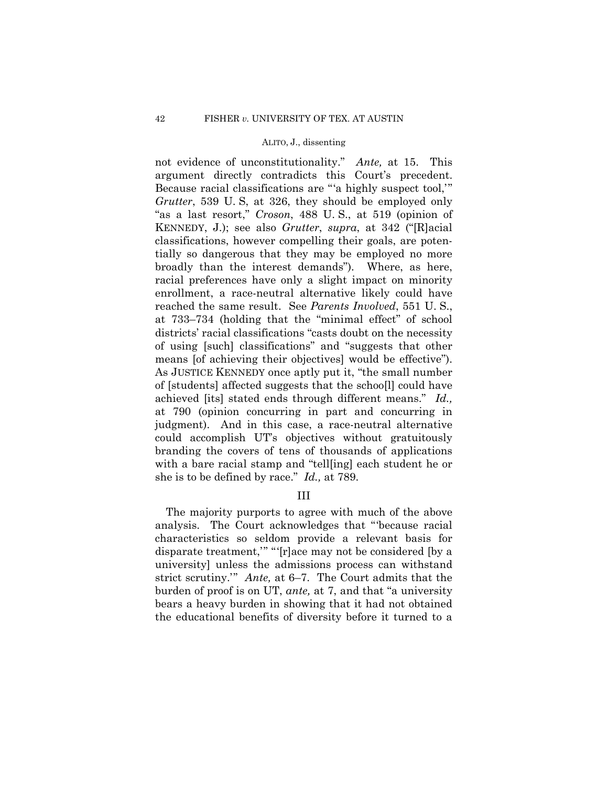not evidence of unconstitutionality." *Ante,* at 15. This argument directly contradicts this Court's precedent. Because racial classifications are "'a highly suspect tool,'" *Grutter*, 539 U. S, at 326, they should be employed only "as a last resort," *Croson*, 488 U. S., at 519 (opinion of KENNEDY, J.); see also *Grutter*, *supra*, at 342 ("[R]acial classifications, however compelling their goals, are potentially so dangerous that they may be employed no more broadly than the interest demands"). Where, as here, racial preferences have only a slight impact on minority enrollment, a race-neutral alternative likely could have reached the same result. See *Parents Involved*, 551 U. S., at 733–734 (holding that the "minimal effect" of school districts' racial classifications "casts doubt on the necessity of using [such] classifications" and "suggests that other means [of achieving their objectives] would be effective"). As JUSTICE KENNEDY once aptly put it, "the small number of [students] affected suggests that the schoo[l] could have achieved [its] stated ends through different means." *Id.,*  at 790 (opinion concurring in part and concurring in judgment). And in this case, a race-neutral alternative could accomplish UT's objectives without gratuitously branding the covers of tens of thousands of applications with a bare racial stamp and "tell[ing] each student he or she is to be defined by race." *Id.,* at 789.

# III

 disparate treatment,'" "'[r]ace may not be considered [by a The majority purports to agree with much of the above analysis. The Court acknowledges that "'because racial characteristics so seldom provide a relevant basis for university] unless the admissions process can withstand strict scrutiny.'" *Ante,* at 6–7. The Court admits that the burden of proof is on UT, *ante,* at 7, and that "a university bears a heavy burden in showing that it had not obtained the educational benefits of diversity before it turned to a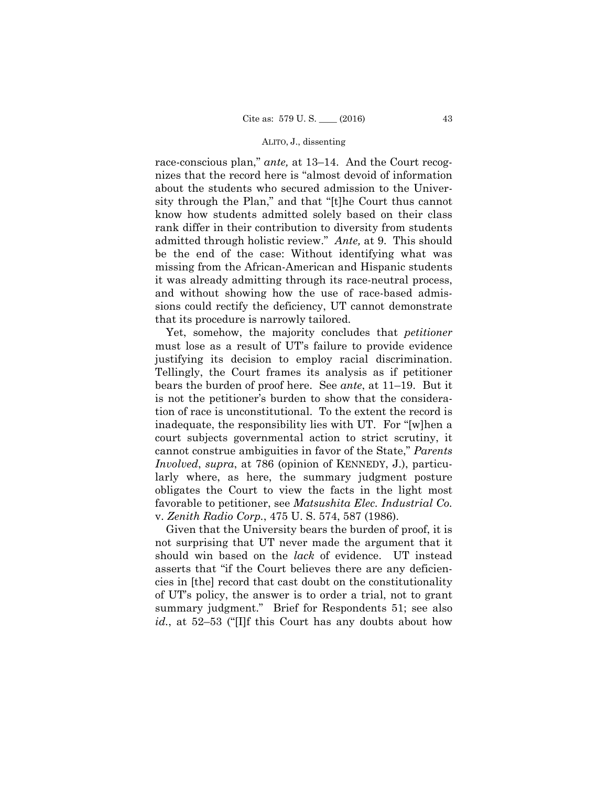race-conscious plan," *ante,* at 13–14. And the Court recognizes that the record here is "almost devoid of information about the students who secured admission to the University through the Plan," and that "[t]he Court thus cannot know how students admitted solely based on their class rank differ in their contribution to diversity from students admitted through holistic review." *Ante,* at 9. This should be the end of the case: Without identifying what was missing from the African-American and Hispanic students it was already admitting through its race-neutral process, and without showing how the use of race-based admissions could rectify the deficiency, UT cannot demonstrate that its procedure is narrowly tailored.

Yet, somehow, the majority concludes that *petitioner* must lose as a result of UT's failure to provide evidence justifying its decision to employ racial discrimination. Tellingly, the Court frames its analysis as if petitioner bears the burden of proof here. See *ante*, at 11–19. But it is not the petitioner's burden to show that the consideration of race is unconstitutional. To the extent the record is inadequate, the responsibility lies with UT. For "[w]hen a court subjects governmental action to strict scrutiny, it cannot construe ambiguities in favor of the State," *Parents Involved*, *supra*, at 786 (opinion of KENNEDY, J.), particularly where, as here, the summary judgment posture obligates the Court to view the facts in the light most favorable to petitioner, see *Matsushita Elec. Industrial Co.*  v. *Zenith Radio Corp.*, 475 U. S. 574, 587 (1986).

Given that the University bears the burden of proof, it is not surprising that UT never made the argument that it should win based on the *lack* of evidence. UT instead asserts that "if the Court believes there are any deficiencies in [the] record that cast doubt on the constitutionality of UT's policy, the answer is to order a trial, not to grant summary judgment." Brief for Respondents 51; see also *id.*, at 52–53 ("[I]f this Court has any doubts about how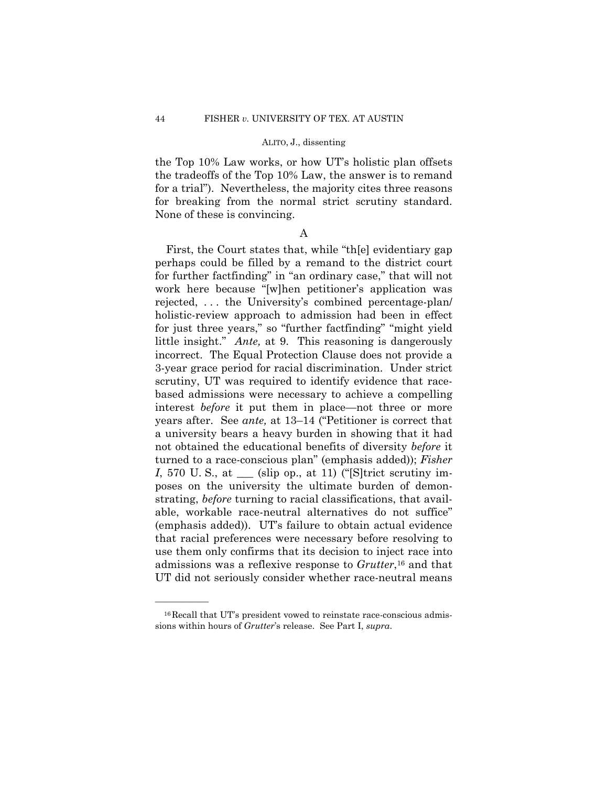the Top 10% Law works, or how UT's holistic plan offsets the tradeoffs of the Top 10% Law, the answer is to remand for a trial"). Nevertheless, the majority cites three reasons for breaking from the normal strict scrutiny standard. None of these is convincing.

# A

First, the Court states that, while "th[e] evidentiary gap perhaps could be filled by a remand to the district court for further factfinding" in "an ordinary case," that will not work here because "[w]hen petitioner's application was rejected, . . . the University's combined percentage-plan/ holistic-review approach to admission had been in effect for just three years," so "further factfinding" "might yield little insight." *Ante,* at 9. This reasoning is dangerously incorrect. The Equal Protection Clause does not provide a 3-year grace period for racial discrimination. Under strict scrutiny, UT was required to identify evidence that racebased admissions were necessary to achieve a compelling interest *before* it put them in place—not three or more years after. See *ante,* at 13–14 ("Petitioner is correct that a university bears a heavy burden in showing that it had not obtained the educational benefits of diversity *before* it turned to a race-conscious plan" (emphasis added)); *Fisher I*, 570 U. S., at  $\_\_\_$  (slip op., at 11) ("[S]trict scrutiny imposes on the university the ultimate burden of demonstrating, *before* turning to racial classifications, that available, workable race-neutral alternatives do not suffice" (emphasis added)). UT's failure to obtain actual evidence that racial preferences were necessary before resolving to use them only confirms that its decision to inject race into admissions was a reflexive response to *Grutter*,16 and that UT did not seriously consider whether race-neutral means

<sup>16</sup>Recall that UT's president vowed to reinstate race-conscious admissions within hours of *Grutter*'s release. See Part I, *supra*.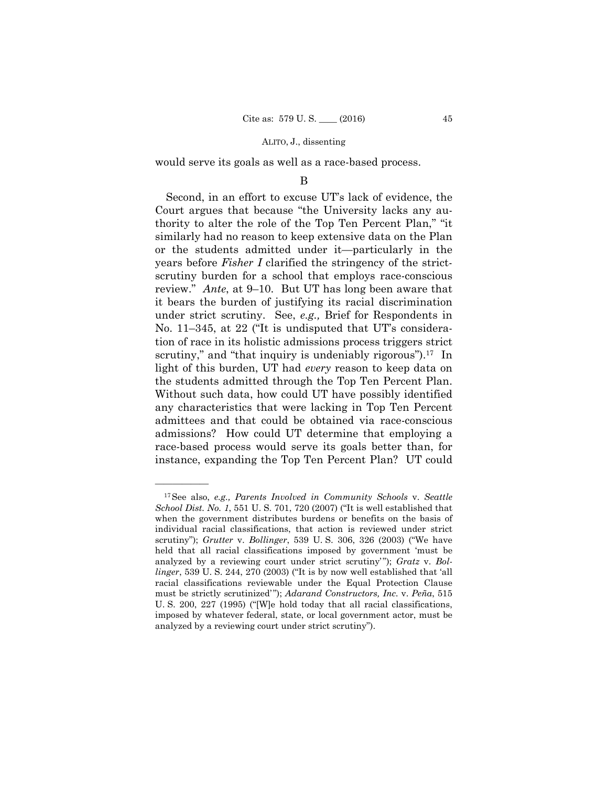would serve its goals as well as a race-based process.

# B

 admissions? How could UT determine that employing a Second, in an effort to excuse UT's lack of evidence, the Court argues that because "the University lacks any authority to alter the role of the Top Ten Percent Plan," "it similarly had no reason to keep extensive data on the Plan or the students admitted under it—particularly in the years before *Fisher I* clarified the stringency of the strictscrutiny burden for a school that employs race-conscious review." *Ante*, at 9–10. But UT has long been aware that it bears the burden of justifying its racial discrimination under strict scrutiny. See, *e.g.,* Brief for Respondents in No. 11–345, at 22 ("It is undisputed that UT's consideration of race in its holistic admissions process triggers strict scrutiny," and "that inquiry is undeniably rigorous").<sup>17</sup> In light of this burden, UT had *every* reason to keep data on the students admitted through the Top Ten Percent Plan. Without such data, how could UT have possibly identified any characteristics that were lacking in Top Ten Percent admittees and that could be obtained via race-conscious race-based process would serve its goals better than, for instance, expanding the Top Ten Percent Plan? UT could

 analyzed by a reviewing court under strict scrutiny"). 17See also, *e.g., Parents Involved in Community Schools* v. *Seattle School Dist. No. 1*, 551 U. S. 701, 720 (2007) ("It is well established that when the government distributes burdens or benefits on the basis of individual racial classifications, that action is reviewed under strict scrutiny"); *Grutter* v. *Bollinger*, 539 U. S. 306, 326 (2003) ("We have held that all racial classifications imposed by government 'must be analyzed by a reviewing court under strict scrutiny"); *Gratz* v. Bol*linger*, 539 U. S. 244, 270 (2003) ("It is by now well established that 'all racial classifications reviewable under the Equal Protection Clause must be strictly scrutinized' "); *Adarand Constructors, Inc.* v. *Peña*, 515 U. S. 200, 227 (1995) ("[W]e hold today that all racial classifications, imposed by whatever federal, state, or local government actor, must be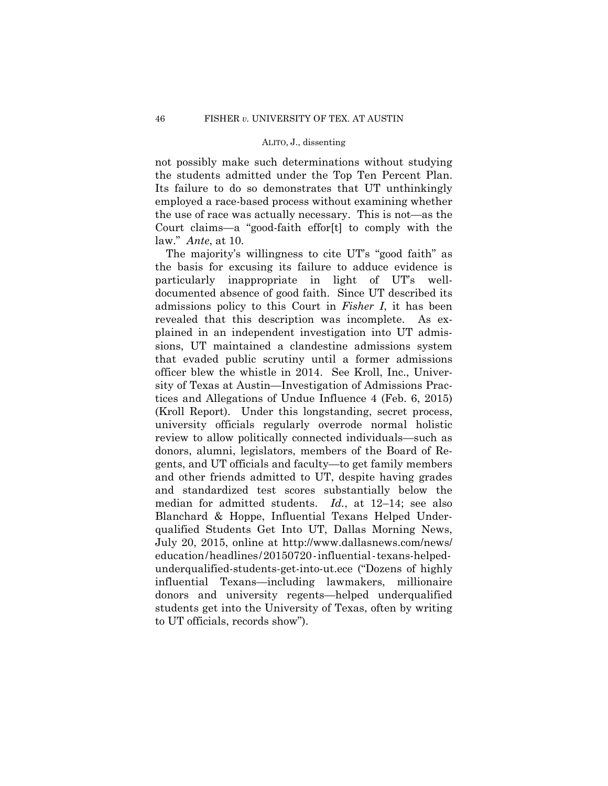not possibly make such determinations without studying the students admitted under the Top Ten Percent Plan. Its failure to do so demonstrates that UT unthinkingly employed a race-based process without examining whether the use of race was actually necessary. This is not—as the Court claims—a "good-faith effor[t] to comply with the law." *Ante*, at 10.

 education/headlines/20150720-influential-texans-helped-The majority's willingness to cite UT's "good faith" as the basis for excusing its failure to adduce evidence is particularly inappropriate in light of UT's welldocumented absence of good faith. Since UT described its admissions policy to this Court in *Fisher I*, it has been revealed that this description was incomplete. As explained in an independent investigation into UT admissions, UT maintained a clandestine admissions system that evaded public scrutiny until a former admissions officer blew the whistle in 2014. See Kroll, Inc., University of Texas at Austin—Investigation of Admissions Practices and Allegations of Undue Influence 4 (Feb. 6, 2015) (Kroll Report). Under this longstanding, secret process, university officials regularly overrode normal holistic review to allow politically connected individuals—such as donors, alumni, legislators, members of the Board of Regents, and UT officials and faculty—to get family members and other friends admitted to UT, despite having grades and standardized test scores substantially below the median for admitted students. *Id.*, at 12–14; see also Blanchard & Hoppe, Influential Texans Helped Underqualified Students Get Into UT, Dallas Morning News, July 20, 2015, online at http://www.dallasnews.com/news/ underqualified-students-get-into-ut.ece ("Dozens of highly influential Texans—including lawmakers, millionaire donors and university regents—helped underqualified students get into the University of Texas, often by writing to UT officials, records show").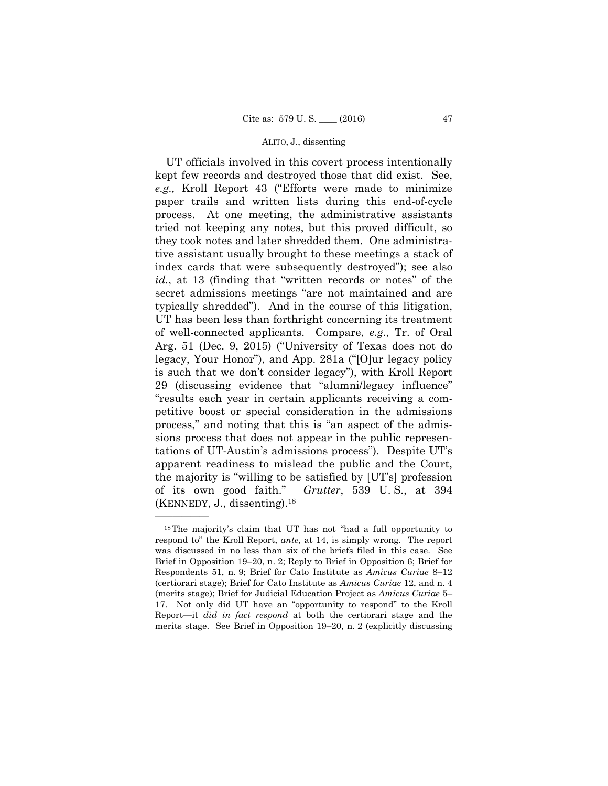UT officials involved in this covert process intentionally kept few records and destroyed those that did exist. See, *e.g.,* Kroll Report 43 ("Efforts were made to minimize paper trails and written lists during this end-of-cycle process. At one meeting, the administrative assistants tried not keeping any notes, but this proved difficult, so they took notes and later shredded them. One administrative assistant usually brought to these meetings a stack of index cards that were subsequently destroyed"); see also *id.*, at 13 (finding that "written records or notes" of the secret admissions meetings "are not maintained and are typically shredded"). And in the course of this litigation, UT has been less than forthright concerning its treatment of well-connected applicants. Compare, *e.g.,* Tr. of Oral Arg. 51 (Dec. 9, 2015) ("University of Texas does not do legacy, Your Honor"), and App. 281a ("[O]ur legacy policy is such that we don't consider legacy"), with Kroll Report 29 (discussing evidence that "alumni/legacy influence" "results each year in certain applicants receiving a competitive boost or special consideration in the admissions process," and noting that this is "an aspect of the admissions process that does not appear in the public representations of UT-Austin's admissions process"). Despite UT's apparent readiness to mislead the public and the Court, the majority is "willing to be satisfied by [UT's] profession of its own good faith." *Grutter*, 539 U. S., at 394 (KENNEDY, J., dissenting).18

 Brief in Opposition 19–20, n. 2; Reply to Brief in Opposition 6; Brief for 18The majority's claim that UT has not "had a full opportunity to respond to" the Kroll Report, *ante,* at 14, is simply wrong. The report was discussed in no less than six of the briefs filed in this case. See Respondents 51, n. 9; Brief for Cato Institute as *Amicus Curiae* 8–12 (certiorari stage); Brief for Cato Institute as *Amicus Curiae* 12, and n. 4 (merits stage); Brief for Judicial Education Project as *Amicus Curiae* 5– 17. Not only did UT have an "opportunity to respond" to the Kroll Report—it *did in fact respond* at both the certiorari stage and the merits stage. See Brief in Opposition 19–20, n. 2 (explicitly discussing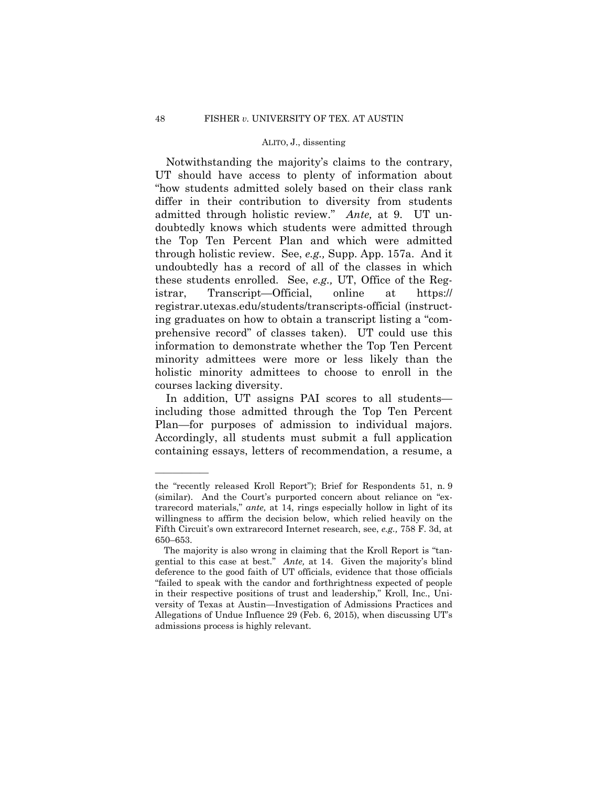admitted through holistic review." *Ante,* at 9. UT un-Notwithstanding the majority's claims to the contrary, UT should have access to plenty of information about "how students admitted solely based on their class rank differ in their contribution to diversity from students doubtedly knows which students were admitted through the Top Ten Percent Plan and which were admitted through holistic review. See, *e.g.,* Supp. App. 157a. And it undoubtedly has a record of all of the classes in which these students enrolled. See, *e.g.,* UT, Office of the Registrar, Transcript—Official, online at https:// registrar.utexas.edu/students/transcripts-official (instructing graduates on how to obtain a transcript listing a "comprehensive record" of classes taken). UT could use this information to demonstrate whether the Top Ten Percent minority admittees were more or less likely than the holistic minority admittees to choose to enroll in the courses lacking diversity.

In addition, UT assigns PAI scores to all students including those admitted through the Top Ten Percent Plan—for purposes of admission to individual majors. Accordingly, all students must submit a full application containing essays, letters of recommendation, a resume, a

the "recently released Kroll Report"); Brief for Respondents 51, n. 9 (similar). And the Court's purported concern about reliance on "extrarecord materials," *ante,* at 14, rings especially hollow in light of its willingness to affirm the decision below, which relied heavily on the Fifth Circuit's own extrarecord Internet research, see, *e.g.,* 758 F. 3d, at 650–653.

 gential to this case at best." *Ante,* at 14. Given the majority's blind The majority is also wrong in claiming that the Kroll Report is "tandeference to the good faith of UT officials, evidence that those officials "failed to speak with the candor and forthrightness expected of people in their respective positions of trust and leadership," Kroll, Inc., University of Texas at Austin—Investigation of Admissions Practices and Allegations of Undue Influence 29 (Feb. 6, 2015), when discussing UT's admissions process is highly relevant.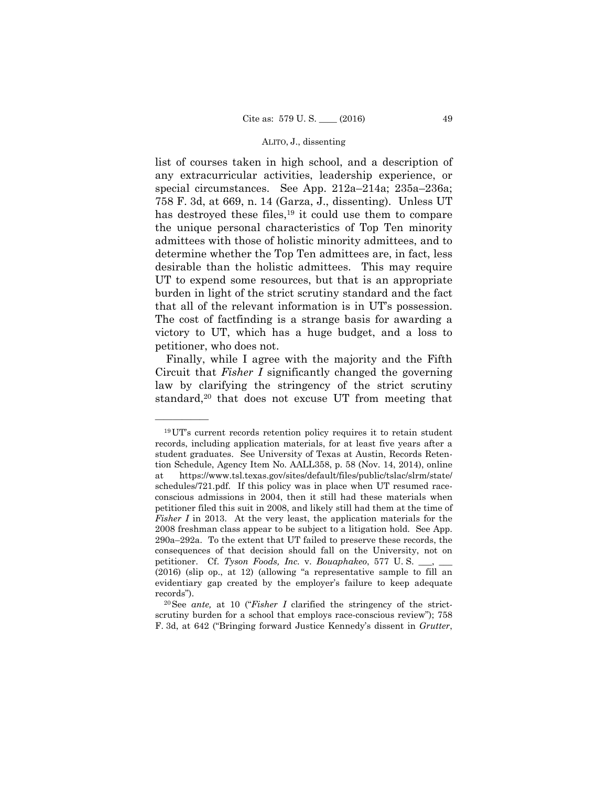## ALITO, J., dissenting

list of courses taken in high school, and a description of any extracurricular activities, leadership experience, or special circumstances. See App. 212a–214a; 235a–236a; 758 F. 3d, at 669, n. 14 (Garza, J., dissenting). Unless UT has destroyed these files,<sup>19</sup> it could use them to compare the unique personal characteristics of Top Ten minority admittees with those of holistic minority admittees, and to determine whether the Top Ten admittees are, in fact, less desirable than the holistic admittees. This may require UT to expend some resources, but that is an appropriate burden in light of the strict scrutiny standard and the fact that all of the relevant information is in UT's possession. The cost of factfinding is a strange basis for awarding a victory to UT, which has a huge budget, and a loss to petitioner, who does not.

Finally, while I agree with the majority and the Fifth Circuit that *Fisher I* significantly changed the governing law by clarifying the stringency of the strict scrutiny standard,<sup>20</sup> that does not excuse UT from meeting that

——————

 student graduates. See University of Texas at Austin, Records Reten-19UT's current records retention policy requires it to retain student records, including application materials, for at least five years after a tion Schedule, Agency Item No. AALL358, p. 58 (Nov. 14, 2014), online at https://www.tsl.texas.gov/sites/default/files/public/tslac/slrm/state/ schedules/721.pdf. If this policy was in place when UT resumed raceconscious admissions in 2004, then it still had these materials when petitioner filed this suit in 2008, and likely still had them at the time of *Fisher I* in 2013. At the very least, the application materials for the 2008 freshman class appear to be subject to a litigation hold. See App. 290a–292a. To the extent that UT failed to preserve these records, the consequences of that decision should fall on the University, not on petitioner. Cf. *Tyson Foods, Inc.* v. *Bouaphakeo*, 577 U. S. \_\_\_, \_\_\_ (2016) (slip op., at 12) (allowing "a representative sample to fill an evidentiary gap created by the employer's failure to keep adequate

records"). 20See *ante,* at 10 ("*Fisher I* clarified the stringency of the strictscrutiny burden for a school that employs race-conscious review"); 758 F. 3d, at 642 ("Bringing forward Justice Kennedy's dissent in *Grutter*,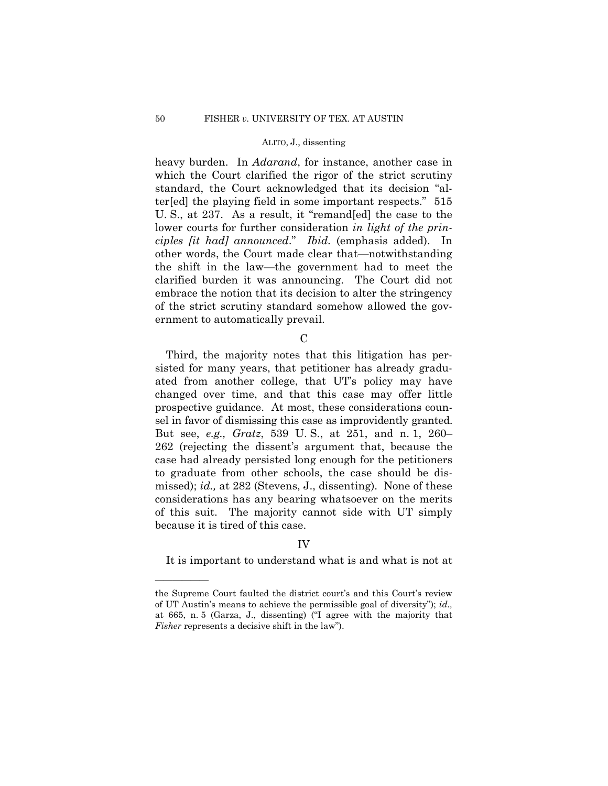## ALITO, J., dissenting

 *ciples [it had] announced*." *Ibid.* (emphasis added). In heavy burden. In *Adarand*, for instance, another case in which the Court clarified the rigor of the strict scrutiny standard, the Court acknowledged that its decision "alter[ed] the playing field in some important respects." 515 U. S., at 237. As a result, it "remand[ed] the case to the lower courts for further consideration *in light of the prin*other words, the Court made clear that—notwithstanding the shift in the law—the government had to meet the clarified burden it was announcing. The Court did not embrace the notion that its decision to alter the stringency of the strict scrutiny standard somehow allowed the government to automatically prevail.

 $\mathcal{C}$ 

Third, the majority notes that this litigation has persisted for many years, that petitioner has already graduated from another college, that UT's policy may have changed over time, and that this case may offer little prospective guidance. At most, these considerations counsel in favor of dismissing this case as improvidently granted. But see, *e.g., Gratz*, 539 U. S., at 251, and n. 1, 260– 262 (rejecting the dissent's argument that, because the case had already persisted long enough for the petitioners to graduate from other schools, the case should be dismissed); *id.,* at 282 (Stevens, J., dissenting). None of these considerations has any bearing whatsoever on the merits of this suit. The majority cannot side with UT simply because it is tired of this case.

## IV

It is important to understand what is and what is not at

——————

the Supreme Court faulted the district court's and this Court's review of UT Austin's means to achieve the permissible goal of diversity"); *id.,* at 665, n. 5 (Garza, J., dissenting) ("I agree with the majority that *Fisher represents a decisive shift in the law*".